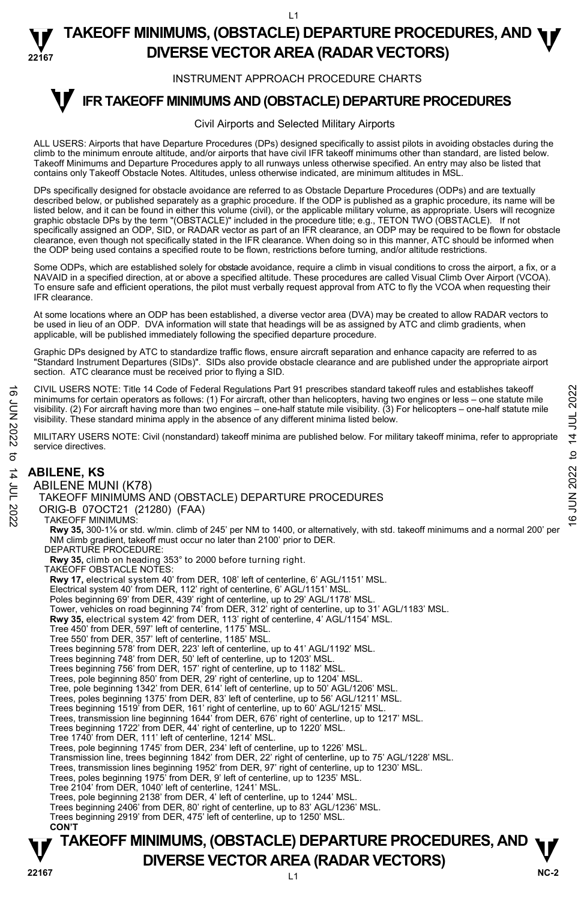L1

#### **22167 TAKEOFF MINIMUMS, (OBSTACLE) DEPARTURE PROCEDURES, AND <b>W**<br>DIVERSE VECTOR AREA (RADAR VECTORS) **DIVERSE VECTOR AREA (RADAR VECTORS)**

#### INSTRUMENT APPROACH PROCEDURE CHARTS

#### **IFR TAKEOFF MINIMUMS AND (OBSTACLE) DEPARTURE PROCEDURES T**

#### Civil Airports and Selected Military Airports

ALL USERS: Airports that have Departure Procedures (DPs) designed specifically to assist pilots in avoiding obstacles during the climb to the minimum enroute altitude, and/or airports that have civil IFR takeoff minimums other than standard, are listed below. Takeoff Minimums and Departure Procedures apply to all runways unless otherwise specified. An entry may also be listed that contains only Takeoff Obstacle Notes. Altitudes, unless otherwise indicated, are minimum altitudes in MSL.

DPs specifically designed for obstacle avoidance are referred to as Obstacle Departure Procedures (ODPs) and are textually described below, or published separately as a graphic procedure. If the ODP is published as a graphic procedure, its name will be listed below, and it can be found in either this volume (civil), or the applicable military volume, as appropriate. Users will recognize graphic obstacle DPs by the term "(OBSTACLE)" included in the procedure title; e.g., TETON TWO (OBSTACLE). If not<br>specifically assigned an ODP, SID, or RADAR vector as part of an IFR clearance, an ODP may be required to be clearance, even though not specifically stated in the IFR clearance. When doing so in this manner, ATC should be informed when the ODP being used contains a specified route to be flown, restrictions before turning, and/or altitude restrictions.

Some ODPs, which are established solely for obstacle avoidance, require a climb in visual conditions to cross the airport, a fix, or a NAVAID in a specified direction, at or above a specified altitude. These procedures are called Visual Climb Over Airport (VCOA). To ensure safe and efficient operations, the pilot must verbally request approval from ATC to fly the VCOA when requesting their IFR clearance.

At some locations where an ODP has been established, a diverse vector area (DVA) may be created to allow RADAR vectors to be used in lieu of an ODP. DVA information will state that headings will be as assigned by ATC and climb gradients, when applicable, will be published immediately following the specified departure procedure.

Graphic DPs designed by ATC to standardize traffic flows, ensure aircraft separation and enhance capacity are referred to as "Standard Instrument Departures (SIDs)". SIDs also provide obstacle clearance and are published under the appropriate airport section. ATC clearance must be received prior to flying a SID.

CIVIL USERS NOTE: Title 14 Code of Federal Regulations Part 91 prescribes standard takeoff rules and establishes takeoff minimums for certain operators as follows: (1) For aircraft, other than helicopters, having two engines or less – one statute mile visibility. (2) For aircraft having more than two engines – one-half statute mile visibility. (3) For helicopters – one-half statute mile visibility. These standard minima apply in the absence of any different minima listed below. CIVIL USERS NOTE: Thie 14 Code of Federal Regulations Part 91 prescribes standard takeoff rules and establishes takeoff<br>
Iminumums for certain operators as follows: (1) For aircraft, other than helicopters, having two eng

MILITARY USERS NOTE: Civil (nonstandard) takeoff minima are published below. For military takeoff minima, refer to appropriate service directives.

#### **ABILENE, KS**  ABILENE MUNI (K78) TAKEOFF MINIMUMS AND (OBSTACLE) DEPARTURE PROCEDURES ORIG-B 07OCT21 (21280) (FAA) TAKEOFF MINIMUMS: **Rwy 35,** 300-1⅛ or std. w/min. climb of 245' per NM to 1400, or alternatively, with std. takeoff minimums and a normal 200' per NM climb gradient, takeoff must occur no later than 2100' prior to DER. DEPARTURE PROCEDURE: **Rwy 35,** climb on heading 353° to 2000 before turning right. TAKEOFF OBSTACLE NOTES:

**Rwy 17,** electrical system 40' from DER, 108' left of centerline, 6' AGL/1151' MSL. Electrical system 40' from DER, 112' right of centerline, 6' AGL/1151' MSL. Poles beginning 69' from DER, 439' right of centerline, up to 29' AGL/1178' MSL.<br>Tower, vehicles on road beginning 74' from DER, 312' right of centerline, up to 31' AGL/1183' MSL. **Rwy 35,** electrical system 42' from DER, 113' right of centerline, 4' AGL/1154' MSL. Tree 450' from DER, 597' left of centerline, 1175' MSL. Tree 550' from DER, 357' left of centerline, 1185' MSL. Trees beginning 578' from DER, 223' left of centerline, up to 41' AGL/1192' MSL. Trees beginning 748' from DER, 50' left of centerline, up to 1203' MSL. Trees beginning 756' from DER, 157' right of centerline, up to 1182' MSL.<br>Trees, pole beginning 850' from DER, 29' right of centerline, up to 1204' MSL.<br>Tree, pole beginning 1342' from DER, 614' left of centerline, up to 5 Trees, poles beginning 1375' from DER, 83' left of centerline, up to 56' AGL/1211' MSL. Trees beginning 1519' from DER, 161' right of centerline, up to 60' AGL/1215' MSL. Trees, transmission line beginning 1644' from DER, 676' right of centerline, up to 1217' MSL. Trees beginning 1722' from DER, 44' right of centerline, up to 1220' MSL. Tree 1740' from DER, 111' left of centerline, 1214' MSL. Trees, pole beginning 1745' from DER, 234' left of centerline, up to 1226' MSL. Transmission line, trees beginning 1842' from DER, 22' right of centerline, up to 75' AGL/1228' MSL. Trees, transmission lines beginning 1952' from DER, 97' right of centerline, up to 1230' MSL.<br>Trees, poles beginning 1975' from DER, 9' left of centerline, up to 1235' MSL. Tree 2104' from DER, 1040' left of centerline, 1241' MSL. Trees, pole beginning 2138' from DER, 4' left of centerline, up to 1244' MSL. Trees beginning 2406' from DER, 80' right of centerline, up to 83' AGL/1236' MSL. Trees beginning 2919' from DER, 475' left of centerline, up to 1250' MSL. **CON'T**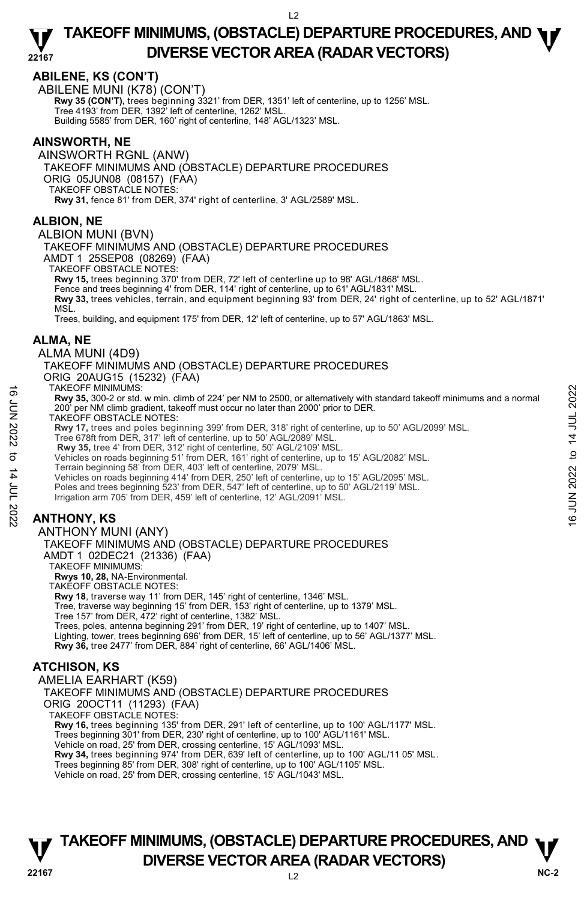### **ABILENE, KS (CON'T)**

ABILENE MUNI (K78) (CON'T)  **Rwy 35 (CON'T),** trees beginning 3321' from DER, 1351' left of centerline, up to 1256' MSL. Tree 4193' from DER, 1392' left of centerline, 1262' MSL. Building 5585' from DER, 160' right of centerline, 148' AGL/1323' MSL.

### **AINSWORTH, NE**

AINSWORTH RGNL (ANW) TAKEOFF MINIMUMS AND (OBSTACLE) DEPARTURE PROCEDURES ORIG 05JUN08 (08157) (FAA) TAKEOFF OBSTACLE NOTES: **Rwy 31,** fence 81' from DER, 374' right of centerline, 3' AGL/2589' MSL.

### **ALBION, NE**

ALBION MUNI (BVN)

TAKEOFF MINIMUMS AND (OBSTACLE) DEPARTURE PROCEDURES

AMDT 1 25SEP08 (08269) (FAA)

TAKEOFF OBSTACLE NOTES:

**Rwy 15,** trees beginning 370' from DER, 72' left of centerline up to 98' AGL/1868' MSL.

Fence and trees beginning 4' from DER, 114' right of centerline, up to 61' AGL/1831' MSL.

**Rwy 33,** trees vehicles, terrain, and equipment beginning 93' from DER, 24' right of centerline, up to 52' AGL/1871' MSL.

Trees, building, and equipment 175' from DER, 12' left of centerline, up to 57' AGL/1863' MSL.

### **ALMA, NE**

#### ALMA MUNI (4D9)

TAKEOFF MINIMUMS AND (OBSTACLE) DEPARTURE PROCEDURES ORIG 20AUG15 (15232) (FAA)

TAKEOFF MINIMUMS:

**Rwy 35,** 300-2 or std. w min. climb of 224' per NM to 2500, or alternatively with standard takeoff minimums and a normal 200' per NM climb gradient, takeoff must occur no later than 2000' prior to DER. TAKEOFF OBSTACLE NOTES: 16 HAKEOHF MINIMUMS:<br>
LATE AND 35, 300-2 or std. w min. climb of 224' per NM to 2500, or alternatively with standard takeoff minimums and a normal<br>
200' per NM climb gradient, takeoff must occur no later than 2000' prior

**Rwy 17,** trees and poles beginning 399' from DER, 318' right of centerline, up to 50' AGL/2099' MSL.

Tree 678ft from DER, 317' left of centerline, up to 50' AGL/2089' MSL. **Rwy 35,** tree 4' from DER, 312' right of centerline, 50' AGL/2109' MSL.

Vehicles on roads beginning 51' from DER, 161' right of centerline, up to 15' AGL/2082' MSL.

Terrain beginning 58' from DER, 403' left of centerline, 2079' MSL.

Vehicles on roads beginning 414' from DER, 250' left of centerline, up to 15' AGL/2095' MSL.

Poles and trees beginning 523' from DER, 547' left of centerline, up to 50' AGL/2119' MSL.

Irrigation arm 705' from DER, 459' left of centerline, 12' AGL/2091' MSL.

## **ANTHONY, KS**

ANTHONY MUNI (ANY) TAKEOFF MINIMUMS AND (OBSTACLE) DEPARTURE PROCEDURES AMDT 1 02DEC21 (21336) (FAA) TAKEOFF MINIMUMS: **Rwys 10, 28,** NA-Environmental. TAKEOFF OBSTACLE NOTES: **Rwy 18**, traverse way 11' from DER, 145' right of centerline, 1346' MSL. Tree, traverse way beginning 15' from DER, 153' right of centerline, up to 1379' MSL. Tree 157' from DER, 472' right of centerline, 1382' MSL. Trees, poles, antenna beginning 291' from DER, 19' right of centerline, up to 1407' MSL. Lighting, tower, trees beginning 696' from DER, 15' left of centerline, up to 56' AGL/1377' MSL. **Rwy 36,** tree 2477' from DER, 884' right of centerline, 66' AGL/1406' MSL.

### **ATCHISON, KS**

AMELIA EARHART (K59) TAKEOFF MINIMUMS AND (OBSTACLE) DEPARTURE PROCEDURES ORIG 20OCT11 (11293) (FAA) TAKEOFF OBSTACLE NOTES: **Rwy 16,** trees beginning 135' from DER, 291' left of centerline, up to 100' AGL/1177' MSL. Trees beginning 301' from DER, 230' right of centerline, up to 100' AGL/1161' MSL. Vehicle on road, 25' from DER, crossing centerline, 15' AGL/1093' MSL.<br>**Rwy 34,** trees beginning 974' from DER, 639' left of centerline, up to 100' AGL/11 05' MSL. Trees beginning 85' from DER, 308' right of centerline, up to 100' AGL/1105' MSL. Vehicle on road, 25' from DER, crossing centerline, 15' AGL/1043' MSL.

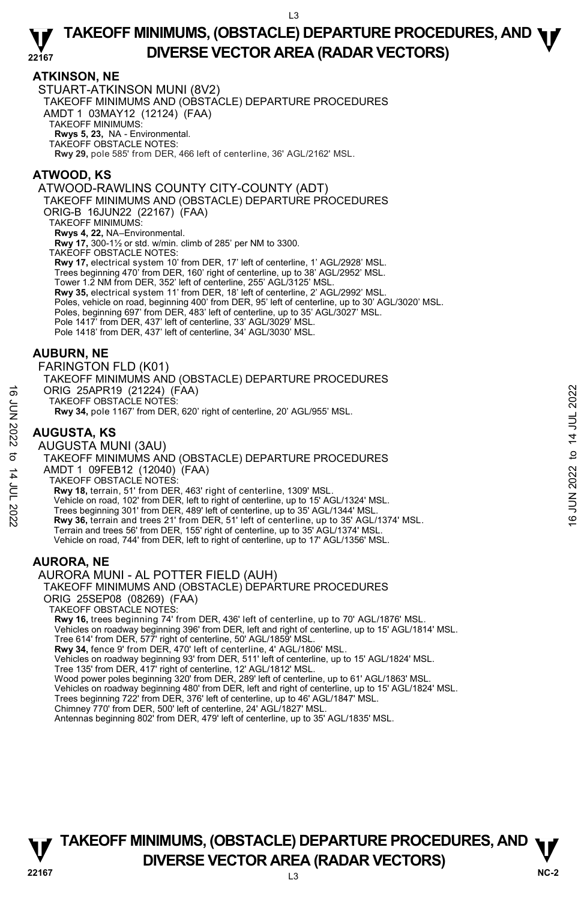### **ATKINSON, NE**

STUART-ATKINSON MUNI (8V2) TAKEOFF MINIMUMS AND (OBSTACLE) DEPARTURE PROCEDURES AMDT 1 03MAY12 (12124) (FAA) TAKEOFF MINIMUMS: **Rwys 5, 23,** NA - Environmental. TAKEOFF OBSTACLE NOTES: **Rwy 29,** pole 585' from DER, 466 left of centerline, 36' AGL/2162' MSL.

### **ATWOOD, KS**

ATWOOD-RAWLINS COUNTY CITY-COUNTY (ADT)

TAKEOFF MINIMUMS AND (OBSTACLE) DEPARTURE PROCEDURES

ORIG-B 16JUN22 (22167) (FAA)

TAKEOFF MINIMUMS:

**Rwys 4, 22,** NA–Environmental.<br>**Rwy 17,** 300-1½ or std. w/min. climb of 285' per NM to 3300.

TAKEOFF OBSTACLE NOTES:

**Rwy 17,** electrical system 10' from DER, 17' left of centerline, 1' AGL/2928' MSL. Trees beginning 470' from DER, 160' right of centerline, up to 38' AGL/2952' MSL. Tower 1.2 NM from DER, 352' left of centerline, 255' AGL/3125' MSL. **Rwy 35,** electrical system 11' from DER, 18' left of centerline, 2' AGL/2992' MSL. Poles, vehicle on road, beginning 400' from DER, 95' left of centerline, up to 30' AGL/3020' MSL.<br>Poles, beginning 697' from DER, 483' left of centerline, up to 35' AGL/3027' MSL. Pole 1417' from DER, 437' left of centerline, 33' AGL/3029' MSL.

Pole 1418' from DER, 437' left of centerline, 34' AGL/3030' MSL.

### **AUBURN, NE**

FARINGTON FLD (K01) TAKEOFF MINIMUMS AND (OBSTACLE) DEPARTURE PROCEDURES ORIG 25APR19 (21224) (FAA) TAKEOFF OBSTACLE NOTES: **Rwy 34,** pole 1167' from DER, 620' right of centerline, 20' AGL/955' MSL.

### **AUGUSTA, KS**

AUGUSTA MUNI (3AU) TAKEOFF MINIMUMS AND (OBSTACLE) DEPARTURE PROCEDURES AMDT 1 09FEB12 (12040) (FAA) TAKEOFF OBSTACLE NOTES: **Rwy 18,** terrain, 51' from DER, 463' right of centerline, 1309' MSL. Vehicle on road, 102' from DER, left to right of centerline, up to 15' AGL/1324' MSL. Trees beginning 301' from DER, 489' left of centerline, up to 35' AGL/1344' MSL. **Rwy 36,** terrain and trees 21' from DER, 51' left of centerline, up to 35' AGL/1374' MSL. Terrain and trees 56' from DER, 155' right of centerline, up to 35' AGL/1374' MSL. Vehicle on road, 744' from DER, left to right of centerline, up to 17' AGL/1356' MSL. ORIG 25APR19 (21224) (FAA)<br>
TAKEOFF OBSTACLE NOTES:<br>
TAKEOFF MINIMUMS AND (OBSTACLE) DEPARTURE PROCEDURES<br>
AUGUSTA MUNI (3AU)<br>
TAKEOFF MINIMUMS AND (OBSTACLE) DEPARTURE PROCEDURES<br>
AMDT 1 09FEB12 (12040) (FAA)<br>
TAKEOFF

### **AURORA, NE**

AURORA MUNI - AL POTTER FIELD (AUH)

TAKEOFF MINIMUMS AND (OBSTACLE) DEPARTURE PROCEDURES ORIG 25SEP08 (08269) (FAA)

TAKEOFF OBSTACLE NOTES:

**Rwy 16,** trees beginning 74' from DER, 436' left of centerline, up to 70' AGL/1876' MSL.

Vehicles on roadway beginning 396' from DER, left and right of centerline, up to 15' AGL/1814' MSL.

Tree 614' from DER, 577' right of centerline, 50' AGL/1859' MSL. **Rwy 34,** fence 9' from DER, 470' left of centerline, 4' AGL/1806' MSL.

Vehicles on roadway beginning 93' from DER, 511' left of centerline, up to 15' AGL/1824' MSL.

Tree 135' from DER, 417' right of centerline, 12' AGL/1812' MSL.

Wood power poles beginning 320' from DER, 289' left of centerline, up to 61' AGL/1863' MSL.

Vehicles on roadway beginning 480' from DER, left and right of centerline, up to 15' AGL/1824' MSL.

Trees beginning 722' from DER, 376' left of centerline, up to 46' AGL/1847' MSL.

Chimney 770' from DER, 500' left of centerline, 24' AGL/1827' MSL. Antennas beginning 802' from DER, 479' left of centerline, up to 35' AGL/1835' MSL.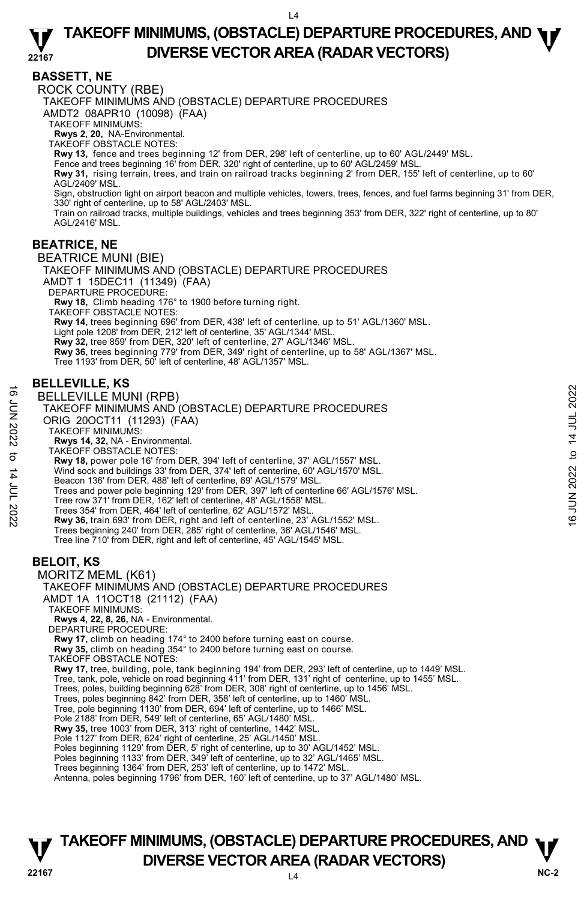**BASSETT, NE** 

ROCK COUNTY (RBE) TAKEOFF MINIMUMS AND (OBSTACLE) DEPARTURE PROCEDURES AMDT2 08APR10 (10098) (FAA) TAKEOFF MINIMUMS: **Rwys 2, 20,** NA-Environmental. TAKEOFF OBSTACLE NOTES: **Rwy 13,** fence and trees beginning 12' from DER, 298' left of centerline, up to 60' AGL/2449' MSL. Fence and trees beginning 16' from DER, 320' right of centerline, up to 60' AGL/2459' MSL. **Rwy 31,** rising terrain, trees, and train on railroad tracks beginning 2' from DER, 155' left of centerline, up to 60'<br>AGL/2409' MSL. Sign, obstruction light on airport beacon and multiple vehicles, towers, trees, fences, and fuel farms beginning 31' from DER, 330' right of centerline, up to 58' AGL/2403' MSL. Train on railroad tracks, multiple buildings, vehicles and trees beginning 353' from DER, 322' right of centerline, up to 80' AGL/2416' MSL. **BEATRICE, NE**  BEATRICE MUNI (BIE) TAKEOFF MINIMUMS AND (OBSTACLE) DEPARTURE PROCEDURES AMDT 1 15DEC11 (11349) (FAA) DEPARTURE PROCEDURE: **Rwy 18,** Climb heading 176° to 1900 before turning right. TAKEOFF OBSTACLE NOTES: **Rwy 14,** trees beginning 696' from DER, 438' left of centerline, up to 51' AGL/1360' MSL. Light pole 1208' from DER, 212' left of centerline, 35' AGL/1344' MSL. **Rwy 32,** tree 859' from DER, 320' left of centerline, 27' AGL/1346' MSL. **Rwy 36,** trees beginning 779' from DER, 349' right of centerline, up to 58' AGL/1367' MSL. Tree 1193' from DER, 50' left of centerline, 48' AGL/1357' MSL.

### **BELLEVILLE, KS**

BELLEVILLE MUNI (RPB) TAKEOFF MINIMUMS AND (OBSTACLE) DEPARTURE PROCEDURES ORIG 20OCT11 (11293) (FAA) TAKEOFF MINIMUMS: **Rwys 14, 32,** NA - Environmental. TAKEOFF OBSTACLE NOTES: **Rwy 18,** power pole 16' from DER, 394' left of centerline, 37' AGL/1557' MSL. Wind sock and buildings 33' from DER, 374' left of centerline, 60' AGL/1570' MSL. Beacon 136' from DER, 488' left of centerline, 69' AGL/1579' MSL. Trees and power pole beginning 129' from DER, 397' left of centerline 66' AGL/1576' MSL. Tree row 371' from DER, 162' left of centerline, 48' AGL/1558' MSL. Trees 354' from DER, 464' left of centerline, 62' AGL/1572' MSL. **Rwy 36,** train 693' from DER, right and left of centerline, 23' AGL/1552' MSL. Trees beginning 240' from DER, 285' right of centerline, 36' AGL/1546' MSL. Tree line 710' from DER, right and left of centerline, 45' AGL/1545' MSL. **BELOIT, KS**  MORITZ MEML (K61) TAKEOFF MINIMUMS AND (OBSTACLE) DEPARTURE PROCEDURES AMDT 1A 11OCT18 (21112) (FAA) TAKEOFF MINIMUMS: **Rwys 4, 22, 8, 26,** NA - Environmental. DEPARTURE PROCEDURE: **Rwy 17,** climb on heading 174° to 2400 before turning east on course. **Rwy 35,** climb on heading 354° to 2400 before turning east on course. TAKEOFF OBSTACLE NOTES: **Rwy 17,** tree, building, pole, tank beginning 194' from DER, 293' left of centerline, up to 1449' MSL. Tree, tank, pole, vehicle on road beginning 411' from DER, 131' right of centerline, up to 1455' MSL.<br>Trees, poles, building beginning 628' from DER, 308' right of centerline, up to 1456' MSL. Trees, poles beginning 842' from DER, 358' left of centerline, up to 1460' MSL. Tree, pole beginning 1130' from DER, 694' left of centerline, up to 1466' MSL. Pole 2188' from DER, 549' left of centerline, 65' AGL/1480' MSL. **Rwy 35,** tree 1003' from DER, 313' right of centerline, 1442' MSL. Pole 1127' from DER, 624' right of centerline, 25' AGL/1450' MSL. Poles beginning 1129' from DER, 5' right of centerline, up to 30' AGL/1452' MSL. Poles beginning 1133' from DER, 349<sup>Y</sup> left of centerline, up to 32' AGL/1465' MSL. Trees beginning 1364' from DER, 253' left of centerline, up to 1472' MSL. 16 DELLEVILLE MUNI (RPB)<br>
TAKEOFF MINIMUMS AND (OBSTACLE) DEPARTURE PROCEDURES<br>
ORIG 200CT11 (11293) (FAA)<br>
TAKEOFF MINIMUMS:<br>
TAKEOFF MINIMUMS:<br>
TAKEOFF MINIMUMS:<br>
TAKEOFF MINIMUMS:<br>
TAKEOFF MINIMUMS:<br>
TAKEOFF MINIMUMS:<br>

Antenna, poles beginning 1796' from DER, 160' left of centerline, up to 37' AGL/1480' MSL.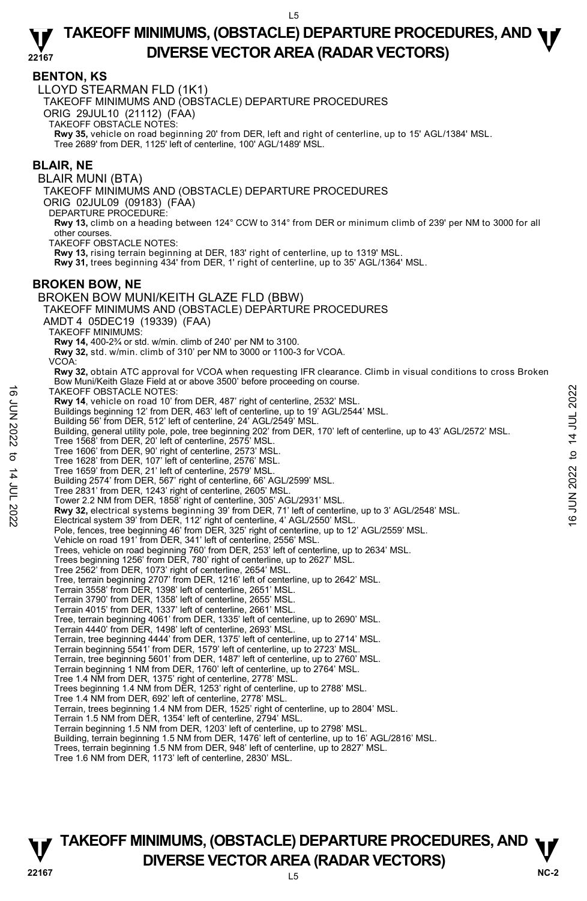### **BENTON, KS**

LLOYD STEARMAN FLD (1K1)

TAKEOFF MINIMUMS AND (OBSTACLE) DEPARTURE PROCEDURES

ORIG 29JUL10 (21112) (FAA)

TAKEOFF OBSTACLE NOTES:

**Rwy 35,** vehicle on road beginning 20' from DER, left and right of centerline, up to 15' AGL/1384' MSL. Tree 2689' from DER, 1125' left of centerline, 100' AGL/1489' MSL.

#### **BLAIR, NE**

BLAIR MUNI (BTA)

TAKEOFF MINIMUMS AND (OBSTACLE) DEPARTURE PROCEDURES

ORIG 02JUL09 (09183) (FAA)

DEPARTURE PROCEDURE:

**Rwy 13,** climb on a heading between 124° CCW to 314° from DER or minimum climb of 239' per NM to 3000 for all other courses.

TAKEOFF OBSTACLE NOTES:

**Rwy 13,** rising terrain beginning at DER, 183' right of centerline, up to 1319' MSL.

**Rwy 31,** trees beginning 434' from DER, 1' right of centerline, up to 35' AGL/1364' MSL.

#### **BROKEN BOW, NE**

BROKEN BOW MUNI/KEITH GLAZE FLD (BBW) TAKEOFF MINIMUMS AND (OBSTACLE) DEPARTURE PROCEDURES AMDT 4 05DEC19 (19339) (FAA) TAKEOFF MINIMUMS: **Rwy 14,** 400-2¾ or std. w/min. climb of 240' per NM to 3100. **Rwy 32,** std. w/min. climb of 310' per NM to 3000 or 1100-3 for VCOA. VCOA: **Rwy 32,** obtain ATC approval for VCOA when requesting IFR clearance. Climb in visual conditions to cross Broken<br>Bow Muni/Keith Glaze Field at or above 3500' before proceeding on course. TAKEOFF OBSTACLE NOTES: **Rwy 14**, vehicle on road 10' from DER, 487' right of centerline, 2532' MSL. Buildings beginning 12' from DER, 463' left of centerline, up to 19' AGL/2544' MSL. Building 56' from DER, 512' left of centerline, 24' AGL/2549' MSL. Building, general utility pole, pole, tree beginning 202' from DER, 170' left of centerline, up to 43' AGL/2572' MSL. Tree 1568' from DER, 20' left of centerline, 2575' MSL. Tree 1606' from DER, 90' right of centerline, 2573' MSL. Tree 1628' from DER, 107' left of centerline, 2576' MSL. Tree 1659' from DER, 21' left of centerline, 2579' MSL. Building 2574' from DER, 567' right of centerline, 66' AGL/2599' MSL. Tree 2831' from DER, 1243' right of centerline, 2605' MSL. Tower 2.2 NM from DER, 1858' right of centerline, 305' AGL/2931' MSL. TAKEOFF OBSTACLE NOTES:<br>
Evaluation road 10' from DER, 487' right of centerline, 2532' MSL.<br>
Evaluating 56' from DER, 163' left of centerline, up to 19' AGL/2544' MSL.<br>
Building 56' from DER, 512' left of centerline, up t Pole, fences, tree beginning 46' from DER, 325' right of centerline, up to 12' AGL/2559' MSL. Vehicle on road 191' from DER, 341' left of centerline, 2556' MSL. Trees, vehicle on road beginning 760' from DER, 253' left of centerline, up to 2634' MSL. Trees beginning 1256' from DER, 780' right of centerline, up to 2627' MSL. Tree 2562' from DER, 1073' right of centerline, 2654' MSL. Tree, terrain beginning 2707' from DER, 1216' left of centerline, up to 2642' MSL. Terrain 3558' from DER, 1398' left of centerline, 2651' MSL. Terrain 3790' from DER, 1358' left of centerline, 2655' MSL. Terrain 4015' from DER, 1337' left of centerline, 2661' MSL. Tree, terrain beginning 4061' from DER, 1335' left of centerline, up to 2690' MSL. Terrain 4440' from DER, 1498' left of centerline, 2693' MSL. Terrain, tree beginning 4444' from DER, 1375' left of centerline, up to 2714' MSL. Terrain beginning 5541' from DER, 1579' left of centerline, up to 2723' MSL. Terrain, tree beginning 5601' from DER, 1487' left of centerline, up to 2760' MSL. Terrain beginning 1 NM from DER, 1760' left of centerline, up to 2764' MSL. Tree 1.4 NM from DER, 1375' right of centerline, 2778' MSL. Trees beginning 1.4 NM from DER, 1253' right of centerline, up to 2788' MSL. Tree 1.4 NM from DER, 692' left of centerline, 2778' MSL. Terrain, trees beginning 1.4 NM from DER, 1525' right of centerline, up to 2804' MSL. Terrain 1.5 NM from DER, 1354' left of centerline, 2794' MSL. Terrain beginning 1.5 NM from DER, 1203' left of centerline, up to 2798' MSL. Building, terrain beginning 1.5 NM from DER, 1476' left of centerline, up to 16' AGL/2816' MSL. Trees, terrain beginning 1.5 NM from DER, 948' left of centerline, up to 2827' MSL. Tree 1.6 NM from DER, 1173' left of centerline, 2830' MSL.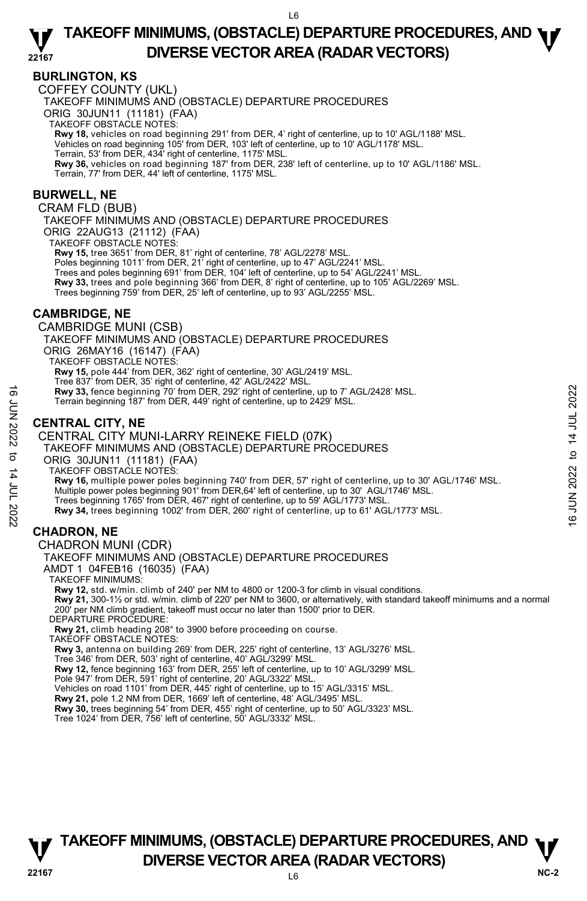### **BURLINGTON, KS**

COFFEY COUNTY (UKL)

TAKEOFF MINIMUMS AND (OBSTACLE) DEPARTURE PROCEDURES

ORIG 30JUN11 (11181) (FAA)

TAKEOFF OBSTACLE NOTES:

**Rwy 18,** vehicles on road beginning 291' from DER, 4' right of centerline, up to 10' AGL/1188' MSL.<br>Vehicles on road beginning 105' from DER, 103' left of centerline, up to 10' AGL/1178' MSL.

Terrain, 53' from DER, 434' right of centerline, 1175' MSL.

**Rwy 36,** vehicles on road beginning 187' from DER, 238' left of centerline, up to 10' AGL/1186' MSL. Terrain, 77' from DER, 44' left of centerline, 1175' MSL.

### **BURWELL, NE**

CRAM FLD (BUB)

TAKEOFF MINIMUMS AND (OBSTACLE) DEPARTURE PROCEDURES ORIG 22AUG13 (21112) (FAA)

TAKEOFF OBSTACLE NOTES:

**Rwy 15,** tree 3651' from DER, 81' right of centerline, 78' AGL/2278' MSL.

Poles beginning 1011' from DER, 21' right of centerline, up to 47' AGL/2241' MSL.

Trees and poles beginning 691' from DER, 104' left of centerline, up to 54' AGL/2241' MSL.

**Rwy 33,** trees and pole beginning 366' from DER, 8' right of centerline, up to 105' AGL/2269' MSL.<br>Trees beginning 759' from DER, 25' left of centerline, up to 93' AGL/2255' MSL.

### **CAMBRIDGE, NE**

CAMBRIDGE MUNI (CSB) TAKEOFF MINIMUMS AND (OBSTACLE) DEPARTURE PROCEDURES ORIG 26MAY16 (16147) (FAA) TAKEOFF OBSTACLE NOTES: **Rwy 15,** pole 444' from DER, 362' right of centerline, 30' AGL/2419' MSL.<br>Tree 837' from DER, 35' right of centerline, 42' AGL/2422' MSL. **Rwy 33,** fence beginning 70' from DER, 292' right of centerline, up to 7' AGL/2428' MSL. Terrain beginning 187' from DER, 449' right of centerline, up to 2429' MSL.

### **CENTRAL CITY, NE**

CENTRAL CITY MUNI-LARRY REINEKE FIELD (07K) TAKEOFF MINIMUMS AND (OBSTACLE) DEPARTURE PROCEDURES ORIG 30JUN11 (11181) (FAA) TAKEOFF OBSTACLE NOTES: **Rwy 16,** multiple power poles beginning 740' from DER, 57' right of centerline, up to 30' AGL/1746' MSL. Multiple power poles beginning 901' from DER,64' left of centerline, up to 30' AGL/1746' MSL. Trees beginning 1765' from DER, 467' right of centerline, up to 59' AGL/1773' MSL **Rwy 34,** trees beginning 1002' from DER, 260' right of centerline, up to 61' AGL/1773' MSL. Revy 33, fence beginning 70' from DER, 292' right of centerline, up to 7' AGL/2428' MSL.<br>
Terrain beginning 187' from DER, 449' right of centerline, up to 2429' MSL.<br>
CENTRAL CITY, NE<br>
CENTRAL CITY MUNI-LARRY REINEKE FIEL

### **CHADRON, NE**

CHADRON MUNI (CDR)

TAKEOFF MINIMUMS AND (OBSTACLE) DEPARTURE PROCEDURES

AMDT 1 04FEB16 (16035) (FAA)

TAKEOFF MINIMUMS:

**Rwy 12,** std. w/min. climb of 240' per NM to 4800 or 1200-3 for climb in visual conditions.

**Rwy 21,** 300-1½ or std. w/min. climb of 220' per NM to 3600, or alternatively, with standard takeoff minimums and a normal 200' per NM climb gradient, takeoff must occur no later than 1500' prior to DER. DEPARTURE PROCEDURE:

**Rwy 21,** climb heading 208° to 3900 before proceeding on course.

TAKEOFF OBSTACLE NOTES:

**Rwy 3,** antenna on building 269' from DER, 225' right of centerline, 13' AGL/3276' MSL.

Tree 346' from DER, 503' right of centerline, 40' AGL/3299' MSL.

**Rwy 12,** fence beginning 163' from DER, 255' left of centerline, up to 10' AGL/3299' MSL.

Pole 947' from DER, 591' right of centerline, 20' AGL/3322' MSL.

Vehicles on road 1101' from DER, 445' right of centerline, up to 15' AGL/3315' MSL.

**Rwy 21,** pole 1.2 NM from DER, 1669' left of centerline, 48' AGL/3495' MSL.

**Rwy 30,** trees beginning 54' from DER, 455' right of centerline, up to 50' AGL/3323' MSL.<br>Tree 1024' from DER, 756' left of centerline, 50' AGL/3332' MSL.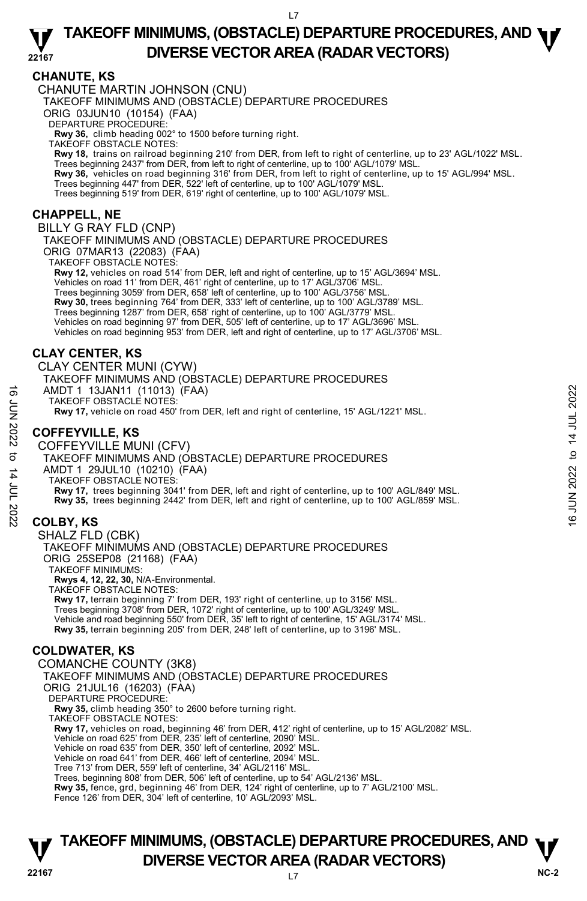### **CHANUTE, KS**

CHANUTE MARTIN JOHNSON (CNU)

TAKEOFF MINIMUMS AND (OBSTACLE) DEPARTURE PROCEDURES

ORIG 03JUN10 (10154) (FAA)

DEPARTURE PROCEDURE:

**Rwy 36,** climb heading 002° to 1500 before turning right. TAKEOFF OBSTACLE NOTES:

**Rwy 18,** trains on railroad beginning 210' from DER, from left to right of centerline, up to 23' AGL/1022' MSL. Trees beginning 2437' from DER, from left to right of centerline, up to 100' AGL/1079' MSL.

**Rwy 36,** vehicles on road beginning 316' from DER, from left to right of centerline, up to 15' AGL/994' MSL.<br>Trees beginning 447' from DER, 522' left of centerline, up to 100' AGL/1079' MSL.

Trees beginning 519' from DER, 619' right of centerline, up to 100' AGL/1079' MSL.

### **CHAPPELL, NE**

BILLY G RAY FLD (CNP)

TAKEOFF MINIMUMS AND (OBSTACLE) DEPARTURE PROCEDURES ORIG 07MAR13 (22083) (FAA)

TAKEOFF OBSTACLE NOTES:

**Rwy 12,** vehicles on road 514' from DER, left and right of centerline, up to 15' AGL/3694' MSL. Vehicles on road 11' from DER, 461' right of centerline, up to 17' AGL/3706' MSL. Trees beginning 3059' from DER, 658' left of centerline, up to 100' AGL/3756' MSL. **Rwy 30,** trees beginning 764' from DER, 333' left of centerline, up to 100' AGL/3789' MSL. Trees beginning 1287' from DER, 658' right of centerline, up to 100' AGL/3779' MSL. Vehicles on road beginning 97' from DER, 505' left of centerline, up to 17' AGL/3696' MSL. Vehicles on road beginning 953' from DER, left and right of centerline, up to 17' AGL/3706' MSL.

### **CLAY CENTER, KS**

CLAY CENTER MUNI (CYW) TAKEOFF MINIMUMS AND (OBSTACLE) DEPARTURE PROCEDURES AMDT 1 13JAN11 (11013) (FAA) TAKEOFF OBSTACLE NOTES: **Rwy 17,** vehicle on road 450' from DER, left and right of centerline, 15' AGL/1221' MSL.

### **COFFEYVILLE, KS**

COFFEYVILLE MUNI (CFV) TAKEOFF MINIMUMS AND (OBSTACLE) DEPARTURE PROCEDURES AMDT 1 29JUL10 (10210) (FAA) TAKEOFF OBSTACLE NOTES: **Rwy 17,** trees beginning 3041' from DER, left and right of centerline, up to 100' AGL/849' MSL. **Rwy 35,** trees beginning 2442' from DER, left and right of centerline, up to 100' AGL/859' MSL. AMDT 1 13JAN11 (11013) (FAA)<br>
TAKEOFF OBSTACLE NOTES:<br>
TAKEOFF OBSTACLE MOT DER, left and right of centerline, 15' AGL/1221' MSL.<br>
COFFEYVILLE, KS<br>
COFFEYVILLE MUNI (CFV)<br>
TAKEOFF MINIMUMS AND (OBSTACLE) DEPARTURE PROCE

### **COLBY, KS**

SHALZ FLD (CBK) TAKEOFF MINIMUMS AND (OBSTACLE) DEPARTURE PROCEDURES ORIG 25SEP08 (21168) (FAA) TAKEOFF MINIMUMS: **Rwys 4, 12, 22, 30,** N/A-Environmental. TAKEOFF OBSTACLE NOTES:

**Rwy 17,** terrain beginning 7' from DER, 193' right of centerline, up to 3156' MSL. Trees beginning 3708' from DER, 1072' right of centerline, up to 100' AGL/3249' MSL.<br>Vehicle and road beginning 550' from DER, 35' left to right of centerline, 15' AGL/3174' MSL. **Rwy 35,** terrain beginning 205' from DER, 248' left of centerline, up to 3196' MSL.

### **COLDWATER, KS**

COMANCHE COUNTY (3K8) TAKEOFF MINIMUMS AND (OBSTACLE) DEPARTURE PROCEDURES ORIG 21JUL16 (16203) (FAA) DEPARTURE PROCEDURE: **Rwy 35,** climb heading 350° to 2600 before turning right. TAKEOFF OBSTACLE NOTES: **Rwy 17,** vehicles on road, beginning 46' from DER, 412' right of centerline, up to 15' AGL/2082' MSL. Vehicle on road 625' from DER, 235' left of centerline, 2090' MSL. Vehicle on road 635' from DER, 350' left of centerline, 2092' MSL. Vehicle on road 641' from DER, 466' left of centerline, 2094' MSL. Tree 713' from DER, 559' left of centerline, 34' AGL/2116' MSL. Trees, beginning 808' from DER, 506' left of centerline, up to 54' AGL/2136' MSL. **Rwy 35,** fence, grd, beginning 46' from DER, 124' right of centerline, up to 7' AGL/2100' MSL. Fence 126' from DER, 304' left of centerline, 10' AGL/2093' MSL.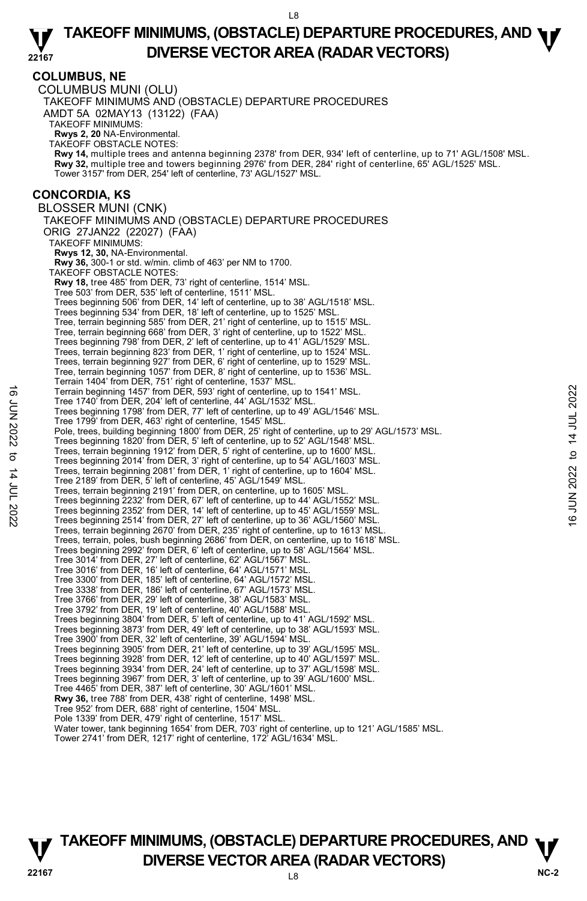#### **COLUMBUS, NE**  COLUMBUS MUNI (OLU) TAKEOFF MINIMUMS AND (OBSTACLE) DEPARTURE PROCEDURES AMDT 5A 02MAY13 (13122) (FAA) TAKEOFF MINIMUMS: **Rwys 2, 20** NA-Environmental. TAKEOFF OBSTACLE NOTES: **Rwy 14,** multiple trees and antenna beginning 2378' from DER, 934' left of centerline, up to 71' AGL/1508' MSL. **Rwy 32,** multiple tree and towers beginning 2976' from DER, 284' right of centerline, 65' AGL/1525' MSL. Tower 3157' from DER, 254' left of centerline, 73' AGL/1527' MSL. **CONCORDIA, KS**  BLOSSER MUNI (CNK) TAKEOFF MINIMUMS AND (OBSTACLE) DEPARTURE PROCEDURES ORIG 27JAN22 (22027) (FAA) TAKEOFF MINIMUMS: **Rwys 12, 30,** NA-Environmental. **Rwy 36,** 300-1 or std. w/min. climb of 463' per NM to 1700. TAKEOFF OBSTACLE NOTES: **Rwy 18,** tree 485' from DER, 73' right of centerline, 1514' MSL. Tree 503' from DER, 535' left of centerline, 1511' MSL. Trees beginning 506' from DER, 14' left of centerline, up to 38' AGL/1518' MSL. Trees beginning 534' from DER, 18' left of centerline, up to 1525' MSL. Tree, terrain beginning 585' from DER, 21' right of centerline, up to 1515' MSL. Tree, terrain beginning 668' from DER, 3' right of centerline, up to 1522' MSL. Trees beginning 798' from DER, 2' left of centerline, up to 41' AGL/1529' MSL. Trees, terrain beginning 823' from DER, 1' right of centerline, up to 1524' MSL. Trees, terrain beginning 927' from DER, 6' right of centerline, up to 1529' MSL. Tree, terrain beginning 1057' from DER, 8' right of centerline, up to 1536' MSL. Terrain 1404' from DER, 751' right of centerline, 1537' MSL. Terrain beginning 1457' from DER, 593' right of centerline, up to 1541' MSL. Tree 1740' from DER, 204' left of centerline, 44' AGL/1532' MSL. Trees beginning 1798' from DER, 77' left of centerline, up to 49' AGL/1546' MSL. Tree 1799' from DER, 463' right of centerline, 1545' MSL. Pole, trees, building beginning 1800' from DER, 25' right of centerline, up to 29' AGL/1573' MSL. Trees beginning 1820' from DER, 5' left of centerline, up to 52' AGL/1548' MSL. Trees, terrain beginning 1912' from DER, 5' right of centerline, up to 1600' MSL. Trees beginning 2014' from DER, 3' right of centerline, up to 54' AGL/1603' MSL. Trees, terrain beginning 2081' from DER, 1' right of centerline, up to 1604' MSL. Tree 2189' from DER, 5' left of centerline, 45' AGL/1549' MSL. Trees, terrain beginning 2191' from DER, on centerline, up to 1605' MSL. Trees beginning 2232' from DER, 67' left of centerline, up to 44' AGL/1552' MSL. Trees beginning 2352' from DER, 14' left of centerline, up to 45' AGL/1559' MSL. Trees beginning 2514' from DER, 27' left of centerline, up to 36' AGL/1560' MSL. Trees, terrain beginning 2670' from DER, 235' right of centerline, up to 1613' MSL. Trees, terrain, poles, bush beginning 2686' from DER, on centerline, up to 1618' MSL. Trees beginning 2992' from DER, 6' left of centerline, up to 58' AGL/1564' MSL. Tree 3014' from DER, 27' left of centerline, 62' AGL/1567' MSL. Tree 3016' from DER, 16' left of centerline, 64' AGL/1571' MSL. Tree 3300' from DER, 185' left of centerline, 64' AGL/1572' MSL. Tree 3338' from DER, 186' left of centerline, 67' AGL/1573' MSL. Tree 3766' from DER, 29' left of centerline, 38' AGL/1583' MSL. Tree 3792' from DER, 19' left of centerline, 40' AGL/1588' MSL. Trees beginning 3804' from DER, 5' left of centerline, up to 41' AGL/1592' MSL. Trees beginning 3873' from DER, 49' left of centerline, up to 38' AGL/1593' MSL. Tree 3900' from DER, 32' left of centerline, 39' AGL/1594' MSL.<br>Trees beginning 3905' from DER, 21' left of centerline, up to 39' AGL/1595' MSL.<br>Trees beginning 3928' from DER, 12' left of centerline, up to 40' AGL/1597' M Trees beginning 3934' from DER, 24' left of centerline, up to 37' AGL/1598' MSL. Trees beginning 3967' from DER, 3' left of centerline, up to 39' AGL/1600' MSL. Tree 4465' from DER, 387' left of centerline, 30' AGL/1601' MSL. **Rwy 36,** tree 788' from DER, 438' right of centerline, 1498' MSL. Tree 952' from DER, 688' right of centerline, 1504' MSL. Pole 1339' from DER, 479' right of centerline, 1517' MSL. Water tower, tank beginning 1654' from DER, 703' right of centerline, up to 121' AGL/1585' MSL. Tower 2741' from DER, 1217' right of centerline, 172' AGL/1634' MSL. Terrain beginning 1457' from DER, 593' right of centerline, up to 1541' MSL.<br>
Tree 1740' from DER, 202<sup>1</sup> left of centerline, 44 AGL/1532' MSL.<br>
Tree heginning 1798' from DER, 7<sup>7</sup> left of centerline, up to 49' AGL/1546'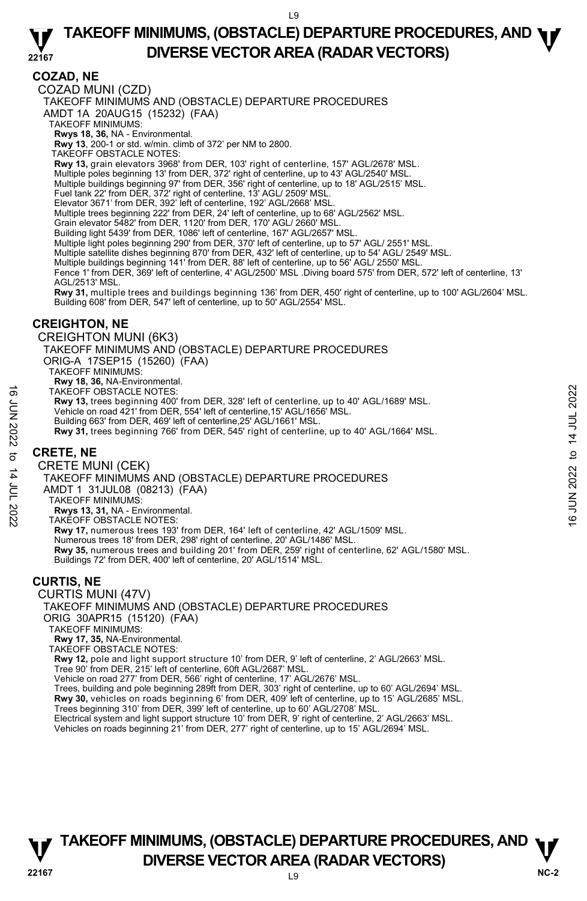### **COZAD, NE**

COZAD MUNI (CZD)

TAKEOFF MINIMUMS AND (OBSTACLE) DEPARTURE PROCEDURES

AMDT 1A 20AUG15 (15232) (FAA)

TAKEOFF MINIMUMS:

**Rwys 18, 36,** NA - Environmental.<br>**Rwy 13**, 200-1 or std. w/min. climb of 372' per NM to 2800.

TAKEOFF OBSTACLE NOTES:

**Rwy 13,** grain elevators 3968' from DER, 103' right of centerline, 157' AGL/2678' MSL.

- Multiple poles beginning 13' from DER, 372' right of centerline, up to 43' AGL/2540' MSL. Multiple buildings beginning 97' from DER, 356' right of centerline, up to 18' AGL/2515' MSL.
- 
- Fuel tank 22' from DER, 372' right of centerline, 13' AGL/ 2509' MSL.

Elevator 3671' from DER, 392' left of centerline, 192' AGL/2668' MSL

Multiple trees beginning 222' from DER, 24' left of centerline, up to 68' AGL/2562' MSL.

Grain elevator 5482' from DER, 1120' from DER, 170' AGL/ 2660' MSL.

Building light 5439' from DER, 1086' left of centerline, 167' AGL/2657' MSI

Multiple light poles beginning 290' from DER, 370' left of centerline, up to 57' AGL/ 2551' MSL.

Multiple satellite dishes beginning 870' from DER, 432' left of centerline, up to 54' AGL/ 2549' MSL.

Multiple buildings beginning 141' from DER, 88' left of centerline, up to 56' AGL/ 2550' MSL.

Fence 1' from DER, 369' left of centerline, 4' AGL/2500' MSL .Diving board 575' from DER, 572' left of centerline, 13' AGL/2513' MSL.

**Rwy 31,** multiple trees and buildings beginning 136' from DER, 450' right of centerline, up to 100' AGL/2604' MSL. Building 608' from DER, 547' left of centerline, up to 50' AGL/2554' MSL.

### **CREIGHTON, NE**

CREIGHTON MUNI (6K3)

TAKEOFF MINIMUMS AND (OBSTACLE) DEPARTURE PROCEDURES ORIG-A 17SEP15 (15260) (FAA) TAKEOFF MINIMUMS: **Rwy 18, 36,** NA-Environmental.

TAKEOFF OBSTACLE NOTES:

**Rwy 13,** trees beginning 400' from DER, 328' left of centerline, up to 40' AGL/1689' MSL.<br>Vehicle on road 421' from DER, 554' left of centerline,15' AGL/1656' MSL.

- 
- Building 663' from DER, 469' left of centerline,25' AGL/1661' MSL.
- **Rwy 31,** trees beginning 766' from DER, 545' right of centerline, up to 40' AGL/1664' MSL.

## **CRETE, NE**

CRETE MUNI (CEK) TAKEOFF MINIMUMS AND (OBSTACLE) DEPARTURE PROCEDURES AMDT 1 31JUL08 (08213) (FAA) TAKEOFF MINIMUMS: **Rwys 13, 31,** NA - Environmental. TAKEOFF OBSTACLE NOTES: **Rwy 17,** numerous trees 193' from DER, 164' left of centerline, 42' AGL/1509' MSL. Numerous trees 18' from DER, 298' right of centerline, 20' AGL/1486' MSL. **Rwy 35,** numerous trees and building 201' from DER, 259' right of centerline, 62' AGL/1580' MSL. Buildings 72' from DER, 400' left of centerline, 20' AGL/1514' MSL. TAKÉOFF OBSTACLE NOTES:<br>
Ruy 13, trees beginning 400' from DER, 328' left of centerline, up to 40' AGL/1689' MSL.<br>
Vehicle on road 421' from DER, 554' left of centerline, 15' AGL/1656' MSL.<br>
Building 663' from DER, 469' l

### **CURTIS, NE**

CURTIS MUNI (47V) TAKEOFF MINIMUMS AND (OBSTACLE) DEPARTURE PROCEDURES ORIG 30APR15 (15120) (FAA) TAKEOFF MINIMUMS: **Rwy 17, 35,** NA-Environmental. TAKEOFF OBSTACLE NOTES:

**Rwy 12,** pole and light support structure 10' from DER, 9' left of centerline, 2' AGL/2663' MSL.

Tree 90' from DER, 215' left of centerline, 60ft AGL/2687' MSL.

Vehicle on road 277' from DER, 566' right of centerline, 17' AGL/2676' MSL. Trees, building and pole beginning 289ft from DER, 303' right of centerline, up to 60' AGL/2694' MSL.

**Rwy 30,** vehicles on roads beginning 6' from DER, 409' left of centerline, up to 15' AGL/2685' MSL.

Trees beginning 310' from DER, 399' left of centerline, up to 60' AGL/2708' MSL. Electrical system and light support structure 10' from DER, 9' right of centerline, 2' AGL/2663' MSL.

Vehicles on roads beginning 21' from DER, 277' right of centerline, up to 15' AGL/2694' MSL.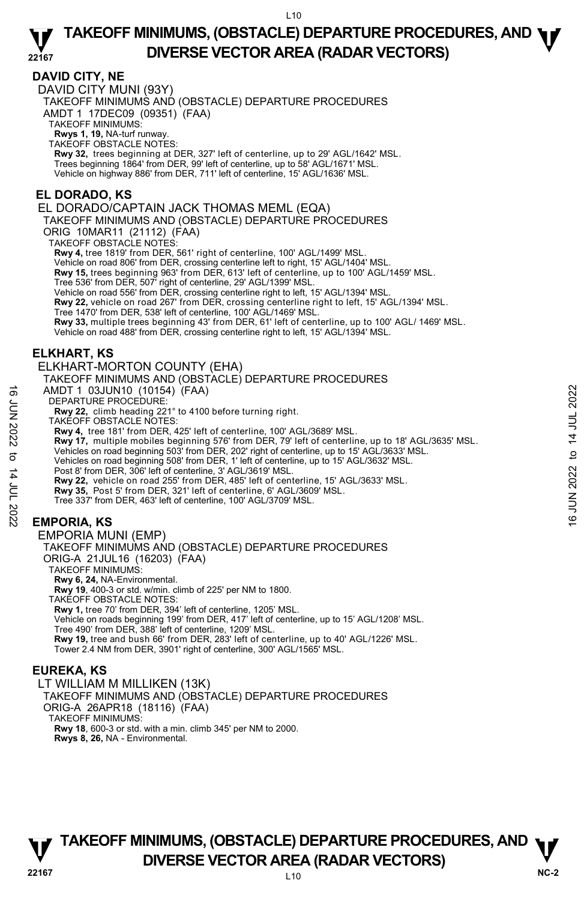### **DAVID CITY, NE**

DAVID CITY MUNI (93Y) TAKEOFF MINIMUMS AND (OBSTACLE) DEPARTURE PROCEDURES AMDT 1 17DEC09 (09351) (FAA) TAKEOFF MINIMUMS: **Rwys 1, 19,** NA-turf runway. TAKEOFF OBSTACLE NOTES: **Rwy 32,** trees beginning at DER, 327' left of centerline, up to 29' AGL/1642' MSL. Trees beginning 1864' from DER, 99' left of centerline, up to 58' AGL/1671' MSL.

Vehicle on highway 886' from DER, 711' left of centerline, 15' AGL/1636' MSL.

### **EL DORADO, KS**

EL DORADO/CAPTAIN JACK THOMAS MEML (EQA)

TAKEOFF MINIMUMS AND (OBSTACLE) DEPARTURE PROCEDURES

ORIG 10MAR11 (21112) (FAA)

TAKEOFF OBSTACLE NOTES:

**Rwy 4,** tree 1819' from DER, 561' right of centerline, 100' AGL/1499' MSL.

Vehicle on road 806' from DER, crossing centerline left to right, 15' AGL/1404' MSL.

**Rwy 15,** trees beginning 963' from DER, 613' left of centerline, up to 100' AGL/1459' MSL.<br>Tree 536' from DER, 507' right of centerline, 29' AGL/1399' MSL.

Vehicle on road 556' from DER, crossing centerline right to left, 15' AGL/1394' MSL.

**Rwy 22,** vehicle on road 267' from DER, crossing centerline right to left, 15' AGL/1394' MSL.<br>Tree 1470' from DER, 538' left of centerline, 100' AGL/1469' MSL.

**Rwy 33,** multiple trees beginning 43' from DER, 61' left of centerline, up to 100' AGL/ 1469' MSL.

Vehicle on road 488' from DER, crossing centerline right to left, 15' AGL/1394' MSL.

### **ELKHART, KS**

#### ELKHART-MORTON COUNTY (EHA)

TAKEOFF MINIMUMS AND (OBSTACLE) DEPARTURE PROCEDURES

AMDT 1 03JUN10 (10154) (FAA)

DEPARTURE PROCEDURE:

**Rwy 22,** climb heading 221° to 4100 before turning right.

TAKEOFF OBSTACLE NOTES:

**Rwy 4,** tree 181' from DER, 425' left of centerline, 100' AGL/3689' MSL.

**Rwy 17,** multiple mobiles beginning 576' from DER, 79' left of centerline, up to 18' AGL/3635' MSL.<br>Vehicles on road beginning 503' from DER, 202' right of centerline, up to 15' AGL/3633' MSL.<br>Vehicles on road beginning 5 AMDT 1 03JUN10 (10154) (FAA)<br>
DEPARTURE PROCEDURE:<br>
Rwy 22, climb heading 221° to 4100 before turning right.<br>
TAKEOFF OBSTACLE NOTES:<br>
TAKEOFF OBSTACLE NOTES:<br>
Rwy 4, the 181' from DER, 229' left of centerline, 100' AGL

Post 8' from DER, 306' left of centerline, 3' AGL/3619' MSL.

**Rwy 22,** vehicle on road 255' from DER, 485' left of centerline, 15' AGL/3633' MSL.

**Rwy 35,** Post 5' from DER, 321' left of centerline, 6' AGL/3609' MSL.

Tree 337' from DER, 463' left of centerline, 100' AGL/3709' MSL.

### **EMPORIA, KS**

#### EMPORIA MUNI (EMP) TAKEOFF MINIMUMS AND (OBSTACLE) DEPARTURE PROCEDURES ORIG-A 21JUL16 (16203) (FAA) TAKEOFF MINIMUMS: **Rwy 6, 24,** NA-Environmental. **Rwy 19**, 400-3 or std. w/min. climb of 225' per NM to 1800. TAKEOFF OBSTACLE NOTES: **Rwy 1,** tree 70' from DER, 394' left of centerline, 1205' MSL. Vehicle on roads beginning 199' from DER, 417' left of centerline, up to 15' AGL/1208' MSL. Tree 490' from DER, 388' left of centerline, 1209' MSL. **Rwy 19,** tree and bush 66' from DER, 283' left of centerline, up to 40' AGL/1226' MSL. Tower 2.4 NM from DER, 3901' right of centerline, 300' AGL/1565' MSL.

#### **EUREKA, KS**

LT WILLIAM M MILLIKEN (13K) TAKEOFF MINIMUMS AND (OBSTACLE) DEPARTURE PROCEDURES ORIG-A 26APR18 (18116) (FAA) TAKEOFF MINIMUMS: **Rwy 18**, 600-3 or std. with a min. climb 345' per NM to 2000. **Rwys 8, 26,** NA - Environmental.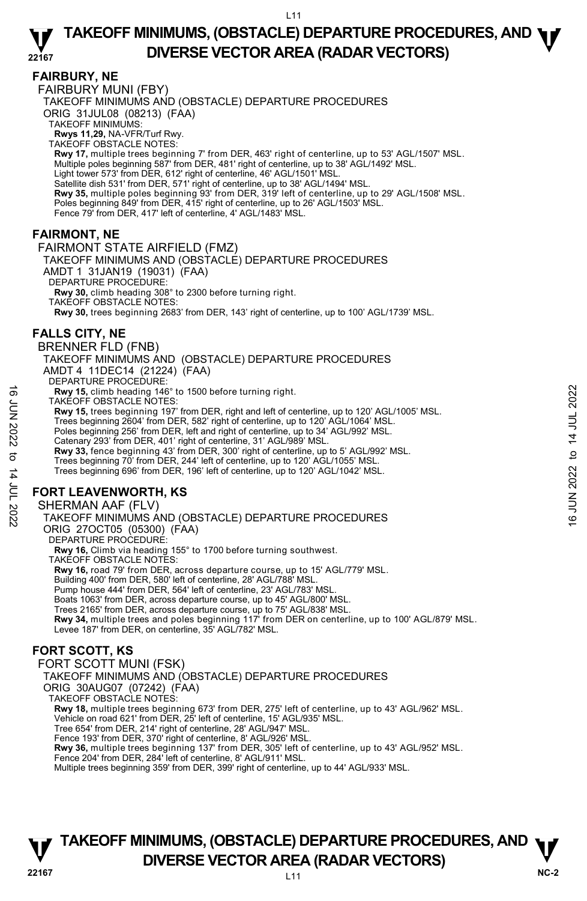### **FAIRBURY, NE**

FAIRBURY MUNI (FBY) TAKEOFF MINIMUMS AND (OBSTACLE) DEPARTURE PROCEDURES ORIG 31JUL08 (08213) (FAA) TAKEOFF MINIMUMS: **Rwys 11,29,** NA-VFR/Turf Rwy. TAKEOFF OBSTACLE NOTES: **Rwy 17,** multiple trees beginning 7' from DER, 463' right of centerline, up to 53' AGL/1507' MSL. Multiple poles beginning 587' from DER, 481' right of centerline, up to 38' AGL/1492' MSL. Light tower 573' from DER, 612' right of centerline, 46' AGL/1501' MSL. Satellite dish 531' from DER, 571' right of centerline, up to 38' AGL/1494' MSL. **Rwy 35,** multiple poles beginning 93' from DER, 319' left of centerline, up to 29' AGL/1508' MSL. Poles beginning 849' from DER, 415' right of centerline, up to 26' AGL/1503' MSL. Fence 79' from DER, 417' left of centerline, 4' AGL/1483' MSL.

### **FAIRMONT, NE**

FAIRMONT STATE AIRFIELD (FMZ) TAKEOFF MINIMUMS AND (OBSTACLE) DEPARTURE PROCEDURES AMDT 1 31JAN19 (19031) (FAA) DEPARTURE PROCEDURE: **Rwy 30,** climb heading 308° to 2300 before turning right. TAKEOFF OBSTACLE NOTES: **Rwy 30,** trees beginning 2683' from DER, 143' right of centerline, up to 100' AGL/1739' MSL.

### **FALLS CITY, NE**

BRENNER FLD (FNB) TAKEOFF MINIMUMS AND (OBSTACLE) DEPARTURE PROCEDURES AMDT 4 11DEC14 (21224) (FAA) DEPARTURE PROCEDURE **Rwy 15,** climb heading 146° to 1500 before turning right. TAKEOFF OBSTACLE NOTES: **Rwy 15,** trees beginning 197' from DER, right and left of centerline, up to 120' AGL/1005' MSL.

Trees beginning 2604' from DER, 582' right of centerline, up to 120' AGL/1064' MSL. Poles beginning 256' from DER, left and right of centerline, up to 34' AGL/992' MSL. Catenary 293' from DER, 401' right of centerline, 31' AGL/989' MSL.<br>**Rwy 33,** fence beginning 43' from DER, 300' right of centerline, up to 5' AGL/992' MSL. Trees beginning 70' from DER, 244' left of centerline, up to 120' AGL/1055' MSL. Note TAKEOFF OBSTACLE ON THE PROCEDURES<br>
TAKEOFF OBSTACLE NOTES:<br>
THE MAN 15, trees beginning 197 from DER, right and left of centerline, up to 120' AGL/1005' MSL.<br>
Trees beginning 2604' from DER, 582' right of centerlin

Trees beginning 696' from DER, 196' left of centerline, up to 120' AGL/1042' MSL.

### **FORT LEAVENWORTH, KS**

#### SHERMAN AAF (FLV)

TAKEOFF MINIMUMS AND (OBSTACLE) DEPARTURE PROCEDURES ORIG 27OCT05 (05300) (FAA) DEPARTURE PROCEDURE: **Rwy 16,** Climb via heading 155° to 1700 before turning southwest. TAKEOFF OBSTACLE NOTES:

**Rwy 16,** road 79' from DER, across departure course, up to 15' AGL/779' MSL. Building 400' from DER, 580' left of centerline, 28' AGL/788' MSL. Pump house 444' from DER, 564' left of centerline, 23' AGL/783' MSL. Boats 1063' from DER, across departure course, up to 45' AGL/800' MSL. Trees 2165' from DER, across departure course, up to 75' AGL/838' MSL.<br>**Rwy 34,** multiple trees and poles beginning 117' from DER on centerline, up to 100' AGL/879' MSL. Levee 187' from DER, on centerline, 35' AGL/782' MSL.

### **FORT SCOTT, KS**

FORT SCOTT MUNI (FSK) TAKEOFF MINIMUMS AND (OBSTACLE) DEPARTURE PROCEDURES ORIG 30AUG07 (07242) (FAA) TAKEOFF OBSTACLE NOTES: **Rwy 18,** multiple trees beginning 673' from DER, 275' left of centerline, up to 43' AGL/962' MSL.<br>Vehicle on road 621' from DER, 25' left of centerline, 15' AGL/935' MSL. Tree 654' from DER, 214' right of centerline, 28' AGL/947' MSL. Fence 193' from DER, 370' right of centerline, 8' AGL/926' MSL. **Rwy 36,** multiple trees beginning 137' from DER, 305' left of centerline, up to 43' AGL/952' MSL. Fence 204' from DER, 284' left of centerline, 8' AGL/911' MSL. Multiple trees beginning 359' from DER, 399' right of centerline, up to 44' AGL/933' MSL.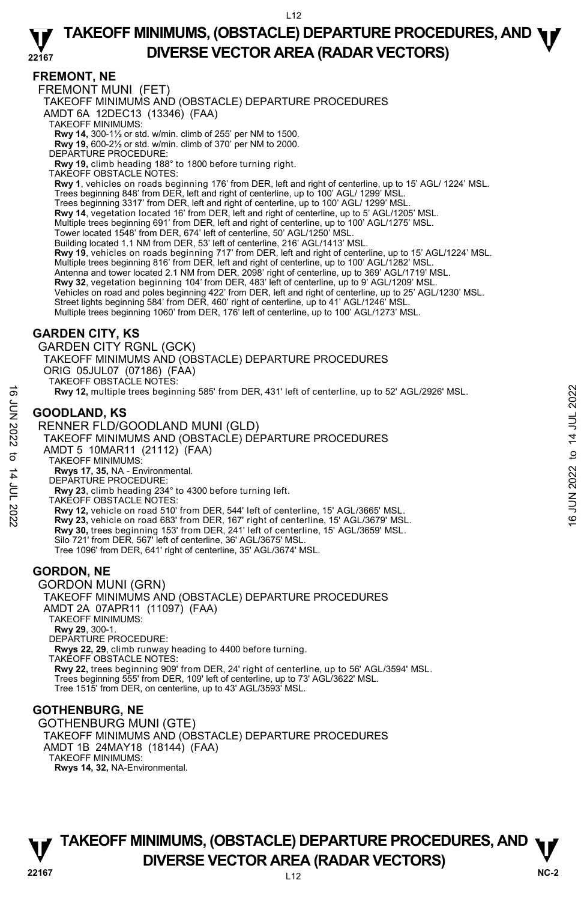### **FREMONT, NE**

FREMONT MUNI (FET)

TAKEOFF MINIMUMS AND (OBSTACLE) DEPARTURE PROCEDURES

AMDT 6A 12DEC13 (13346) (FAA)

TAKEOFF MINIMUMS:

**Rwy 14,** 300-1½ or std. w/min. climb of 255' per NM to 1500. **Rwy 19,** 600-2½ or std. w/min. climb of 370' per NM to 2000.

DEPARTURE PROCEDURE:

**Rwy 19,** climb heading 188° to 1800 before turning right.

TAKEOFF OBSTACLE NOTES:

**Rwy 1**, vehicles on roads beginning 176' from DER, left and right of centerline, up to 15' AGL/ 1224' MSL. Trees beginning 848' from DER, left and right of centerline, up to 100' AGL/ 1299' MSL. Trees beginning 3317' from DER, left and right of centerline, up to 100' AGL/ 1299' MSL. **Rwy 14**, vegetation located 16' from DER, left and right of centerline, up to 5' AGL/1205' MSL. Multiple trees beginning 691' from DER, left and right of centerline, up to 100' AGL/1275' MSL. Tower located 1548' from DER, 674' left of centerline, 50' AGL/1250' MSL. Building located 1.1 NM from DER, 53' left of centerline, 216' AGL/1413' MSL. **Rwy 19**, vehicles on roads beginning 717' from DER, left and right of centerline, up to 15' AGL/1224' MSL. Multiple trees beginning 816' from DER, left and right of centerline, up to 100' AGL/1282' MSL. Antenna and tower located 2.1 NM from DER, 2098' right of centerline, up to 369' AGL/1719' MSL.<br>**Rwy 32**, vegetation beginning 104' from DER, 483' left of centerline, up to 9' AGL/1209' MSL. Vehicles on road and poles beginning 422' from DER, left and right of centerline, up to 25' AGL/1230' MSL. Street lights beginning 584' from DER, 460' right of centerline, up to 41' AGL/1246' MSL. Multiple trees beginning 1060' from DER, 176' left of centerline, up to 100' AGL/1273' MSL. **GARDEN CITY, KS** 

GARDEN CITY RGNL (GCK) TAKEOFF MINIMUMS AND (OBSTACLE) DEPARTURE PROCEDURES ORIG 05JUL07 (07186) (FAA)

TAKEOFF OBSTACLE NOTES:

**Rwy 12,** multiple trees beginning 585' from DER, 431' left of centerline, up to 52' AGL/2926' MSL.

### **GOODLAND, KS**

RENNER FLD/GOODLAND MUNI (GLD)

- TAKEOFF MINIMUMS AND (OBSTACLE) DÉPARTURE PROCEDURES AMDT 5 10MAR11 (21112) (FAA) TAKEOFF MINIMUMS: **EXECUTE 15 AVE AND SET ON THE SET ON THE SET ON SET ON THE SET OF A SET OF A SET OF A SET ON THE SET OF A SET OF A SET OF A SET OF A SET OF A SET OF A SET OF A SET OF A SET OF A SET OF A SET OF A SET OF A SET OF A SET O** 
	- **Rwys 17, 35,** NA Environmental. DEPARTURE PROCEDURE:
	- **Rwy 23**, climb heading 234° to 4300 before turning left.

TAKEOFF OBSTACLE NOTES:

**Rwy 12,** vehicle on road 510' from DER, 544' left of centerline, 15' AGL/3665' MSL.

**Rwy 23,** vehicle on road 683' from DER, 167' right of centerline, 15' AGL/3679' MSL. **Rwy 30,** trees beginning 153' from DER, 241' left of centerline, 15' AGL/3659' MSL. Silo 721' from DER, 567' left of centerline, 36' AGL/3675' MSL.

Tree 1096' from DER, 641' right of centerline, 35' AGL/3674' MSL.

### **GORDON, NE**

#### GORDON MUNI (GRN) TAKEOFF MINIMUMS AND (OBSTACLE) DEPARTURE PROCEDURES AMDT 2A 07APR11 (11097) (FAA) TAKEOFF MINIMUMS: **Rwy 29**, 300-1. DEPARTURE PROCEDURE: **Rwys 22, 29**, climb runway heading to 4400 before turning. TAKEOFF OBSTACLE NOTES: **Rwy 22,** trees beginning 909' from DER, 24' right of centerline, up to 56' AGL/3594' MSL. Trees beginning 555' from DER, 109' left of centerline, up to 73' AGL/3622' MSL. Tree 1515' from DER, on centerline, up to 43' AGL/3593' MSL.

#### **GOTHENBURG, NE**

GOTHENBURG MUNI (GTE) TAKEOFF MINIMUMS AND (OBSTACLE) DEPARTURE PROCEDURES AMDT 1B 24MAY18 (18144) (FAA) TAKEOFF MINIMUMS: **Rwys 14, 32,** NA-Environmental.

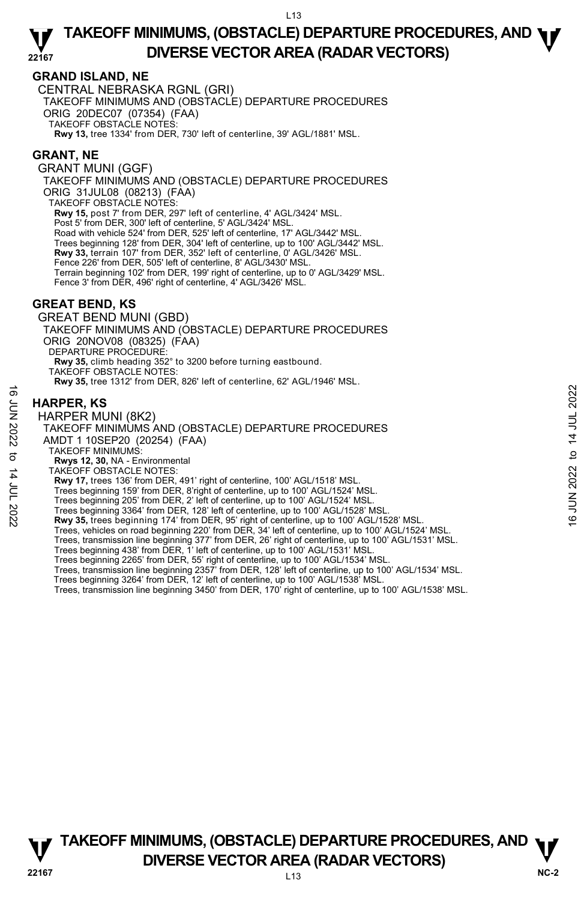### **GRAND ISLAND, NE**

CENTRAL NEBRASKA RGNL (GRI) TAKEOFF MINIMUMS AND (OBSTACLE) DEPARTURE PROCEDURES ORIG 20DEC07 (07354) (FAA) TAKEOFF OBSTACLE NOTES: **Rwy 13,** tree 1334' from DER, 730' left of centerline, 39' AGL/1881' MSL.

### **GRANT, NE**

GRANT MUNI (GGF) TAKEOFF MINIMUMS AND (OBSTACLE) DEPARTURE PROCEDURES ORIG 31JUL08 (08213) (FAA) TAKEOFF OBSTACLE NOTES: **Rwy 15,** post 7' from DER, 297' left of centerline, 4' AGL/3424' MSL. Post 5' from DER, 300' left of centerline, 5' AGL/3424' MSL. Road with vehicle 524' from DER, 525' left of centerline, 17' AGL/3442' MSL. Trees beginning 128' from DER, 304' left of centerline, up to 100' AGL/3442' MSL. **Rwy 33,** terrain 107' from DER, 352' left of centerline, 0' AGL/3426' MSL. Fence 226' from DER, 505' left of centerline, 8' AGL/3430' MSL. Terrain beginning 102' from DER, 199' right of centerline, up to 0' AGL/3429' MSL. Fence 3' from DER, 496' right of centerline, 4' AGL/3426' MSL.

### **GREAT BEND, KS**

GREAT BEND MUNI (GBD) TAKEOFF MINIMUMS AND (OBSTACLE) DEPARTURE PROCEDURES ORIG 20NOV08 (08325) (FAA) DEPARTURE PROCEDURE: **Rwy 35,** climb heading 352° to 3200 before turning eastbound. TAKEOFF OBSTACLE NOTES: **Rwy 35,** tree 1312' from DER, 826' left of centerline, 62' AGL/1946' MSL.

### **HARPER, KS**

HARPER MUNI (8K2) TAKEOFF MINIMUMS AND (OBSTACLE) DEPARTURE PROCEDURES AMDT 1 10SEP20 (20254) (FAA) TAKEOFF MINIMUMS: **Rwys 12, 30,** NA - Environmental TAKEOFF OBSTACLE NOTES: **Rwy 17,** trees 136' from DER, 491' right of centerline, 100' AGL/1518' MSL. Trees beginning 159' from DER, 8'right of centerline, up to 100' AGL/1524' MSL. Trees beginning 205' from DER, 2' left of centerline, up to 100' AGL/1524' MSL. Trees beginning 3364' from DER, 128' left of centerline, up to 100' AGL/1528' MSL.<br>**Rwy 35,** trees beginning 174' from DER, 95' right of centerline, up to 100' AGL/1528' MSL. Trees, vehicles on road beginning 220' from DER, 34' left of centerline, up to 100' AGL/1524' MSL. Trees, transmission line beginning 377' from DER, 26' right of centerline, up to 100' AGL/1531' MSL.<br>Trees beginning 438' from DER, 1' left of centerline, up to 100' AGL/1531' MSL. Trees beginning 2265' from DER, 55' right of centerline, up to 100' AGL/1534' MSL. Trees, transmission line beginning 2357' from DER, 128' left of centerline, up to 100' AGL/1534' MSL. Trees beginning 3264' from DER, 12' left of centerline, up to 100' AGL/1538' MSL. Trees, transmission line beginning 3450' from DER, 170' right of centerline, up to 100' AGL/1538' MSL. **HARPER, KS**<br>  $\frac{1}{2}$ <br> **HARPER MUNI (8K2)**<br>
TAKEOFF MINIMUMS AND (OBSTACLE) DEPARTURE PROCEDURES<br>
NOT 1 10SEP20 (20254) (FAA)<br>
TAKEOFF MINIMUMS:<br>
TAKEOFF MINIMUMS:<br>
TAKEOFF OBSTACLE NOTES:<br> **EVALUATION 202216 PROCEDURE** 

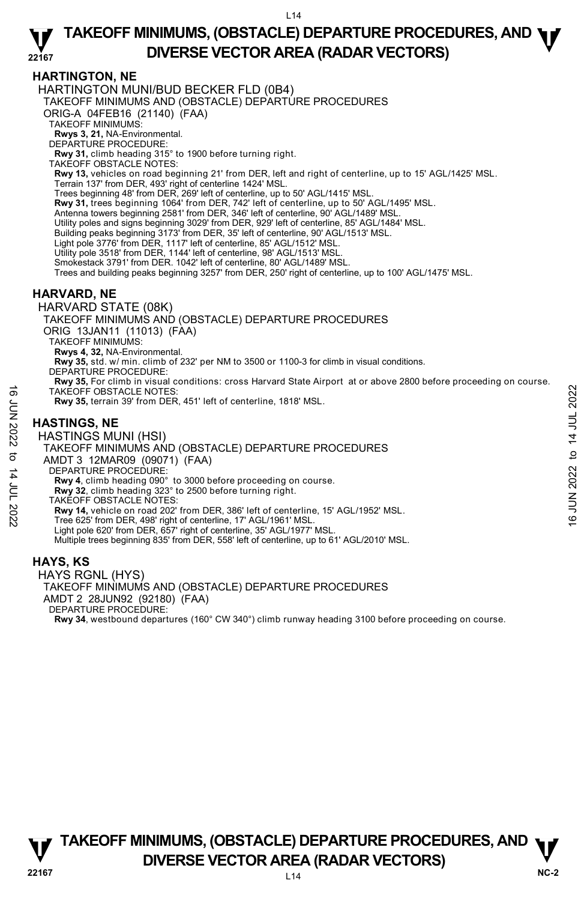### **HARTINGTON, NE**

HARTINGTON MUNI/BUD BECKER FLD (0B4)

TAKEOFF MINIMUMS AND (OBSTACLE) DEPARTURE PROCEDURES

ORIG-A 04FEB16 (21140) (FAA) TAKEOFF MINIMUMS:

**Rwys 3, 21,** NA-Environmental. DEPARTURE PROCEDURE:

**Rwy 31,** climb heading 315° to 1900 before turning right.

TAKEOFF OBSTACLE NOTES:

**Rwy 13,** vehicles on road beginning 21' from DER, left and right of centerline, up to 15' AGL/1425' MSL. Terrain 137' from DER, 493' right of centerline 1424' MSL.

Trees beginning 48' from DER, 269' left of centerline, up to 50' AGL/1415' MSL.

**Rwy 31,** trees beginning 1064' from DER, 742' left of centerline, up to 50' AGL/1495' MSL.<br>Antenna towers beginning 2581' from DER, 346' left of centerline, 90' AGL/1489' MSL.

Utility poles and signs beginning 3029' from DER, 929' left of centerline, 85' AGL/1484' MSL.

Building peaks beginning 3173' from DER, 35' left of centerline, 90' AGL/1513' MSL.

Light pole 3776' from DER, 1117' left of centerline, 85' AGL/1512' MSL.

Utility pole 3518' from DER, 1144' left of centerline, 98' AGL/1513' MSL.

Smokestack 3791' from DER. 1042' left of centerline, 80' AGL/1489' MSL.

Trees and building peaks beginning 3257' from DER, 250' right of centerline, up to 100' AGL/1475' MSL.

### **HARVARD, NE**

HARVARD STATE (08K)

TAKEOFF MINIMUMS AND (OBSTACLE) DEPARTURE PROCEDURES ORIG 13JAN11 (11013) (FAA) TAKEOFF MINIMUMS: **Rwys 4, 32,** NA-Environmental. **Rwy 35,** std. w/ min. climb of 232' per NM to 3500 or 1100-3 for climb in visual conditions. DEPARTURE PROCEDURE: **Rwy 35,** For climb in visual conditions: cross Harvard State Airport at or above 2800 before proceeding on course. TAKEOFF OBSTACLE NOTES: **Rwy 35,** terrain 39' from DER, 451' left of centerline, 1818' MSL. **HASTINGS, NE**  HASTINGS MUNI (HSI) TAKEOFF MINIMUMS AND (OBSTACLE) DEPARTURE PROCEDURES AMDT 3 12MAR09 (09071) (FAA) DEPARTURE PROCEDURE: **Rwy 4**, climb heading 090° to 3000 before proceeding on course. **Rwy 32**, climb heading 323° to 2500 before turning right. TAKEOFF OBSTACLE NOTES: **Rwy 14,** vehicle on road 202' from DER, 386' left of centerline, 15' AGL/1952' MSL. Tree 625' from DER, 498' right of centerline, 17' AGL/1961' MSL. Light pole 620' from DER, 657' right of centerline, 35' AGL/1977' MSL. Multiple trees beginning 835' from DER, 558' left of centerline, up to 61' AGL/2010' MSL. TAKEOFF OBSTACLE NOTES:<br> **HASTINGS, NE**<br>
HASTINGS MUNI (HSI)<br>
HASTINGS MUNI (HSI)<br>
HASTINGS MUNI (HSI)<br>
TAKEOFF MINIMUMINS AND (OBSTACLE) DEPARTURE PROCEDURES<br>
TANGT 3 12MAR09 (09071) (FAA)<br>
DEPARTURE PROCEDURE:<br> **EVALUAT** 

#### **HAYS, KS**

HAYS RGNL (HYS) TAKEOFF MINIMUMS AND (OBSTACLE) DEPARTURE PROCEDURES AMDT 2 28JUN92 (92180) (FAA) DEPARTURE PROCEDURE: **Rwy 34**, westbound departures (160° CW 340°) climb runway heading 3100 before proceeding on course.

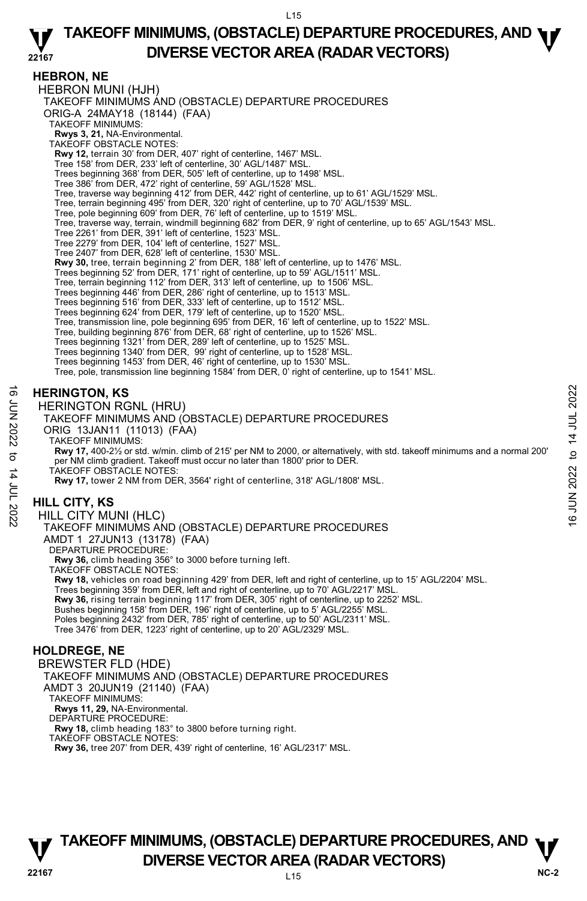### **HEBRON, NE**

HEBRON MUNI (HJH) TAKEOFF MINIMUMS AND (OBSTACLE) DEPARTURE PROCEDURES ORIG-A 24MAY18 (18144) (FAA) TAKEOFF MINIMUMS: **Rwys 3, 21,** NA-Environmental. TAKEOFF OBSTACLE NOTES: **Rwy 12,** terrain 30' from DER, 407' right of centerline, 1467' MSL. Tree 158' from DER, 233' left of centerline, 30' AGL/1487' MSL. Trees beginning 368' from DER, 505' left of centerline, up to 1498' MSL. Tree 386' from DER, 472' right of centerline, 59' AGL/1528' MSL. Tree, traverse way beginning 412' from DER, 442' right of centerline, up to 61' AGL/1529' MSL. Tree, terrain beginning 495' from DER, 320' right of centerline, up to 70' AGL/1539' MSL. Tree, pole beginning 609' from DER, 76' left of centerline, up to 1519' MSL. Tree, traverse way, terrain, windmill beginning 682' from DER, 9' right of centerline, up to 65' AGL/1543' MSL. Tree 2261' from DER, 391' left of centerline, 1523' MSL. Tree 2279' from DER, 104' left of centerline, 1527' MSL. Tree 2407' from DER, 628' left of centerline, 1530' MSL. **Rwy 30,** tree, terrain beginning 2' from DER, 188' left of centerline, up to 1476' MSL. Trees beginning 52' from DER, 171' right of centerline, up to 59' AGL/1511' MSL. Tree, terrain beginning 112' from DER, 313' left of centerline, up to 1506' MSL. Trees beginning 446' from DER, 286' right of centerline, up to 1513' MSL. Trees beginning 516' from DER, 333' left of centerline, up to 1512' MSL. Trees beginning 624' from DER, 179' left of centerline, up to 1520' MSL. Tree, transmission line, pole beginning 695' from DER, 16' left of centerline, up to 1522' MSL. Tree, building beginning 876' from DER, 68' right of centerline, up to 1526' MSL. Trees beginning 1321' from DER, 289' left of centerline, up to 1525' MSL. Trees beginning 1340' from DER, 99' right of centerline, up to 1528' MSL. Trees beginning 1453' from DER, 46' right of centerline, up to 1530' MSL. Tree, pole, transmission line beginning 1584' from DER, 0' right of centerline, up to 1541' MSL. **HERINGTON, KS**  HERINGTON RGNL (HRU) TAKEOFF MINIMUMS AND (OBSTACLE) DEPARTURE PROCEDURES ORIG 13JAN11 (11013) (FAA) TAKEOFF MINIMUMS: **Rwy 17,** 400-2½ or std. w/min. climb of 215' per NM to 2000, or alternatively, with std. takeoff minimums and a normal 200' per NM climb gradient. Takeoff must occur no later than 1800' prior to DER. TAKEOFF OBSTACLE NOTES: **Rwy 17,** tower 2 NM from DER, 3564' right of centerline, 318' AGL/1808' MSL. **HILL CITY, KS**  HILL CITY MUNI (HLC) TAKEOFF MINIMUMS AND (OBSTACLE) DEPARTURE PROCEDURES AMDT 1 27JUN13 (13178) (FAA) DEPARTURE PROCEDURE: **Rwy 36,** climb heading 356° to 3000 before turning left. TAKEOFF OBSTACLE NOTES: **Rwy 18,** vehicles on road beginning 429' from DER, left and right of centerline, up to 15' AGL/2204' MSL. Trees beginning 359' from DER, left and right of centerline, up to 70' AGL/2217' MSL. **Rwy 36,** rising terrain beginning 117' from DER, 305' right of centerline, up to 2252' MSL. Bushes beginning 158' from DER, 196' right of centerline, up to 5' AGL/2255' MSL. Poles beginning 2432' from DER, 785' right of centerline, up to 50' AGL/2311' MSL. Tree 3476' from DER, 1223' right of centerline, up to 20' AGL/2329' MSL. **HOLDREGE, NE**  BREWSTER FLD (HDE) TAKEOFF MINIMUMS AND (OBSTACLE) DEPARTURE PROCEDURES AMDT 3 20JUN19 (21140) (FAA) TAKEOFF MINIMUMS: **HERINGTON, KS**<br>  $\frac{1}{2}$  HERINGTON RGNL (HRU)<br>  $\frac{1}{2}$  TAKEOFF MINIMUMS AND (OBSTACLE) DEPARTURE PROCEDURES<br>
ORIG 13JAN11 (11013) (FAA)<br>  $\frac{1}{2}$  ORIG 13JAN11 (11013) (FAA)<br>
TAKEOFF MINIMUMS:<br>
TAKEOFF MINIMUMS:<br>
TAK

## **TAKEOFF MINIMUMS, (OBSTACLE) DEPARTURE PROCEDURES, AND**  $\Psi$ **DIVERSE VECTOR AREA (RADAR VECTORS)** WE-2

**Rwys 11, 29,** NA-Environmental. DEPARTURE PROCEDURE:

TAKEOFF OBSTACLE NOTES:

**Rwy 18,** climb heading 183° to 3800 before turning right.

**Rwy 36,** tree 207' from DER, 439' right of centerline, 16' AGL/2317' MSL.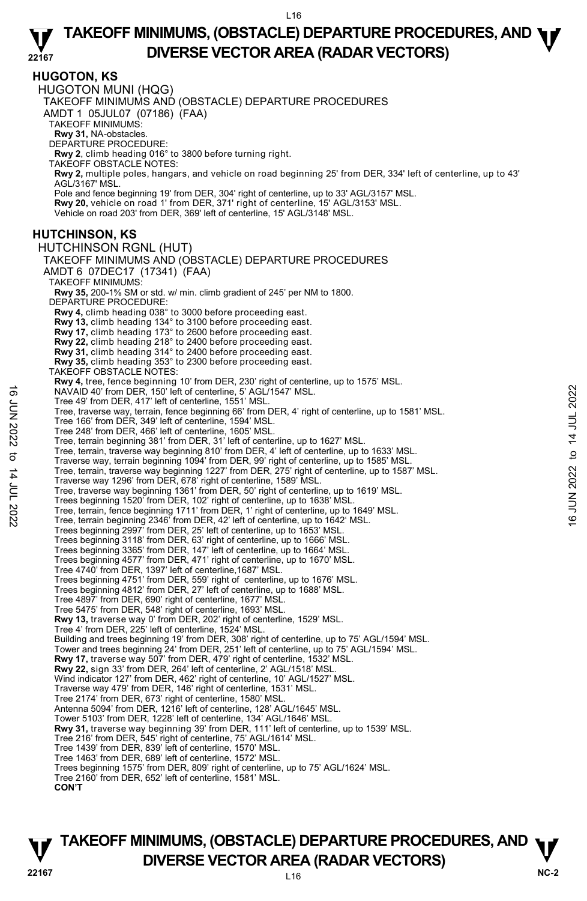**HUGOTON, KS** 

HUGOTON MUNI (HQG) TAKEOFF MINIMUMS AND (OBSTACLE) DEPARTURE PROCEDURES AMDT 1 05JUL07 (07186) (FAA) TAKEOFF MINIMUMS: **Rwy 31,** NA-obstacles. DEPARTURE PROCEDURE: **Rwy 2**, climb heading 016° to 3800 before turning right. TAKEOFF OBSTACLE NOTES: **Rwy 2,** multiple poles, hangars, and vehicle on road beginning 25' from DER, 334' left of centerline, up to 43'<br>AGL/3167' MSL. Pole and fence beginning 19' from DER, 304' right of centerline, up to 33' AGL/3157' MSL. **Rwy 20,** vehicle on road 1' from DER, 371' right of centerline, 15' AGL/3153' MSL. Vehicle on road 203' from DER, 369' left of centerline, 15' AGL/3148' MSL. **HUTCHINSON, KS**  HUTCHINSON RGNL (HUT) TAKEOFF MINIMUMS AND (OBSTACLE) DEPARTURE PROCEDURES AMDT 6 07DEC17 (17341) (FAA) TAKEOFF MINIMUMS: **Rwy 35,** 200-1⅝ SM or std. w/ min. climb gradient of 245' per NM to 1800. DEPARTURE PROCEDURE: **Rwy 4,** climb heading 038° to 3000 before proceeding east. **Rwy 13,** climb heading 134° to 3100 before proceeding east. **Rwy 17,** climb heading 173° to 2600 before proceeding east. **Rwy 22,** climb heading 218° to 2400 before proceeding east. **Rwy 31,** climb heading 314° to 2400 before proceeding east. **Rwy 35,** climb heading 353° to 2300 before proceeding east. TAKEOFF OBSTACLE NOTES: **Rwy 4,** tree, fence beginning 10' from DER, 230' right of centerline, up to 1575' MSL. NAVAID 40' from DER, 150' left of centerline, 5' AGL/1547' MSL. Tree 49' from DER, 417' left of centerline, 1551' MSL. Tree, traverse way, terrain, fence beginning 66' from DER, 4' right of centerline, up to 1581' MSL. Tree 166' from DER, 349' left of centerline, 1594' MSL. Tree 248' from DER, 466' left of centerline, 1605' MSL. Tree, terrain beginning 381' from DER, 31' left of centerline, up to 1627' MSL. Tree, terrain, traverse way beginning 810' from DER, 4' left of centerline, up to 1633' MSL. Traverse way, terrain beginning 1094' from DER, 99' right of centerline, up to 1585' MSL. Tree, terrain, traverse way beginning 1227' from DER, 275' right of centerline, up to 1587' MSL. Traverse way 1296' from DER, 678' right of centerline, 1589' MSL. Tree, traverse way beginning 1361' from DER, 50' right of centerline, up to 1619' MSL. Trees beginning 1520' from DER, 102' right of centerline, up to 1638' MSL. Tree, terrain, fence beginning 1711' from DER, 1' right of centerline, up to 1649' MSL. Tree, terrain beginning 2346' from DER, 42' left of centerline, up to 1642' MSL. Trees beginning 2997' from DER, 25' left of centerline, up to 1653' MSL. Trees beginning 3118' from DER, 63' right of centerline, up to 1666' MSL. Trees beginning 3365' from DER, 147' left of centerline, up to 1664' MSL. Trees beginning 4577' from DER, 471' right of centerline, up to 1670' MSL. Tree 4740' from DER, 1397' left of centerline,1687' MSL. Trees beginning 4751' from DER, 559' right of centerline, up to 1676' MSL. Trees beginning 4812' from DER, 27' left of centerline, up to 1688' MSL. Tree 4897' from DER, 690' right of centerline, 1677' MSL. Tree 5475' from DER, 548' right of centerline, 1693' MSL. **Rwy 13,** traverse way 0' from DER, 202' right of centerline, 1529' MSL. Tree 4' from DER, 225' left of centerline, 1524' MSL. Building and trees beginning 19' from DER, 308' right of centerline, up to 75' AGL/1594' MSL.<br>Tower and trees beginning 24' from DER, 251' left of centerline, up to 75' AGL/1594' MSL.<br>**Rwy 17,** traverse way 507' from DER, **Rwy 22,** sign 33' from DER, 264' left of centerline, 2' AGL/1518' MSL. Wind indicator 127' from DER, 462' right of centerline, 10' AGL/1527' MSL. Traverse way 479' from DER, 146' right of centerline, 1531' MSL. Tree 2174' from DER, 673' right of centerline, 1580' MSL. Antenna 5094' from DER, 1216' left of centerline, 128' AGL/1645' MSL. Tower 5103' from DER, 1228' left of centerline, 134' AGL/1646' MSL. **Rwy 31,** traverse way beginning 39' from DER, 111' left of centerline, up to 1539' MSL. Tree 216' from DER, 545' right of centerline, 75' AGL/1614' MSL. Tree 1439' from DER, 839' left of centerline, 1570' MSL. Tree 1463' from DER, 689' left of centerline, 1572' MSL. Trees beginning 1575' from DER, 809' right of centerline, up to 75' AGL/1624' MSL. Tree 2160' from DER, 652' left of centerline, 1581' MSL. NAVAID 40' from DER, 150' left of centerline, 5' AGL1/1547' MSL.<br>
Tree 48' from DER, 47' left of centerline, 1551' MSL.<br>
Tree traverse way, terrain, fence beginning 66' from DER, 4' right of centerline, up to 1581' MSL.<br>

 **CON'T**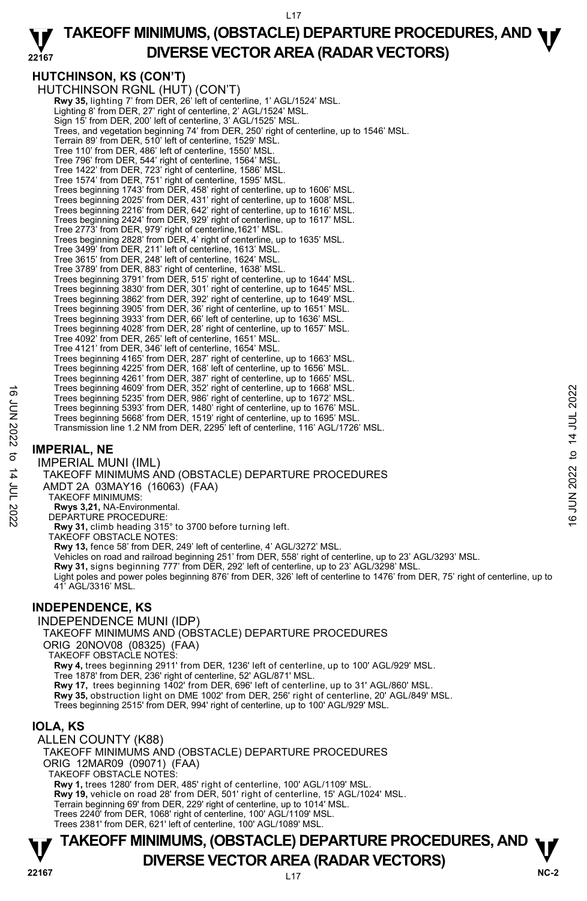L17

#### **22167 TAKEOFF MINIMUMS, (OBSTACLE) DEPARTURE PROCEDURES, AND <b>W**<br>DIVERSE VECTOR AREA (RADAR VECTORS) **DIVERSE VECTOR AREA (RADAR VECTORS)**

## **HUTCHINSON, KS (CON'T)**

HUTCHINSON RGNL (HUT) (CON'T) **Rwy 35,** lighting 7' from DER, 26' left of centerline, 1' AGL/1524' MSL. Lighting 8' from DER, 27' right of centerline, 2' AGL/1524' MSL. Sign 15' from DER, 200' left of centerline, 3' AGL/1525' MSL. Trees, and vegetation beginning 74' from DER, 250' right of centerline, up to 1546' MSL. Terrain 89' from DER, 510' left of centerline, 1529' MSL Tree 110' from DER, 486' left of centerline, 1550' MSL. Tree 796' from DER, 544' right of centerline, 1564' MSL. Tree 1422' from DER, 723' right of centerline, 1586' MSL. Tree 1574' from DER, 751' right of centerline, 1595' MSL. Trees beginning 1743' from DER, 458' right of centerline, up to 1606' MSL. Trees beginning 2025' from DER, 431' right of centerline, up to 1608' MSL. Trees beginning 2216' from DER, 642' right of centerline, up to 1616' MSL. Trees beginning 2424' from DER, 929' right of centerline, up to 1617' MSL. Tree 2773' from DER, 979' right of centerline,1621' MSL. Trees beginning 2828' from DER, 4' right of centerline, up to 1635' MSL. Tree 3499' from DER, 211' left of centerline, 1613' MSL. Tree 3615' from DER, 248' left of centerline, 1624' MSL. Tree 3789' from DER, 883' right of centerline, 1638' MSL. Trees beginning 3791' from DER, 515' right of centerline, up to 1644' MSL. Trees beginning 3830' from DER, 301' right of centerline, up to 1645' MSL.<br>Trees beginning 3862' from DER, 392' right of centerline, up to 1649' MSL.<br>Trees beginning 3905' from DER, 36' right of centerline, up to 1651' MSL Trees beginning 3933' from DER, 66' left of centerline, up to 1636' MSL. Trees beginning 4028' from DER, 28' right of centerline, up to 1657' MSL. Tree 4092' from DER, 265' left of centerline, 1651' MSL. Tree 4121' from DER, 346' left of centerline, 1654' MSL. Trees beginning 4165' from DER, 287' right of centerline, up to 1663' MSL. Trees beginning 4225' from DER, 168' left of centerline, up to 1656' MSL.<br>Trees beginning 4261' from DER, 387' right of centerline, up to 1665' MSL.<br>Trees beginning 4609' from DER, 352' right of centerline, up to 1668' MSL Trees beginning 5235' from DER, 986' right of centerline, up to 1672' MSL. Trees beginning 5393' from DER, 1480' right of centerline, up to 1676' MSL. Trees beginning 5668' from DER, 1519' right of centerline, up to 1695' MSL. Transmission line 1.2 NM from DER, 2295' left of centerline, 116' AGL/1726' MSL. Trees beginning 4609' from DER, 362' right of centerline, up to 1672' MSL.<br>
Trees beginning 5295' from DER, 986' right of centerline, up to 1678' MSL.<br>
Trees beginning 5393' from DER, 1480' right of centerline, up to 1676

### **IMPERIAL, NE**

IMPERIAL MUNI (IML)

### TAKEOFF MINIMUMS AND (OBSTACLE) DEPARTURE PROCEDURES

AMDT 2A 03MAY16 (16063) (FAA)

TAKEOFF MINIMUMS:

**Rwys 3,21,** NA-Environmental. DEPARTURE PROCEDURE:

**Rwy 31,** climb heading 315° to 3700 before turning left.

TAKEOFF OBSTACLE NOTES:

**Rwy 13,** fence 58' from DER, 249' left of centerline, 4' AGL/3272' MSL.

Vehicles on road and railroad beginning 251' from DER, 558' right of centerline, up to 23' AGL/3293' MSL.

**Rwy 31,** signs beginning 777' from DER, 292' left of centerline, up to 23' AGL/3298' MSL.

Light poles and power poles beginning 876' from DER, 326' left of centerline to 1476' from DER, 75' right of centerline, up to 41' AGL/3316' MSL.

### **INDEPENDENCE, KS**

INDEPENDENCE MUNI (IDP) TAKEOFF MINIMUMS AND (OBSTACLE) DEPARTURE PROCEDURES ORIG 20NOV08 (08325) (FAA) TAKEOFF OBSTACLE NOTES: **Rwy 4,** trees beginning 2911' from DER, 1236' left of centerline, up to 100' AGL/929' MSL. Tree 1878' from DER, 236' right of centerline, 52' AGL/871' MSL. **Rwy 17,** trees beginning 1402' from DER, 696' left of centerline, up to 31' AGL/860' MSL. **Rwy 35,** obstruction light on DME 1002' from DER, 256' right of centerline, 20' AGL/849' MSL. Trees beginning 2515' from DER, 994' right of centerline, up to 100' AGL/929' MSL.

### **IOLA, KS**

ALLEN COUNTY (K88) TAKEOFF MINIMUMS AND (OBSTACLE) DEPARTURE PROCEDURES ORIG 12MAR09 (09071) (FAA) TAKEOFF OBSTACLE NOTES: **Rwy 1,** trees 1280' from DER, 485' right of centerline, 100' AGL/1109' MSL. **Rwy 19,** vehicle on road 28' from DER, 501' right of centerline, 15' AGL/1024' MSL. Terrain beginning 69' from DER, 229' right of centerline, up to 1014' MSL. Trees 2240' from DER, 1068' right of centerline, 100' AGL/1109' MSL. Trees 2381' from DER, 621' left of centerline, 100' AGL/1089' MSL.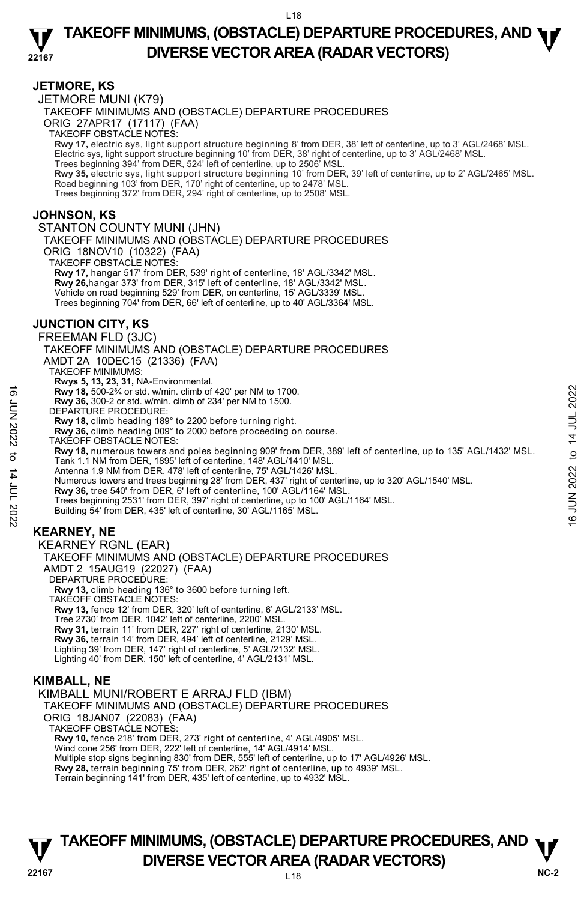#### **JETMORE, KS**

JETMORE MUNI (K79) TAKEOFF MINIMUMS AND (OBSTACLE) DEPARTURE PROCEDURES ORIG 27APR17 (17117) (FAA) TAKEOFF OBSTACLE NOTES: **Rwy 17,** electric sys, light support structure beginning 8' from DER, 38' left of centerline, up to 3' AGL/2468' MSL. Electric sys, light support structure beginning 10' from DER, 38' right of centerline, up to 3' AGL/2468' MSL. Trees beginning 394' from DER, 524' left of centerline, up to 2506' MSL. **Rwy 35,** electric sys, light support structure beginning 10' from DER, 39' left of centerline, up to 2' AGL/2465' MSL.<br>Road beginning 103' from DER, 170' right of centerline, up to 2478' MSL. Trees beginning 372' from DER, 294' right of centerline, up to 2508' MSL.

### **JOHNSON, KS**

STANTON COUNTY MUNI (JHN)

TAKEOFF MINIMUMS AND (OBSTACLE) DEPARTURE PROCEDURES ORIG 18NOV10 (10322) (FAA) TAKEOFF OBSTACLE NOTES:

**Rwy 17,** hangar 517' from DER, 539' right of centerline, 18' AGL/3342' MSL. **Rwy 26,**hangar 373' from DER, 315' left of centerline, 18' AGL/3342' MSL. Vehicle on road beginning 529' from DER, on centerline, 15' AGL/3339' MSL. Trees beginning 704' from DER, 66' left of centerline, up to 40' AGL/3364' MSL.

### **JUNCTION CITY, KS**

FREEMAN FLD (3JC)

TAKEOFF MINIMUMS AND (OBSTACLE) DEPARTURE PROCEDURES

AMDT 2A 10DEC15 (21336) (FAA)

TAKEOFF MINIMUMS: **Rwys 5, 13, 23, 31,** NA-Environmental.

**Rwy 18,** 500-2¾ or std. w/min. climb of 420' per NM to 1700.

**Rwy 36,** 300-2 or std. w/min. climb of 234' per NM to 1500.

DEPARTURE PROCEDURE:

**Rwy 18,** climb heading 189° to 2200 before turning right.

**Rwy 36,** climb heading 009° to 2000 before proceeding on course.

TAKEOFF OBSTACLE NOTES:

**Rwy 18,** numerous towers and poles beginning 909' from DER, 389' left of centerline, up to 135' AGL/1432' MSL. Tank 1.1 NM from DER, 1895' left of centerline, 148' AGL/1410' MSL. Noted that Solo-2% or std. w/min. climb of 420' per NM to 1700.<br>
Revy 36, 300-2 or std. w/min. climb of 234' per NM to 1500.<br>
DEPARTURE PROCEDURE:<br>
RWY 18, climb heading 189° to 2200 before turning right.<br>
RWY 18, climb

Antenna 1.9 NM from DER, 478' left of centerline, 75' AGL/1426' MSL.

Numerous towers and trees beginning 28' from DER, 437' right of centerline, up to 320' AGL/1540' MSL. **Rwy 36,** tree 540' from DER, 6' left of centerline, 100' AGL/1164' MSL.

Trees beginning 2531' from DER, 397' right of centerline, up to 100' AGL/1164' MSL.

Building 54' from DER, 435' left of centerline, 30' AGL/1165' MSL.

### **KEARNEY, NE**

KEARNEY RGNL (EAR)

TAKEOFF MINIMUMS AND (OBSTACLE) DEPARTURE PROCEDURES

AMDT 2 15AUG19 (22027) (FAA)

DEPARTURE PROCEDURE:

**Rwy 13,** climb heading 136° to 3600 before turning left.

TAKEOFF OBSTACLE NOTES:

**Rwy 13,** fence 12' from DER, 320' left of centerline, 6' AGL/2133' MSL.

Tree 2730' from DER, 1042' left of centerline, 2200' MSL.

**Rwy 31,** terrain 11' from DER, 227' right of centerline, 2130' MSL.

**Rwy 36,** terrain 14' from DER, 494' left of centerline, 2129' MSL.

Lighting 39' from DER, 147' right of centerline, 5' AGL/2132' MSL. Lighting 40' from DER, 150' left of centerline, 4' AGL/2131' MSL.

**KIMBALL, NE** 

KIMBALL MUNI/ROBERT E ARRAJ FLD (IBM)

TAKEOFF MINIMUMS AND (OBSTACLE) DEPARTURE PROCEDURES

ORIG 18JAN07 (22083) (FAA) TAKEOFF OBSTACLE NOTES:

**Rwy 10,** fence 218' from DER, 273' right of centerline, 4' AGL/4905' MSL.

Wind cone 256' from DER, 222' left of centerline, 14' AGL/4914' MSL.

Multiple stop signs beginning 830' from DER, 555' left of centerline, up to 17' AGL/4926' MSL.

**Rwy 28,** terrain beginning 75' from DER, 262' right of centerline, up to 4939' MSL.

Terrain beginning 141' from DER, 435' left of centerline, up to 4932' MSL.

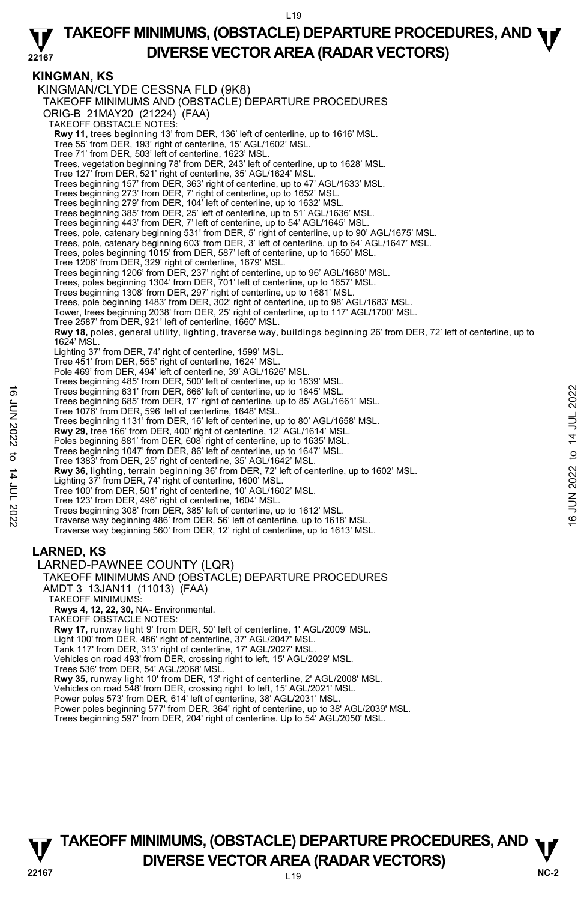### **KINGMAN, KS**

KINGMAN/CLYDE CESSNA FLD (9K8) TAKEOFF MINIMUMS AND (OBSTACLE) DEPARTURE PROCEDURES ORIG-B 21MAY20 (21224) (FAA) TAKEOFF OBSTACLE NOTES: **Rwy 11,** trees beginning 13' from DER, 136' left of centerline, up to 1616' MSL. Tree 55' from DER, 193' right of centerline, 15' AGL/1602' MSL. Tree 71' from DER, 503' left of centerline, 1623' MSL. Trees, vegetation beginning 78' from DER, 243' left of centerline, up to 1628' MSL. Tree 127' from DER, 521' right of centerline, 35' AGL/1624' MSL. Trees beginning 157' from DER, 363' right of centerline, up to 47' AGL/1633' MSL. Trees beginning 273' from DER, 7' right of centerline, up to 1652' MSL. Trees beginning 279' from DER, 104' left of centerline, up to 1632' MSL. Trees beginning 385' from DER, 25' left of centerline, up to 51' AGL/1636' MSL. Trees beginning 443' from DER, 7' left of centerline, up to 54' AGL/1645' MSL. Trees, pole, catenary beginning 531' from DER, 5' right of centerline, up to 90' AGL/1675' MSL. Trees, pole, catenary beginning 603' from DER, 3' left of centerline, up to 64' AGL/1647' MSL. Trees, poles beginning 1015' from DER, 587' left of centerline, up to 1650' MSL. Tree 1206' from DER, 329' right of centerline, 1679' MSL. Trees beginning 1206' from DER, 237' right of centerline, up to 96' AGL/1680' MSL. Trees, poles beginning 1304' from DER, 701' left of centerline, up to 1657' MSL. Trees beginning 1308' from DER, 297' right of centerline, up to 1681' MSL. Trees, pole beginning 1483' from DER, 302' right of centerline, up to 98' AGL/1683' MSL. Tower, trees beginning 2038' from DER, 25' right of centerline, up to 117' AGL/1700' MSL. Tree 2587' from DER, 921' left of centerline, 1660' MSL. **Rwy 18,** poles, general utility, lighting, traverse way, buildings beginning 26' from DER, 72' left of centerline, up to 1624' MSL. Lighting 37' from DER, 74' right of centerline, 1599' MSL. Tree 451' from DER, 555' right of centerline, 1624' MSL. Pole 469' from DER, 494' left of centerline, 39' AGL/1626' MSL Trees beginning 485' from DER, 500' left of centerline, up to 1639' MSL. Trees beginning 631' from DER, 666' left of centerline, up to 1645' MSL. Trees beginning 685' from DER, 17' right of centerline, up to 85' AGL/1661' MSL. Tree 1076' from DER, 596' left of centerline, 1648' MSL. Trees beginning 1131' from DER, 16' left of centerline, up to 80' AGL/1658' MSL. **Rwy 29,** tree 166' from DER, 400' right of centerline, 12' AGL/1614' MSL. Poles beginning 881' from DER, 608' right of centerline, up to 1635' MSL. Trees beginning 1047' from DER, 86' left of centerline, up to 1647' MSL. Tree 1383' from DER, 25' right of centerline, 35' AGL/1642' MSL. **Rwy 36,** lighting, terrain beginning 36' from DER, 72' left of centerline, up to 1602' MSL.<br>Lighting 37' from DER, 74' right of centerline, 1600' MSL. Tree 100' from DER, 501' right of centerline, 10' AGL/1602' MSL. Tree 123' from DER, 496' right of centerline, 1604' MSL. Trees beginning 308' from DER, 385' left of centerline, up to 1612' MSL. Traverse way beginning 486' from DER, 56' left of centerline, up to 1618' MSL. Traverse way beginning 560' from DER, 12' right of centerline, up to 1613' MSL. **LARNED, KS**  LARNED-PAWNEE COUNTY (LQR) TAKEOFF MINIMUMS AND (OBSTACLE) DEPARTURE PROCEDURES AMDT 3 13JAN11 (11013) (FAA) TAKEOFF MINIMUMS: **Rwys 4, 12, 22, 30,** NA- Environmental. TAKEOFF OBSTACLE NOTES: **Rwy 17,** runway light 9' from DER, 50' left of centerline, 1' AGL/2009' MSL. Trees beginning 631' from DER, 666' left of centerline, up to 1645' MSL.<br>
Tree 1076' from DER, 596' left of centerline, 1648' MSL.<br>
Tree 1076' from DER, 596' left of centerline, 1648' MSL.<br>
Trees beginning 1131' from DER,

Light 100' from DER, 486' right of centerline, 37' AGL/2047' MSL. Tank 117' from DER, 313' right of centerline, 17' AGL/2027' MSL.

Vehicles on road 493' from DER, crossing right to left, 15' AGL/2029' MSL.

Trees 536' from DER, 54' AGL/2068' MSL.

**Rwy 35,** runway light 10' from DER, 13' right of centerline, 2' AGL/2008' MSL.<br>Vehicles on road 548' from DER, crossing right to left, 15' AGL/2021' MSL.

Power poles 573' from DER, 614' left of centerline, 38' AGL/2031' MSL.

Power poles beginning 577' from DER, 364' right of centerline, up to 38' AGL/2039' MSL. Trees beginning 597' from DER, 204' right of centerline. Up to 54' AGL/2050' MSL.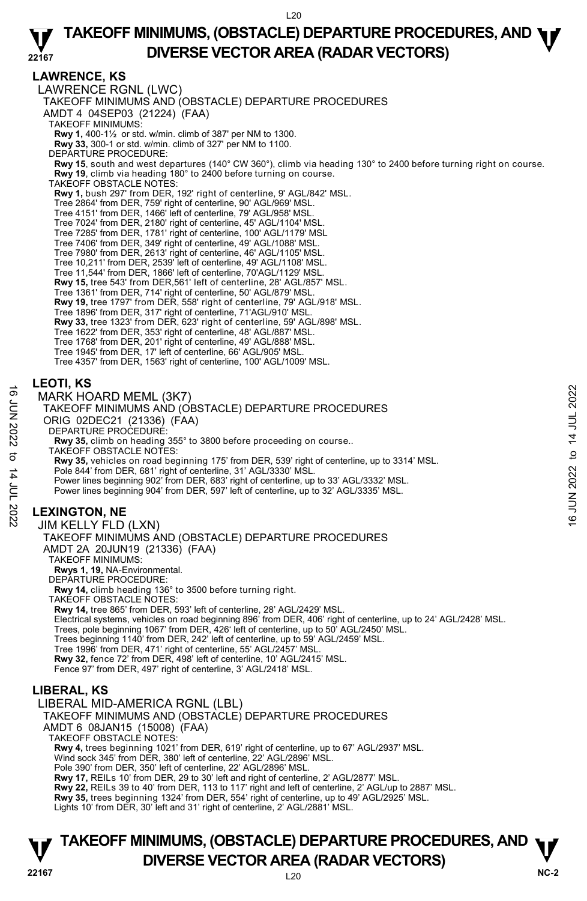### **LAWRENCE, KS**

LAWRENCE RGNL (LWC) TAKEOFF MINIMUMS AND (OBSTACLE) DEPARTURE PROCEDURES AMDT 4 04SEP03 (21224) (FAA) TAKEOFF MINIMUMS: **Rwy 1,** 400-1½ or std. w/min. climb of 387' per NM to 1300. **Rwy 33,** 300-1 or std. w/min. climb of 327' per NM to 1100. DEPARTURE PROCEDURE: **Rwy 15**, south and west departures (140° CW 360°), climb via heading 130° to 2400 before turning right on course. **Rwy 19**, climb via heading 180° to 2400 before turning on course. TAKEOFF OBSTACLE NOTES: **Rwy 1,** bush 297' from DER, 192' right of centerline, 9' AGL/842' MSL. Tree 2864' from DER, 759' right of centerline, 90' AGL/969' MSL. Tree 4151' from DER, 1466' left of centerline, 79' AGL/958' MSL. Tree 7024' from DER, 2180' right of centerline, 45' AGL/1104' MSL. Tree 7285' from DER, 1781' right of centerline, 100' AGL/1179' MSL Tree 7406' from DER, 349' right of centerline, 49' AGL/1088' MSL. Tree 7980' from DER, 2613' right of centerline, 46' AGL/1105' MSL. Tree 10,211' from DER, 2539' left of centerline, 49' AGL/1108' MSL. Tree 11,544' from DER, 1866' left of centerline, 70'AGL/1129' MSL. **Rwy 15,** tree 543' from DER,561' left of centerline, 28' AGL/857' MSL. Tree 1361' from DER, 714' right of centerline, 50' AGL/879' MSL. **Rwy 19,** tree 1797' from DER, 558' right of centerline, 79' AGL/918' MSL. Tree 1896' from DER, 317' right of centerline, 71'AGL/910' MSL. **Rwy 33,** tree 1323' from DER, 623' right of centerline, 59' AGL/898' MSL. Tree 1622' from DER, 353' right of centerline, 48' AGL/887' MSL. Tree 1768' from DER, 201' right of centerline, 49' AGL/888' MSL. Tree 1945' from DER, 17' left of centerline, 66' AGL/905' MSL. Tree 4357' from DER, 1563' right of centerline, 100' AGL/1009' MSL. **LEOTI, KS**  MARK HOARD MEML (3K7) TAKEOFF MINIMUMS AND (OBSTACLE) DEPARTURE PROCEDURES ORIG 02DEC21 (21336) (FAA) DEPARTURE PROCEDURE: **Rwy 35,** climb on heading 355° to 3800 before proceeding on course.. TAKEOFF OBSTACLE NOTES: **Rwy 35,** vehicles on road beginning 175' from DER, 539' right of centerline, up to 3314' MSL. Pole 844' from DER, 681' right of centerline, 31' AGL/3330' MSL. Power lines beginning 902' from DER, 683' right of centerline, up to 33' AGL/3332' MSL. Power lines beginning 904' from DER, 597' left of centerline, up to 32' AGL/3335' MSL. **LEXINGTON, NE**  JIM KELLY FLD (LXN) TAKEOFF MINIMUMS AND (OBSTACLE) DEPARTURE PROCEDURES AMDT 2A 20JUN19 (21336) (FAA) TAKEOFF MINIMUMS: **Rwys 1, 19,** NA-Environmental. DEPARTURE PROCEDURE: **Rwy 14,** climb heading 136° to 3500 before turning right. TAKEOFF OBSTACLE NOTES: **Rwy 14,** tree 865' from DER, 593' left of centerline, 28' AGL/2429' MSL. Electrical systems, vehicles on road beginning 896' from DER, 406' right of centerline, up to 24' AGL/2428' MSL. Trees, pole beginning 1067' from DER, 426' left of centerline, up to 50' AGL/2450' MSL. Trees beginning 1140' from DER, 242' left of centerline, up to 59' AGL/2459' MSL. Tree 1996' from DER, 471' right of centerline, 55' AGL/2457' MSL. **Rwy 32,** fence 72' from DER, 498' left of centerline, 10' AGL/2415' MSL. Fence 97' from DER, 497' right of centerline, 3' AGL/2418' MSL. **LIBERAL, KS**  LIBERAL MID-AMERICA RGNL (LBL) TAKEOFF MINIMUMS AND (OBSTACLE) DEPARTURE PROCEDURES AMDT 6 08JAN15 (15008) (FAA) TAKEOFF OBSTACLE NOTES: **Rwy 4,** trees beginning 1021' from DER, 619' right of centerline, up to 67' AGL/2937' MSL. Wind sock 345' from DER, 380' left of centerline, 22' AGL/2896' MSL. Pole 390' from DER, 350' left of centerline, 22' AGL/2896' MSL. **Rwy 17,** REILs 10' from DER, 29 to 30' left and right of centerline, 2' AGL/2877' MSL. **Rwy 22,** REILs 39 to 40' from DER, 113 to 117' right and left of centerline, 2' AGL/up to 2887' MSL. TARE HORD MEML (3K7)<br>
TARE OFF MINIMUMS AND (OBSTACLE) DEPARTURE PROCEDURES<br>
ORIG 02DEC21 (21336) (FAA)<br>
DEPARTURE PROCEDURE:<br>
New 35, climb on heading 355° to 3800 before proceeding on course..<br>
TAKEOFF OBSTACLE NOTES:<br>

**Rwy 35,** trees beginning 1324' from DER, 554' right of centerline, up to 49' AGL/2925' MSL.

Lights 10' from DER, 30' left and 31' right of centerline, 2' AGL/2881' MSL.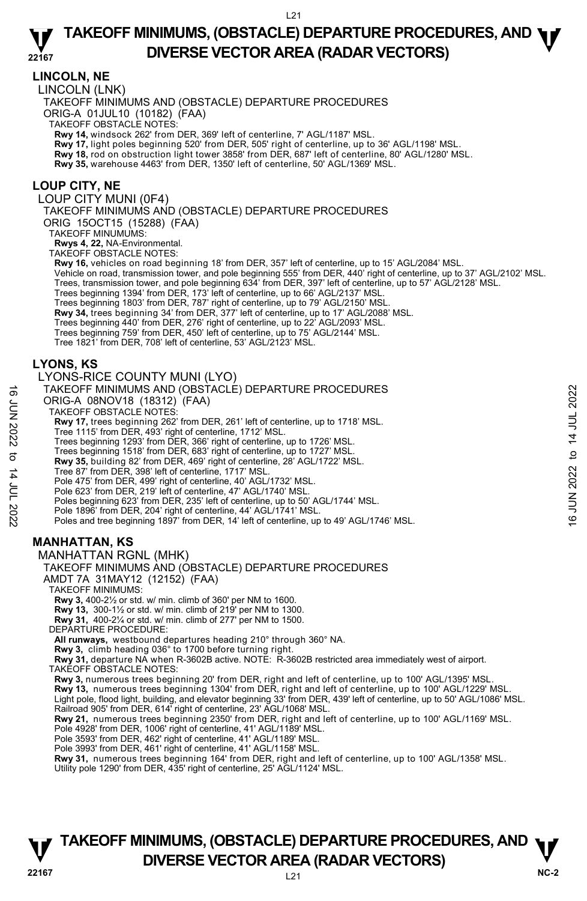### **LINCOLN, NE**

LINCOLN (LNK)

TAKEOFF MINIMUMS AND (OBSTACLE) DEPARTURE PROCEDURES

ORIG-A 01JUL10 (10182) (FAA)

TAKEOFF OBSTACLE NOTES:

**Rwy 14,** windsock 262' from DER, 369' left of centerline, 7' AGL/1187' MSL.

**Rwy 17,** light poles beginning 520' from DER, 505' right of centerline, up to 36' AGL/1198' MSL.<br>**Rwy 18,** rod on obstruction light tower 3858' from DER, 687' left of centerline, 80' AGL/1280' MSL.

**Rwy 35,** warehouse 4463' from DER, 1350' left of centerline, 50' AGL/1369' MSL.

#### **LOUP CITY, NE**

LOUP CITY MUNI (0F4)

TAKEOFF MINIMUMS AND (OBSTACLE) DEPARTURE PROCEDURES

ORIG 15OCT15 (15288) (FAA)

TAKEOFF MINUMUMS:

**Rwys 4, 22,** NA-Environmental.

TAKEOFF OBSTACLE NOTES: **Rwy 16,** vehicles on road beginning 18' from DER, 357' left of centerline, up to 15' AGL/2084' MSL.

Vehicle on road, transmission tower, and pole beginning 555' from DER, 440' right of centerline, up to 37' AGL/2102' MSL.

Trees, transmission tower, and pole beginning 634' from DER, 397' left of centerline, up to 57' AGL/2128' MSL.<br>Trees beginning 1394' from DER, 173' left of centerline, up to 66' AGL/2137' MSL.

Trees beginning 1803' from DER, 787' right of centerline, up to 79' AGL/2150' MSL.

**Rwy 34,** trees beginning 34' from DER, 377' left of centerline, up to 17' AGL/2088' MSL.<br>Trees beginning 440' from DER, 276' right of centerline, up to 22' AGL/2093' MSL.

Trees beginning 759' from DER, 450' left of centerline, up to 75' AGL/2144' MSL.

Tree 1821' from DER, 708' left of centerline, 53' AGL/2123' MSL.

### **LYONS, KS**

#### LYONS-RICE COUNTY MUNI (LYO)

TAKEOFF MINIMUMS AND (OBSTACLE) DEPARTURE PROCEDURES

ORIG-A 08NOV18 (18312) (FAA)

TAKEOFF OBSTACLE NOTES:

**Rwy 17,** trees beginning 262' from DER, 261' left of centerline, up to 1718' MSL.<br>Tree 1115' from DER, 493' right of centerline, 1712' MSL. TAKEOFF MINIMUMS AND (OBSTACLE) DEPARTURE PROCEDURES<br>
ORIG-A 08NOV18 (18312) (FAA)<br>
TRAGEOFF OBSTACLE NOTES:<br>
TRAGEOFF OBSTACLE NOTES:<br>
NOTES, 260 right of centerline, up to 1718' MSL.<br>
Trees beginning 1293' from DER, 366

- 
- Trees beginning 1293' from DER, 366' right of centerline, up to 1726' MSL.

Trees beginning 1518' from DER, 683' right of centerline, up to 1727' MSL.

**Rwy 35,** building 82' from DER, 469' right of centerline, 28' AGL/1722' MSL.

Tree 87' from DER, 398' left of centerline, 1717' MSL.

Pole 475' from DER, 499' right of centerline, 40' AGL/1732' MSL.

Pole 623' from DER, 219' left of centerline, 47' AGL/1740' MSI Poles beginning 623' from DER, 235' left of centerline, up to 50' AGL/1744' MSL.

Pole 1896' from DER, 204' right of centerline, 44' AGL/1741' MSL. Poles and tree beginning 1897' from DER, 14' left of centerline, up to 49' AGL/1746' MSL.

### **MANHATTAN, KS**

MANHATTAN RGNL (MHK)

TAKEOFF MINIMUMS AND (OBSTACLE) DEPARTURE PROCEDURES

AMDT 7A 31MAY12 (12152) (FAA)

TAKEOFF MINIMUMS:

**Rwy 3,** 400-2½ or std. w/ min. climb of 360' per NM to 1600.

**Rwy 13,** 300-1½ or std. w/ min. climb of 219' per NM to 1300.

**Rwy 31,** 400-2¼ or std. w/ min. climb of 277' per NM to 1500. DEPARTURE PROCEDURE:

**All runways,** westbound departures heading 210° through 360° NA.

**Rwy 3,** climb heading 036° to 1700 before turning right.

**Rwy 31,** departure NA when R-3602B active. NOTE: R-3602B restricted area immediately west of airport. TAKEOFF OBSTACLE NOTES:

**Rwy 3,** numerous trees beginning 20' from DER, right and left of centerline, up to 100' AGL/1395' MSL.

**Rwy 13,** numerous trees beginning 1304' from DER, right and left of centerline, up to 100' AGL/1229' MSL.

Light pole, flood light, building, and elevator beginning 33' from DER, 439' left of centerline, up to 50' AGL/1086' MSL. Railroad 905' from DER, 614' right of centerline, 23' AGL/1068' MSL.

**Rwy 21,** numerous trees beginning 2350' from DER, right and left of centerline, up to 100' AGL/1169' MSL.

Pole 4928' from DER, 1006' right of centerline, 41' AGL/1189' MSL.

Pole 3593' from DER, 462' right of centerline, 41' AGL/1189' MSL.

Pole 3993' from DER, 461' right of centerline, 41' AGL/1158' MSL.

**Rwy 31,** numerous trees beginning 164' from DER, right and left of centerline, up to 100' AGL/1358' MSL.<br>Utility pole 1290' from DER, 435' right of centerline, 25' AGL/1124' MSL.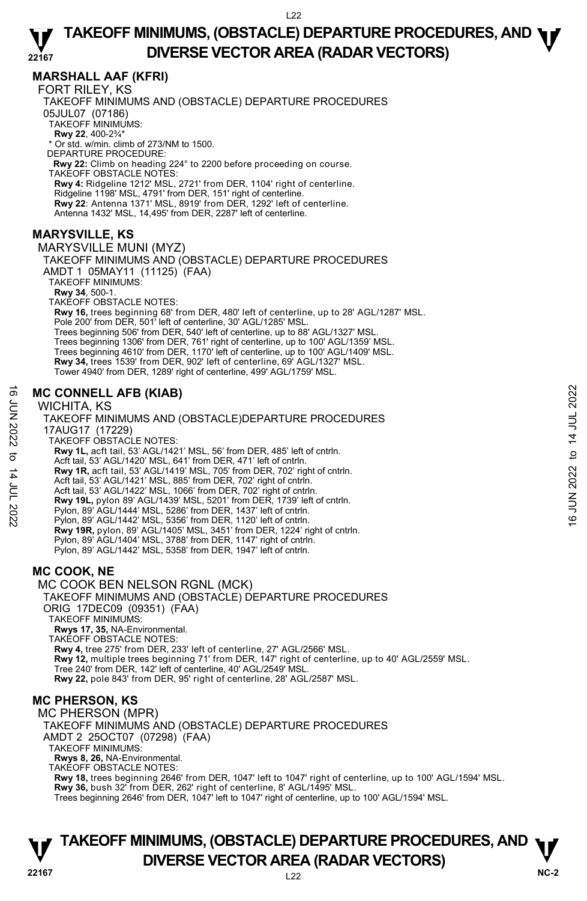### **MARSHALL AAF (KFRI)**

FORT RILEY, KS

TAKEOFF MINIMUMS AND (OBSTACLE) DEPARTURE PROCEDURES 05JUL07 (07186) TAKEOFF MINIMUMS: **Rwy 22**, 400-2¾\* \* Or std. w/min. climb of 273/NM to 1500. DEPARTURE PROCEDURE: **Rwy 22:** Climb on heading 224° to 2200 before proceeding on course. TAKEOFF OBSTACLE NOTES: **Rwy 4:** Ridgeline 1212' MSL, 2721' from DER, 1104' right of centerline. Ridgeline 1198' MSL, 4791' from DER, 151' right of centerline. **Rwy 22**: Antenna 1371' MSL, 8919' from DER, 1292' left of centerline. Antenna 1432' MSL, 14,495' from DER, 2287' left of centerline.

### **MARYSVILLE, KS**

MARYSVILLE MUNI (MYZ) TAKEOFF MINIMUMS AND (OBSTACLE) DEPARTURE PROCEDURES AMDT 1 05MAY11 (11125) (FAA) TAKEOFF MINIMUMS: **Rwy 34**, 500-1. TAKEOFF OBSTACLE NOTES: **Rwy 16,** trees beginning 68' from DER, 480' left of centerline, up to 28' AGL/1287' MSL. Pole 200' from DER, 501' left of centerline, 30' AGL/1285' MSL. Trees beginning 506' from DER, 540' left of centerline, up to 88' AGL/1327' MSL. Trees beginning 1306' from DER, 761' right of centerline, up to 100' AGL/1359' MSL. Trees beginning 4610' from DER, 1170' left of centerline, up to 100' AGL/1409' MSL. **Rwy 34,** trees 1539' from DER, 902' left of centerline, 69' AGL/1327' MSL. Tower 4940' from DER, 1289' right of centerline, 499' AGL/1759' MSL.

### **MC CONNELL AFB (KIAB)**

#### WICHITA, KS

TAKEOFF MINIMUMS AND (OBSTACLE)DEPARTURE PROCEDURES 17AUG17 (17229) TAKEOFF OBSTACLE NOTES: **Rwy 1L,** acft tail, 53' AGL/1421' MSL, 56' from DER, 485' left of cntrln. Acft tail, 53' AGL/1420' MSL, 641' from DER, 471' left of cntrln. **Rwy 1R,** acft tail, 53' AGL/1419' MSL, 705' from DER, 702' right of cntrln.<br>Acft tail, 53' AGL/1421' MSL, 885' from DER, 702' right of cntrln. Acft tail, 53' AGL/1422' MSL, 1066' from DER, 702' right of cntrln. **Rwy 19L,** pylon 89' AGL/1439' MSL, 5201' from DER, 1739' left of cntrln. Pylon, 89' AGL/1444' MSL, 5286' from DER, 1437' left of cntrln. Pylon, 89' AGL/1442' MSL, 5356' from DER, 1120' left of cntrln. **Rwy 19R,** pylon, 89' AGL/1405' MSL, 3451' from DER, 1224' right of cntrln. Pylon, 89' AGL/1404' MSL, 3788' from DER, 1147' right of cntrln. Pylon, 89' AGL/1442' MSL, 5358' from DER, 1947' left of cntrln. **MC CONNELL AFB (KIAB)**<br>  $\frac{1}{2}$  WICHITA, KS<br>
TAKEOFF MINIMUMS AND (OBSTACLE)DEPARTURE PROCEDURES<br>
17AUG17 (17229)<br>
TAKEOFF OBSTACLE NOTES:<br>
TAKEOFF OBSTACLE NOTES:<br> **EVALUATE AND 11, active 14 JULE 2022**<br>
TAKEOFF OBST

### **MC COOK, NE**

MC COOK BEN NELSON RGNL (MCK)

TAKEOFF MINIMUMS AND (OBSTACLE) DEPARTURE PROCEDURES ORIG 17DEC09 (09351) (FAA) TAKEOFF MINIMUMS:

**Rwys 17, 35,** NA-Environmental. TAKEOFF OBSTACLE NOTES: **Rwy 4,** tree 275' from DER, 233' left of centerline, 27' AGL/2566' MSL. **Rwy 12,** multiple trees beginning 71' from DER, 147' right of centerline, up to 40' AGL/2559' MSL. Tree 240' from DER, 142' left of centerline, 40' AGL/2549' MSL. **Rwy 22,** pole 843' from DER, 95' right of centerline, 28' AGL/2587' MSL.

### **MC PHERSON, KS**

MC PHERSON (MPR)

TAKEOFF MINIMUMS AND (OBSTACLE) DEPARTURE PROCEDURES AMDT 2 25OCT07 (07298) (FAA) TAKEOFF MINIMUMS: **Rwys 8, 26,** NA-Environmental.

TAKEOFF OBSTACLE NOTES:

**Rwy 18,** trees beginning 2646' from DER, 1047' left to 1047' right of centerline, up to 100' AGL/1594' MSL.<br>**Rwy 36,** bush 32' from DER, 262' right of centerline, 8' AGL/1495' MSL. Trees beginning 2646' from DER, 1047' left to 1047' right of centerline, up to 100' AGL/1594' MSL.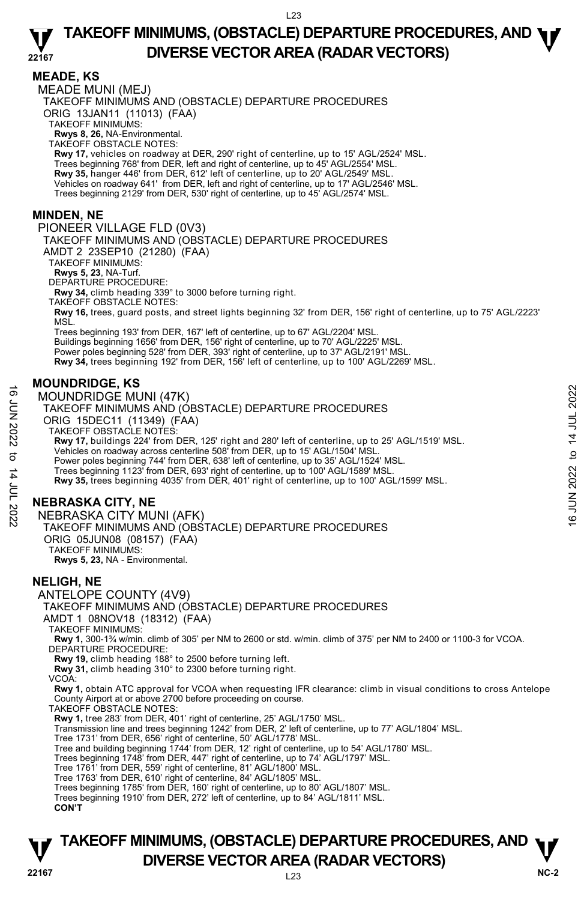#### **MEADE, KS**

MEADE MUNI (MEJ) TAKEOFF MINIMUMS AND (OBSTACLE) DEPARTURE PROCEDURES ORIG 13JAN11 (11013) (FAA) TAKEOFF MINIMUMS: **Rwys 8, 26,** NA-Environmental. TAKEOFF OBSTACLE NOTES: **Rwy 17,** vehicles on roadway at DER, 290' right of centerline, up to 15' AGL/2524' MSL. Trees beginning 768' from DER, left and right of centerline, up to 45' AGL/2554' MSL. **Rwy 35,** hanger 446' from DER, 612' left of centerline, up to 20' AGL/2549' MSL.<br>Vehicles on roadway 641' from DER, left and right of centerline, up to 17' AGL/2546' MSL. Trees beginning 2129' from DER, 530' right of centerline, up to 45' AGL/2574' MSL. **MINDEN, NE**  PIONEER VILLAGE FLD (0V3) TAKEOFF MINIMUMS AND (OBSTACLE) DEPARTURE PROCEDURES AMDT 2 23SEP10 (21280) (FAA) TAKEOFF MINIMUMS: **Rwys 5, 23**, NA-Turf. DEPARTURE PROCEDURE: **Rwy 34,** climb heading 339° to 3000 before turning right. TAKEOFF OBSTACLE NOTES: **Rwy 16,** trees, guard posts, and street lights beginning 32' from DER, 156' right of centerline, up to 75' AGL/2223' MSL. Trees beginning 193' from DER, 167' left of centerline, up to 67' AGL/2204' MSL. Buildings beginning 1656' from DER, 156' right of centerline, up to 70' AGL/2225' MSL. Power poles beginning 528' from DER, 393' right of centerline, up to 37' AGL/2191' MSL. **Rwy 34,** trees beginning 192' from DER, 156' left of centerline, up to 100' AGL/2269' MSL. **MOUNDRIDGE, KS**  MOUNDRIDGE MUNI (47K) TAKEOFF MINIMUMS AND (OBSTACLE) DEPARTURE PROCEDURES ORIG 15DEC11 (11349) (FAA)

TAKEOFF OBSTACLE NOTES: **Rwy 17,** buildings 224' from DER, 125' right and 280' left of centerline, up to 25' AGL/1519' MSL.<br>Vehicles on roadway across centerline 508' from DER, up to 15' AGL/1504' MSL. Power poles beginning 744' from DER, 638' left of centerline, up to 35' AGL/1524' MSL. Trees beginning 1123' from DER, 693' right of centerline, up to 100' AGL/1589' MSL.<br>**Rwy 35,** trees beginning 4035' from DER, 401' right of centerline, up to 100' AGL/1599' MSL. 16 MOUNDRIDGE MUNI (47K)<br>  $\frac{1}{2}$  TAKEOFF MINIMUMS AND (OBSTACLE) DEPARTURE PROCEDURES<br>
ORIG 15DEC11 (11349) (FAA)<br>
NAMEDIFIC 2022 TO 12049) (FAA)<br>
NAMEDIFIC DESTACLE NOTES:<br>
TAKEOFF OBSTACLE NOTES:<br>
TAKEOFF OBSTACLE

### **NEBRASKA CITY, NE**

NEBRASKA CITY MUNI (AFK) TAKEOFF MINIMUMS AND (OBSTACLE) DEPARTURE PROCEDURES ORIG 05JUN08 (08157) (FAA) TAKEOFF MINIMUMS: **Rwys 5, 23,** NA - Environmental.

#### **NELIGH, NE**

ANTELOPE COUNTY (4V9) TAKEOFF MINIMUMS AND (OBSTACLE) DEPARTURE PROCEDURES AMDT 1 08NOV18 (18312) (FAA) TAKEOFF MINIMUMS: **Rwy 1,** 300-1¾ w/min. climb of 305' per NM to 2600 or std. w/min. climb of 375' per NM to 2400 or 1100-3 for VCOA. DEPARTURE PROCEDURE: **Rwy 19,** climb heading 188° to 2500 before turning left. **Rwy 31,** climb heading 310° to 2300 before turning right. VCOA: **Rwy 1,** obtain ATC approval for VCOA when requesting IFR clearance: climb in visual conditions to cross Antelope County Airport at or above 2700 before proceeding on course. TAKEOFF OBSTACLE NOTES: **Rwy 1,** tree 283' from DER, 401' right of centerline, 25' AGL/1750' MSL. Transmission line and trees beginning 1242' from DER, 2' left of centerline, up to 77' AGL/1804' MSL. Tree 1731' from DER, 656' right of centerline, 50' AGL/1778' MSL. Tree and building beginning 1744' from DER, 12' right of centerline, up to 54' AGL/1780' MSL. Trees beginning 1748' from DER, 447' right of centerline, up to 74' AGL/1797' MSL. Tree 1761' from DER, 559' right of centerline, 81' AGL/1800' MSL.

Tree 1763' from DER, 610' right of centerline, 84' AGL/1805' MSL. Trees beginning 1785' from DER, 160' right of centerline, up to 80' AGL/1807' MSL.

Trees beginning 1910' from DER, 272' left of centerline, up to 84' AGL/1811' MSL.

 **CON'T**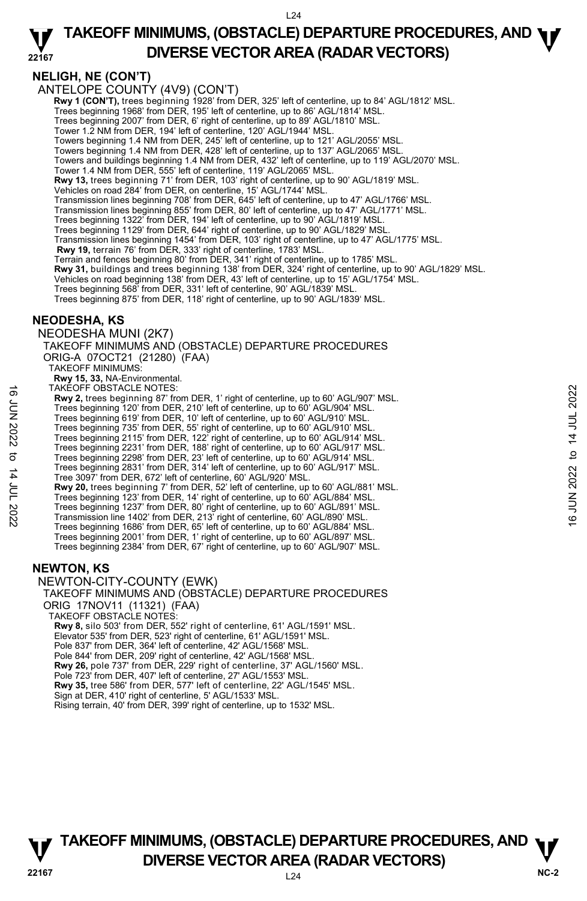$L24$ 

#### **22167 TAKEOFF MINIMUMS, (OBSTACLE) DEPARTURE PROCEDURES, AND <b>W**<br>DIVERSE VECTOR AREA (RADAR VECTORS) **DIVERSE VECTOR AREA (RADAR VECTORS)**

### **NELIGH, NE (CON'T)**

ANTELOPE COUNTY (4V9) (CON'T)

 **Rwy 1 (CON'T),** trees beginning 1928' from DER, 325' left of centerline, up to 84' AGL/1812' MSL.

Trees beginning 1968' from DER, 195' left of centerline, up to 86' AGL/1814' MSL.

Trees beginning 2007' from DER, 6' right of centerline, up to 89' AGL/1810' MSL. Tower 1.2 NM from DER, 194' left of centerline, 120' AGL/1944' MSL.

Towers beginning 1.4 NM from DER, 245' left of centerline, up to 121' AGL/2055' MSL.

Towers beginning 1.4 NM from DER, 428' left of centerline, up to 137' AGL/2065' MSL.

Towers and buildings beginning 1.4 NM from DER, 432' left of centerline, up to 119' AGL/2070' MSL.

Tower 1.4 NM from DER, 555' left of centerline, 119' AGL/2065' MSL.

**Rwy 13,** trees beginning 71' from DER, 103' right of centerline, up to 90' AGL/1819' MSL.

Vehicles on road 284' from DER, on centerline, 15' AGL/1744' MSL.

Transmission lines beginning 708' from DER, 645' left of centerline, up to 47' AGL/1766' MSL. Transmission lines beginning 855' from DER, 80' left of centerline, up to 47' AGL/1771' MSL.

Trees beginning 1322' from DER, 194' left of centerline, up to 90' AGL/1819' MSL.

Trees beginning 1129' from DER, 644' right of centerline, up to 90' AGL/1829' MSL.

Transmission lines beginning 1454' from DER, 103' right of centerline, up to 47' AGL/1775' MSL.  **Rwy 19,** terrain 76' from DER, 333' right of centerline, 1783' MSL.

Terrain and fences beginning 80' from DER, 341' right of centerline, up to 1785' MSL.

**Rwy 31,** buildings and trees beginning 138' from DER, 324' right of centerline, up to 90' AGL/1829' MSL.<br>Vehicles on road beginning 138' from DER, 43' left of centerline, up to 15' AGL/1754' MSL.

Trees beginning 568' from DER, 331' left of centerline, 90' AGL/1839' MSL.

Trees beginning 875' from DER, 118' right of centerline, up to 90' AGL/1839' MSL.

### **NEODESHA, KS**

NEODESHA MUNI (2K7)

TAKEOFF MINIMUMS AND (OBSTACLE) DEPARTURE PROCEDURES ORIG-A 07OCT21 (21280) (FAA)

TAKEOFF MINIMUMS:

**Rwy 15, 33,** NA-Environmental. TAKEOFF OBSTACLE NOTES:

**Rwy 2,** trees beginning 87' from DER, 1' right of centerline, up to 60' AGL/907' MSL.

Trees beginning 120' from DER, 210' left of centerline, up to 60' AGL/904' MSL. Trees beginning 619' from DER, 10' left of centerline, up to 60' AGL/910' MSL.

Trees beginning 735' from DER, 55' right of centerline, up to 60' AGL/910' MSL.

Trees beginning 2115' from DER, 122' right of centerline, up to 60' AGL/914' MSL. Trees beginning 2231' from DER, 188' right of centerline, up to 60' AGL/917' MSL.

Trees beginning 2298' from DER, 23' left of centerline, up to 60' AGL/914' MSL.

Trees beginning 2831' from DER, 314' left of centerline, up to 60' AGL/917' MSL.

Tree 3097' from DER, 672' left of centerline, 60' AGL/920' MSL.

**Rwy 20,** trees beginning 7' from DER, 52' left of centerline, up to 60' AGL/881' MSL. Trees beginning 123' from DER, 14' right of centerline, up to 60' AGL/884' MSL. 16 HAEOH-OBSI ACLE NOTES: 17 right of centerline, up to 60' AGL/904' MSL.<br>
Trees beginning 120' from DER, 210' left of centerline, up to 60' AGL/904' MSL.<br>
Trees beginning 120' from DER, 12' right of centerline, up to 60'

Trees beginning 1237' from DER, 80' right of centerline, up to 60' AGL/891' MSL. Transmission line 1402' from DER, 213' right of centerline, 60' AGL/890' MSL.

Trees beginning 1686' from DER, 65' left of centerline, up to 60' AGL/884' MSL. Trees beginning 2001' from DER, 1' right of centerline, up to 60' AGL/897' MSL.

Trees beginning 2384' from DER, 67' right of centerline, up to 60' AGL/907' MSL.

#### **NEWTON, KS**

NEWTON-CITY-COUNTY (EWK) TAKEOFF MINIMUMS AND (OBSTACLE) DEPARTURE PROCEDURES

ORIG 17NOV11 (11321) (FAA)

TAKEOFF OBSTACLE NOTES:

**Rwy 8,** silo 503' from DER, 552' right of centerline, 61' AGL/1591' MSL.

Elevator 535' from DER, 523' right of centerline, 61' AGL/1591' MSL.

Pole 837' from DER, 364' left of centerline, 42' AGL/1568' MSL.

Pole 844' from DER, 209' right of centerline, 42' AGL/1568' MSL.

**Rwy 26,** pole 737' from DER, 229' right of centerline, 37' AGL/1560' MSL.

Pole 723' from DER, 407' left of centerline, 27' AGL/1553' MSL.

**Rwy 35,** tree 586' from DER, 577' left of centerline, 22' AGL/1545' MSL.

Sign at DER, 410' right of centerline, 5' AGL/1533' MSL.

Rising terrain, 40' from DER, 399' right of centerline, up to 1532' MSL.

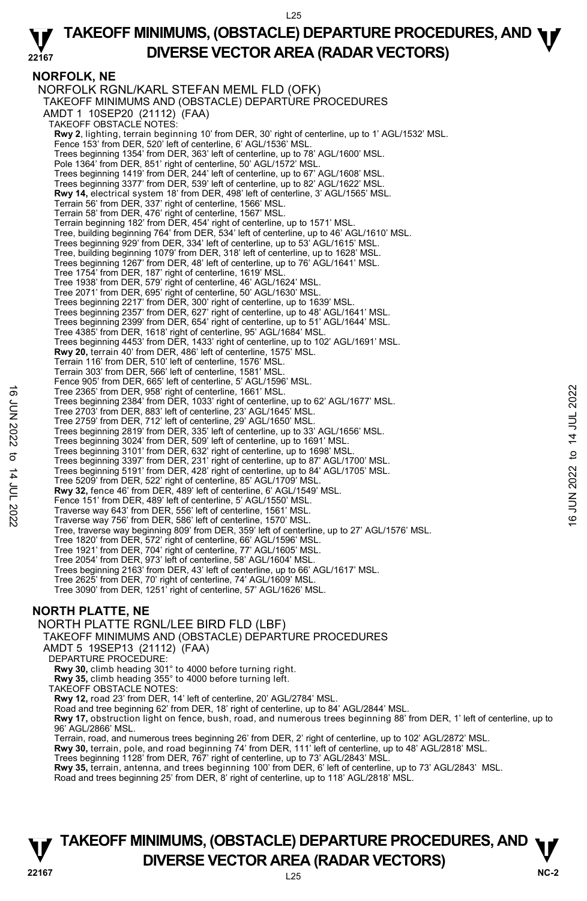**NORFOLK, NE**  NORFOLK RGNL/KARL STEFAN MEML FLD (OFK) TAKEOFF MINIMUMS AND (OBSTACLE) DEPARTURE PROCEDURES AMDT 1 10SEP20 (21112) (FAA) TAKEOFF OBSTACLE NOTES: **Rwy 2**, lighting, terrain beginning 10' from DER, 30' right of centerline, up to 1' AGL/1532' MSL.<br>Fence 153' from DER, 520' left of centerline, 6' AGL/1536' MSL. Trees beginning 1354' from DER, 363' left of centerline, up to 78' AGL/1600' MSL. Pole 1364' from DER, 851' right of centerline, 50' AGL/1572' MSL. Trees beginning 1419' from DER, 244' left of centerline, up to 67' AGL/1608' MSL. Trees beginning 3377' from DER, 539' left of centerline, up to 82' AGL/1622' MSL. **Rwy 14,** electrical system 18' from DER, 498' left of centerline, 3' AGL/1565' MSL. Terrain 56' from DER, 337' right of centerline, 1566' MSL. Terrain 58' from DER, 476' right of centerline, 1567' MSL. Terrain beginning 182' from DER, 454' right of centerline, up to 1571' MSL. Tree, building beginning 764' from DER, 534' left of centerline, up to 46' AGL/1610' MSL. Trees beginning 929' from DER, 334' left of centerline, up to 53' AGL/1615' MSL. Tree, building beginning 1079' from DER, 318' left of centerline, up to 1628' MSL. Trees beginning 1267' from DER, 48' left of centerline, up to 76' AGL/1641' MSL. Tree 1754' from DER, 187' right of centerline, 1619' MSL. Tree 1938' from DER, 579' right of centerline, 46' AGL/1624' MSL. Tree 2071' from DER, 695' right of centerline, 50' AGL/1630' MSL. Trees beginning 2217' from DER, 300' right of centerline, up to 1639' MSL. Trees beginning 2357' from DER, 627' right of centerline, up to 48' AGL/1641' MSL. Trees beginning 2399' from DER, 654' right of centerline, up to 51' AGL/1644' MSL. Tree 4385' from DER, 1618' right of centerline, 95' AGL/1684' MSL. Trees beginning 4453' from DER, 1433' right of centerline, up to 102' AGL/1691' MSL.<br>**Rwy 20,** terrain 40' from DER, 486' left of centerline, 1575' MSL. Terrain 116' from DER, 510' left of centerline, 1576' MSL. Terrain 303' from DER, 566' left of centerline, 1581' MSL. Fence 905' from DER, 665' left of centerline, 5' AGL/1596' MSL. Tree 2365' from DER, 958' right of centerline, 1661' MSL. Trees beginning 2384' from DER, 1033' right of centerline, up to 62' AGL/1677' MSL. Tree 2703' from DER, 883' left of centerline, 23' AGL/1645' MSL. Tree 2759' from DER, 712' left of centerline, 29' AGL/1650' MSL. Trees beginning 2819' from DER, 335' left of centerline, up to 33' AGL/1656' MSL. Trees beginning 3024' from DER, 509' left of centerline, up to 1691' MSL. Trees beginning 3101' from DER, 632' right of centerline, up to 1698' MSL. Trees beginning 3397' from DER, 231' right of centerline, up to 87' AGL/1700' MSL. Trees beginning 5191' from DER, 428' right of centerline, up to 84' AGL/1705' MSL. Tree 5209' from DER, 522' right of centerline, 85' AGL/1709' MSL. **Rwy 32,** fence 46' from DER, 489' left of centerline, 6' AGL/1549' MSL. Fence 151' from DER, 489' left of centerline, 5' AGL/1550' MSL. Traverse way 643' from DER, 556' left of centerline, 1561' MSL. Traverse way 756' from DER, 586' left of centerline, 1570' MSL. Tree, traverse way beginning 809' from DER, 359' left of centerline, up to 27' AGL/1576' MSL. Tree 1820' from DER, 572' right of centerline, 66' AGL/1596' MSL. Tree 1921' from DER, 704' right of centerline, 77' AGL/1605' MSL. Tree 2054' from DER, 973' left of centerline, 58' AGL/1604' MSL. Trees beginning 2163' from DER, 43' left of centerline, up to 66' AGL/1617' MSL. Tree 2625' from DER, 70' right of centerline, 74' AGL/1609' MSL. Tree 3090' from DER, 1251' right of centerline, 57' AGL/1626' MSL. Tree 2365' from DER, 958' right of centerline, 1661' MSL.<br>
Tree beginning 2384' from DER, 1033' right of centerline, 29' AGL/1645' MSL.<br>
Tree 2759' from DER, 8732' left of centerline, 29' AGL/1645' MSL.<br>
Tree beginning 20

### **NORTH PLATTE, NE**

NORTH PLATTE RGNL/LEE BIRD FLD (LBF) TAKEOFF MINIMUMS AND (OBSTACLE) DEPARTURE PROCEDURES AMDT 5 19SEP13 (21112) (FAA) DEPARTURE PROCEDURE: **Rwy 30,** climb heading 301° to 4000 before turning right. **Rwy 35,** climb heading 355° to 4000 before turning left. TAKEOFF OBSTACLE NOTES: **Rwy 12,** road 23' from DER, 14' left of centerline, 20' AGL/2784' MSL. Road and tree beginning 62' from DER, 18' right of centerline, up to 84' AGL/2844' MSL **Rwy 17,** obstruction light on fence, bush, road, and numerous trees beginning 88' from DER, 1' left of centerline, up to 96' AGL/2866' MSL. Terrain, road, and numerous trees beginning 26' from DER, 2' right of centerline, up to 102' AGL/2872' MSL. **Rwy 30,** terrain, pole, and road beginning 74' from DER, 111' left of centerline, up to 48' AGL/2818' MSL.<br>Trees beginning 1128' from DER, 767' right of centerline, up to 73' AGL/2843' MSL. **Rwy 35,** terrain, antenna, and trees beginning 100' from DER, 6' left of centerline, up to 73' AGL/2843' MSL. Road and trees beginning 25' from DER, 8' right of centerline, up to 118' AGL/2818' MSL.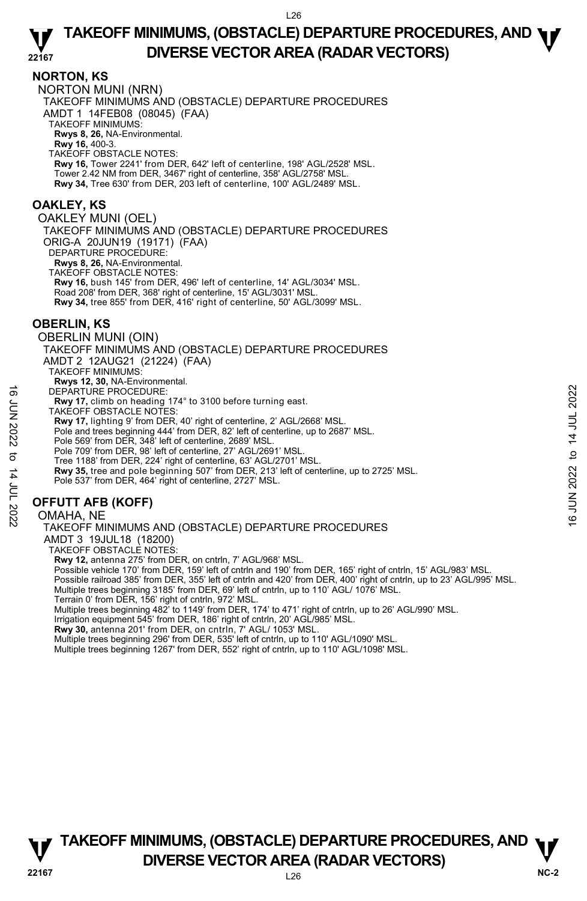#### **NORTON, KS**

NORTON MUNI (NRN) TAKEOFF MINIMUMS AND (OBSTACLE) DEPARTURE PROCEDURES AMDT 1 14FEB08 (08045) (FAA) TAKEOFF MINIMUMS: **Rwys 8, 26,** NA-Environmental. **Rwy 16,** 400-3. TAKEOFF OBSTACLE NOTES: **Rwy 16,** Tower 2241' from DER, 642' left of centerline, 198' AGL/2528' MSL. Tower 2.42 NM from DER, 3467' right of centerline, 358' AGL/2758' MSL. **Rwy 34,** Tree 630' from DER, 203 left of centerline, 100' AGL/2489' MSL.

### **OAKLEY, KS**

OAKLEY MUNI (OEL) TAKEOFF MINIMUMS AND (OBSTACLE) DEPARTURE PROCEDURES ORIG-A 20JUN19 (19171) (FAA) DEPARTURE PROCEDURE: **Rwys 8, 26,** NA-Environmental. TAKEOFF OBSTACLE NOTES: **Rwy 16,** bush 145' from DER, 496' left of centerline, 14' AGL/3034' MSL. Road 208' from DER, 368' right of centerline, 15' AGL/3031' MSL.

**Rwy 34,** tree 855' from DER, 416' right of centerline, 50' AGL/3099' MSL.

#### **OBERLIN, KS**

OBERLIN MUNI (OIN)

TAKEOFF MINIMUMS AND (OBSTACLE) DEPARTURE PROCEDURES AMDT 2 12AUG21 (21224) (FAA) TAKEOFF MINIMUMS:

**Rwys 12, 30,** NA-Environmental.

DEPARTURE PROCEDURE:

**Rwy 17,** climb on heading 174° to 3100 before turning east.

TAKEOFF OBSTACLE NOTES:

 **Rwy 17,** lighting 9' from DER, 40' right of centerline, 2' AGL/2668' MSL.

Pole and trees beginning 444' from DER, 82' left of centerline, up to 2687' MSL.

- 
- Pole 569' from DER, 348' left of centerline, 2689' MSL. Pole 709' from DER, 98' left of centerline, 27' AGL/2691' MSL.

Tree 1188' from DER, 224' right of centerline, 63' AGL/2701' MSL.

**Rwy 35,** tree and pole beginning 507' from DER, 213' left of centerline, up to 2725' MSL. Pole 537' from DER, 464' right of centerline, 2727' MSL. DEPARTURE PROCEDURE:<br> **EVALUATION** on heading 174° to 3100 before turning east.<br>
TAKEOFF OBSTACLE NOTES:<br>
TAKEOFF OBSTACLE NOTES:<br> **RW 17**, lighting 9' from DER, 40' right of centerline, 2' AGL/2668' MSL.<br>
Pole and trees

### **OFFUTT AFB (KOFF)**

#### OMAHA, NE

TAKEOFF MINIMUMS AND (OBSTACLE) DEPARTURE PROCEDURES

AMDT 3 19JUL18 (18200) TAKEOFF OBSTACLE NOTES:

**Rwy 12,** antenna 275' from DER, on cntrln, 7' AGL/968' MSL.

Possible vehicle 170' from DER, 159' left of cntrln and 190' from DER, 165' right of cntrln, 15' AGL/983' MSL.

Possible railroad 385' from DER, 355' left of cntrln and 420' from DER, 400' right of cntrln, up to 23' AGL/995' MSL. Multiple trees beginning 3185' from DER, 69' left of cntrln, up to 110' AGL/ 1076' MSL.

Terrain 0' from DER, 156' right of cntrln, 972' MSL.

Multiple trees beginning 482' to 1149' from DER, 174' to 471' right of cntrln, up to 26' AGL/990' MSL.<br>Irrigation equipment 545' from DER, 186' right of cntrln, 20' AGL/985' MSL.

**Rwy 30,** antenna 201' from DER, on cntrln, 7' AGL/ 1053' MSL.

Multiple trees beginning 296' from DER, 535' left of cntrln, up to 110' AGL/1090' MSL.

Multiple trees beginning 1267' from DER, 552' right of cntrln, up to 110' AGL/1098' MSL.

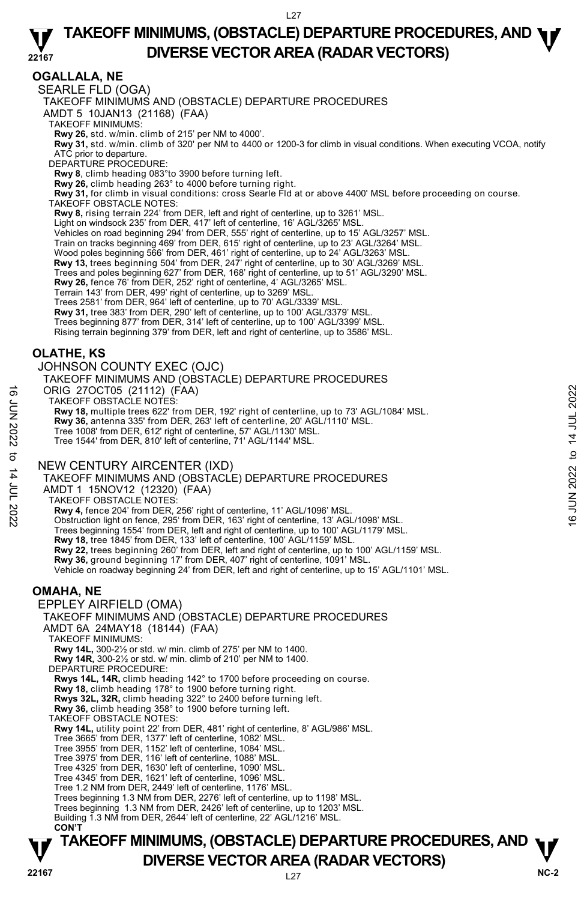### **OGALLALA, NE**

SEARLE FLD (OGA)

TAKEOFF MINIMUMS AND (OBSTACLE) DEPARTURE PROCEDURES

AMDT 5 10JAN13 (21168) (FAA)

TAKEOFF MINIMUMS:

**Rwy 26,** std. w/min. climb of 215' per NM to 4000'.<br>**Rwy 31,** std. w/min. climb of 320' per NM to 4400 or 1200-3 for climb in visual conditions. When executing VCOA, notify ATC prior to departure.

DEPARTURE PROCEDURE:

**Rwy 8**, climb heading 083°to 3900 before turning left.

**Rwy 26,** climb heading 263° to 4000 before turning right.

**Rwy 31,** for climb in visual conditions: cross Searle Fld at or above 4400' MSL before proceeding on course. TAKEOFF OBSTACLE NOTES:

**Rwy 8,** rising terrain 224' from DER, left and right of centerline, up to 3261' MSL.

Light on windsock 235' from DER, 417' left of centerline, 16' AGL/3265' MSL.

Vehicles on road beginning 294' from DER, 555' right of centerline, up to 15' AGL/3257' MSL.

Train on tracks beginning 469' from DER, 615' right of centerline, up to 23' AGL/3264' MSL.

Wood poles beginning 566' from DER, 461' right of centerline, up to 24' AGL/3263' MSL.

**Rwy 13,** trees beginning 504' from DER, 247' right of centerline, up to 30' AGL/3269' MSL.

Trees and poles beginning 627' from DER, 168' right of centerline, up to 51' AGL/3290' MSL.<br>**Rwy 26,** fence 76' from DER, 252' right of centerline, 4' AGL/3265' MSL.

Terrain 143' from DER, 499' right of centerline, up to 3269' MSL. Trees 2581' from DER, 964' left of centerline, up to 70' AGL/3339' MSL.

**Rwy 31,** tree 383' from DER, 290' left of centerline, up to 100' AGL/3379' MSL.

Trees beginning 877' from DER, 314' left of centerline, up to 100' AGL/3399' MSL.

Rising terrain beginning 379' from DER, left and right of centerline, up to 3586' MSL.

### **OLATHE, KS**

JOHNSON COUNTY EXEC (OJC)

TAKEOFF MINIMUMS AND (OBSTACLE) DEPARTURE PROCEDURES

ORIG 27OCT05 (21112) (FAA)

TAKEOFF OBSTACLE NOTES:

**Rwy 18,** multiple trees 622' from DER, 192' right of centerline, up to 73' AGL/1084' MSL. G ORIG 27OCT05 (21112) (FAA)<br>
TAKEOFF OBSTACLE NOTES:<br>
TRAY 18, multiple trees 622' from DER, 192' right of centerline, up to 73' AGL/1084' MSL.<br>
Rwy 36, antenna 335' from DER, 263' left of centerline, 20' AGL/1110' MSL

**Rwy 36,** antenna 335' from DER, 263' left of centerline, 20' AGL/1110' MSL.

Tree 1008' from DER, 612' right of centerline, 57' AGL/1130' MSL.

Tree 1544' from DER, 810' left of centerline, 71' AGL/1144' MSL.

#### NEW CENTURY AIRCENTER (IXD)

TAKEOFF MINIMUMS AND (OBSTACLE) DEPARTURE PROCEDURES

AMDT 1 15NOV12 (12320) (FAA)

TAKEOFF OBSTACLE NOTES:

**Rwy 4,** fence 204' from DER, 256' right of centerline, 11' AGL/1096' MSL.<br>Obstruction light on fence, 295' from DER, 163' right of centerline, 13' AGL/1098' MSL.

Trees beginning 1554' from DER, left and right of centerline, up to 100' AGL/1179' MSL.

**Rwy 18,** tree 1845' from DER, 133' left of centerline, 100' AGL/1159' MSL.<br>**Rwy 22,** trees beginning 260' from DER, left and right of centerline, up to 100' AGL/1159' MSL.

**Rwy 36,** ground beginning 17' from DER, 407' right of centerline, 1091' MSL.

Vehicle on roadway beginning 24' from DER, left and right of centerline, up to 15' AGL/1101' MSL.

### **OMAHA, NE**

EPPLEY AIRFIELD (OMA) TAKEOFF MINIMUMS AND (OBSTACLE) DEPARTURE PROCEDURES

AMDT 6A 24MAY18 (18144) (FAA) TAKEOFF MINIMUMS: **Rwy 14L,** 300-2½ or std. w/ min. climb of 275' per NM to 1400. **Rwy 14R,** 300-2½ or std. w/ min. climb of 210' per NM to 1400. DEPARTURE PROCEDURE: **Rwys 14L, 14R,** climb heading 142° to 1700 before proceeding on course. **Rwy 18,** climb heading 178° to 1900 before turning right. **Rwys 32L, 32R,** climb heading 322° to 2400 before turning left. **Rwy 36,** climb heading 358° to 1900 before turning left. TAKEOFF OBSTACLE NOTES: **Rwy 14L,** utility point 22' from DER, 481' right of centerline, 8' AGL/986' MSL. Tree 3665' from DER, 1377' left of centerline, 1082' MSL. Tree 3955' from DER, 1152' left of centerline, 1084' MSL. Tree 3975' from DER, 116' left of centerline, 1088' MSL. Tree 4325' from DER, 1630' left of centerline, 1090' MSL. Tree 4345' from DER, 1621' left of centerline, 1096' MSL. Tree 1.2 NM from DER, 2449' left of centerline, 1176' MSL. Trees beginning 1.3 NM from DER, 2276' left of centerline, up to 1198' MSL. Trees beginning 1.3 NM from DER, 2426' left of centerline, up to 1203' MSL. Building 1.3 NM from DER, 2644' left of centerline, 22' AGL/1216' MSL. **CON'T**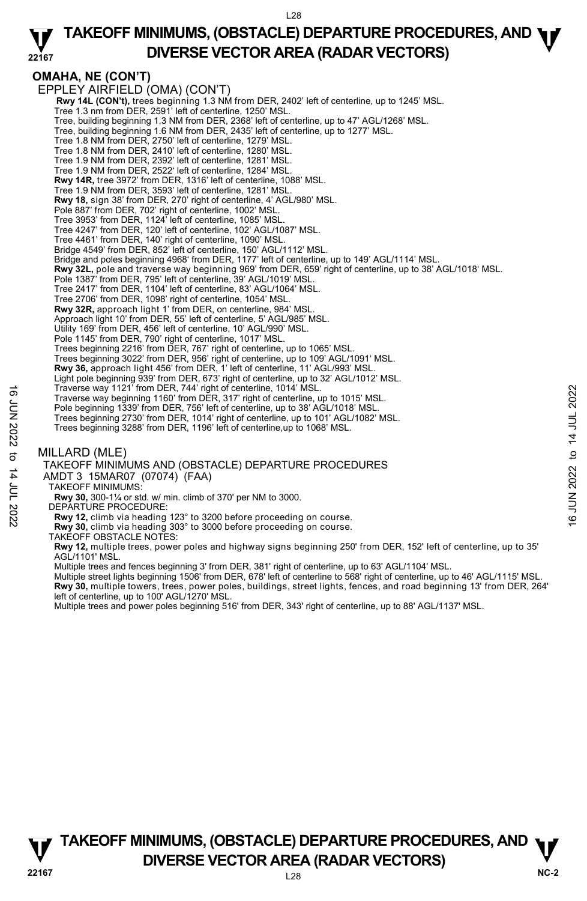L28

#### **22167 TAKEOFF MINIMUMS, (OBSTACLE) DEPARTURE PROCEDURES, AND <b>W**<br>DIVERSE VECTOR AREA (RADAR VECTORS) **DIVERSE VECTOR AREA (RADAR VECTORS)**

### **OMAHA, NE (CON'T)**

EPPLEY AIRFIELD (OMA) (CON'T) **Rwy 14L (CON't),** trees beginning 1.3 NM from DER, 2402' left of centerline, up to 1245' MSL. Tree 1.3 nm from DER, 2591' left of centerline, 1250' MSL. Tree, building beginning 1.3 NM from DER, 2368' left of centerline, up to 47' AGL/1268' MSL. Tree, building beginning 1.6 NM from DER, 2435' left of centerline, up to 1277' MSL. Tree 1.8 NM from DER, 2750' left of centerline, 1279' MSL. Tree 1.8 NM from DER, 2410' left of centerline, 1280' MSL. Tree 1.9 NM from DER, 2392' left of centerline, 1281' MSL. Tree 1.9 NM from DER, 2522' left of centerline, 1284' MSL. **Rwy 14R,** tree 3972' from DER, 1316' left of centerline, 1088' MSL. Tree 1.9 NM from DER, 3593' left of centerline, 1281' MSL. **Rwy 18,** sign 38' from DER, 270' right of centerline, 4' AGL/980' MSL. Pole 887' from DER, 702' right of centerline, 1002' MSL. Tree 3953' from DER, 1124' left of centerline, 1085' MSL. Tree 4247' from DER, 120' left of centerline, 102' AGL/1087' MSL. Tree 4461' from DER, 140' right of centerline, 1090' MSL. Bridge 4549' from DER, 852' left of centerline, 150' AGL/1112' MSL. Bridge and poles beginning 4968' from DER, 1177' left of centerline, up to 149' AGL/1114' MSL. **Rwy 32L,** pole and traverse way beginning 969' from DER, 659' right of centerline, up to 38' AGL/1018' MSL.<br>Pole 1387' from DER, 795' left of centerline, 39' AGL/1019' MSL. Tree 2417' from DER, 1104' left of centerline, 83' AGL/1064' MSL. Tree 2706' from DER, 1098' right of centerline, 1054' MSL. **Rwy 32R,** approach light 1' from DER, on centerline, 984' MSL. Approach light 10' from DER, 55' left of centerline, 5' AGL/985' MSL. Utility 169' from DER, 456' left of centerline, 10' AGL/990' MSL. Pole 1145' from DER, 790' right of centerline, 1017' MSL. Trees beginning 2216' from DER, 767' right of centerline, up to 1065' MSL. Trees beginning 3022' from DER, 956' right of centerline, up to 109' AGL/1091' MSL. **Rwy 36,** approach light 456' from DER, 1' left of centerline, 11' AGL/993' MSL. Light pole beginning 939' from DER, 673' right of centerline, up to 32' AGL/1012' MSL. Traverse way 1121' from DER, 744' right of centerline, 1014' MSL. Traverse way beginning 1160' from DER, 317' right of centerline, up to 1015' MSL. Pole beginning 1339' from DER, 756' left of centerline, up to 38' AGL/1018' MSL Trees beginning 2730' from DER, 1014' right of centerline, up to 101' AGL/1082' MSL. Trees beginning 3288' from DER, 1196' left of centerline,up to 1068' MSL. MILLARD (MLE) TAKEOFF MINIMUMS AND (OBSTACLE) DEPARTURE PROCEDURES AMDT 3 15MAR07 (07074) (FAA) TAKEOFF MINIMUMS: **Rwy 30,** 300-1¼ or std. w/ min. climb of 370' per NM to 3000. DEPARTURE PROCEDURE: **Rwy 12,** climb via heading 123° to 3200 before proceeding on course. **Rwy 30,** climb via heading 303° to 3000 before proceeding on course. TAKEOFF OBSTACLE NOTES: Traverse way 19121 from DER, 317 right of centerline, up to 1015' MSL.<br>
Traverse way beginning 1160' from DER, 317 right of centerline, up to 1015' MSL.<br>
These beginning 2730' from DER, 1014' right of centerline, up to 10

**Rwy 12,** multiple trees, power poles and highway signs beginning 250' from DER, 152' left of centerline, up to 35' AGL/1101' MSL.

Multiple trees and fences beginning 3' from DER, 381' right of centerline, up to 63' AGL/1104' MSL.

Multiple street lights beginning 1506' from DER, 678' left of centerline to 568' right of centerline, up to 46' AGL/1115' MSL. **Rwy 30,** multiple towers, trees, power poles, buildings, street lights, fences, and road beginning 13' from DER, 264' left of centerline, up to 100' AGL/1270' MSL.

Multiple trees and power poles beginning 516' from DER, 343' right of centerline, up to 88' AGL/1137' MSL.

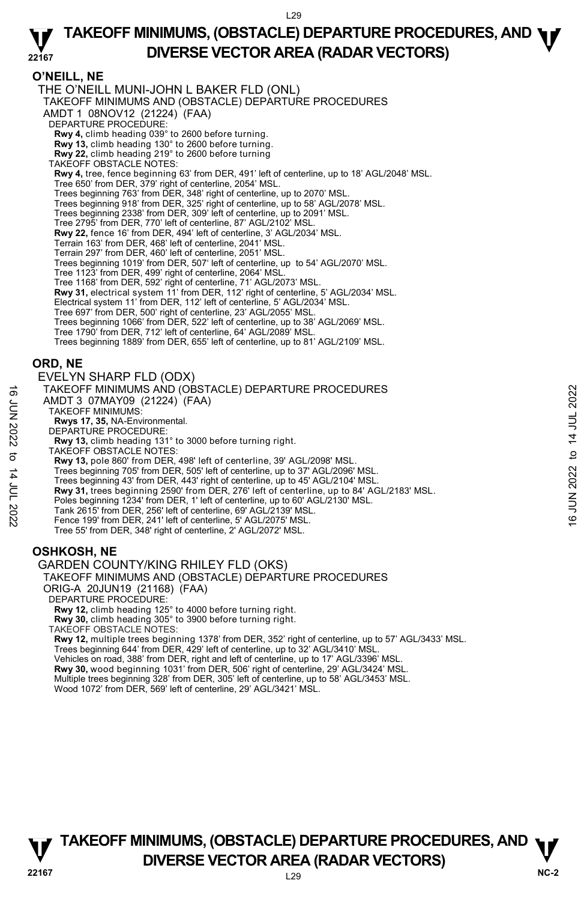### **O'NEILL, NE**

THE O'NEILL MUNI-JOHN L BAKER FLD (ONL) TAKEOFF MINIMUMS AND (OBSTACLE) DEPARTURE PROCEDURES AMDT 1 08NOV12 (21224) (FAA) DEPARTURE PROCEDURE: **Rwy 4,** climb heading 039° to 2600 before turning. **Rwy 13,** climb heading 130° to 2600 before turning. **Rwy 22,** climb heading 219° to 2600 before turning TAKEOFF OBSTACLE NOTES: **Rwy 4,** tree, fence beginning 63' from DER, 491' left of centerline, up to 18' AGL/2048' MSL.<br>Tree 650' from DER, 379' right of centerline, 2054' MSL. Trees beginning 763' from DER, 348' right of centerline, up to 2070' MSL. Trees beginning 918' from DER, 325' right of centerline, up to 58' AGL/2078' MSL. Trees beginning 2338' from DER, 309' left of centerline, up to 2091' MSL. Tree 2795' from DER, 770' left of centerline, 87' AGL/2102' MSL. **Rwy 22,** fence 16' from DER, 494' left of centerline, 3' AGL/2034' MSL. Terrain 163' from DER, 468' left of centerline, 2041' MSL. Terrain 297' from DER, 460' left of centerline, 2051' MSL. Trees beginning 1019' from DER, 507' left of centerline, up to 54' AGL/2070' MSL. Tree 1123' from DER, 499' right of centerline, 2064' MSL. Tree 1168' from DER, 592' right of centerline, 71' AGL/2073' MSL. **Rwy 31,** electrical system 11' from DER, 112' right of centerline, 5' AGL/2034' MSL. Electrical system 11' from DER, 112' left of centerline, 5' AGL/2034' MSL. Tree 697' from DER, 500' right of centerline, 23' AGL/2055' MSL. Trees beginning 1066' from DER, 522' left of centerline, up to 38' AGL/2069' MSL. Tree 1790' from DER, 712' left of centerline, 64' AGL/2089' MSL. Trees beginning 1889' from DER, 655' left of centerline, up to 81' AGL/2109' MSL. **ORD, NE**  EVELYN SHARP FLD (ODX) TAKEOFF MINIMUMS AND (OBSTACLE) DEPARTURE PROCEDURES AMDT 3 07MAY09 (21224) (FAA) TAKEOFF MINIMUMS: **Rwys 17, 35,** NA-Environmental. DEPARTURE PROCEDURE: **Rwy 13,** climb heading 131° to 3000 before turning right. TAKEOFF OBSTACLE NOTES: **Rwy 13,** pole 860' from DER, 498' left of centerline, 39' AGL/2098' MSL. Trees beginning 705' from DER, 505' left of centerline, up to 37' AGL/2096' MSL. Trees beginning 43' from DER, 443' right of centerline, up to 45' AGL/2104' MSL. **Rwy 31,** trees beginning 2590' from DER, 276' left of centerline, up to 84' AGL/2183' MSL. Poles beginning 1234' from DER, 1' left of centerline, up to 60' AGL/2130' MSL. Tank 2615' from DER, 256' left of centerline, 69' AGL/2139' MSL. Fence 199' from DER, 241' left of centerline, 5' AGL/2075' MSL. Tree 55' from DER, 348' right of centerline, 2' AGL/2072' MSL. TAKEOFF MINIMUMS AND (OBSTACLE) DEPARTURE PROCEDURES<br>
AMDT 3 07MAY09 (21224) (FAA)<br>
TAKEOFF MINIMUMS:<br>
RWY 17, 35, NA-Environmental.<br>
DEPARTURE PROCEDURE:<br>
NEWS 17, 35, NA-Environmental.<br>
NEWS 17, S. (imp. because in 31° t

## **OSHKOSH, NE**

#### GARDEN COUNTY/KING RHILEY FLD (OKS)

### TAKEOFF MINIMUMS AND (OBSTACLE) DEPARTURE PROCEDURES

ORIG-A 20JUN19 (21168) (FAA)

```
DEPARTURE PROCEDURE:
```
**Rwy 12,** climb heading 125° to 4000 before turning right. **Rwy 30,** climb heading 305° to 3900 before turning right.

TAKEOFF OBSTACLE NOTES:

**Rwy 12,** multiple trees beginning 1378' from DER, 352' right of centerline, up to 57' AGL/3433' MSL.<br>Trees beginning 644' from DER, 429' left of centerline, up to 32' AGL/3410' MSL. Vehicles on road, 388' from DER, right and left of centerline, up to 17' AGL/3396' MSL. **Rwy 30,** wood beginning 1031' from DER, 506' right of centerline, 29' AGL/3424' MSL. Multiple trees beginning 328' from DER, 305' left of centerline, up to 58' AGL/3453' MSL. Wood 1072' from DER, 569' left of centerline, 29' AGL/3421' MSL.

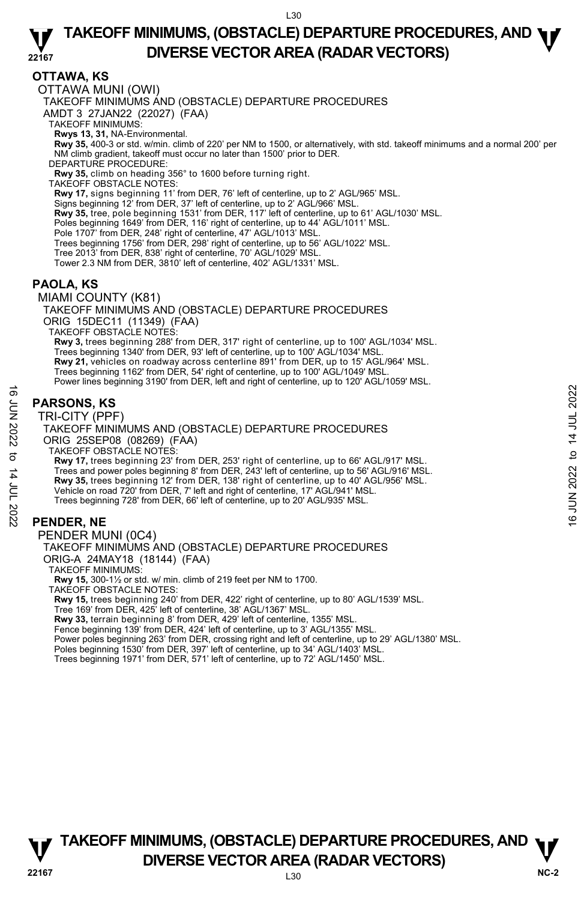### **OTTAWA, KS**

OTTAWA MUNI (OWI)

TAKEOFF MINIMUMS AND (OBSTACLE) DEPARTURE PROCEDURES

AMDT 3 27JAN22 (22027) (FAA)

TAKEOFF MINIMUMS:

**Rwys 13, 31,** NA-Environmental.

 **Rwy 35,** 400-3 or std. w/min. climb of 220' per NM to 1500, or alternatively, with std. takeoff minimums and a normal 200' per NM climb gradient, takeoff must occur no later than 1500' prior to DER.

DEPARTURE PROCEDURE:

**Rwy 35,** climb on heading 356° to 1600 before turning right. TAKEOFF OBSTACLE NOTES:

**Rwy 17,** signs beginning 11' from DER, 76' left of centerline, up to 2' AGL/965' MSL.

Signs beginning 12' from DER, 37' left of centerline, up to 2' AGL/966' MSL.<br>**Rwy 35,** tree, pole beginning 1531' from DER, 117' left of centerline, up to 61' AGL/1030' MSL.

Poles beginning 1649' from DER, 116' right of centerline, up to 44' AGL/1011' MSL.

Pole 1707' from DER, 248' right of centerline, 47' AGL/1013' MSL.

Trees beginning 1756' from DER, 298' right of centerline, up to 56' AGL/1022' MSL.

Tree 2013' from DER, 838' right of centerline, 70' AGL/1029' MSL.

Tower 2.3 NM from DER, 3810' left of centerline, 402' AGL/1331' MSL.

### **PAOLA, KS**

MIAMI COUNTY (K81)

TAKEOFF MINIMUMS AND (OBSTACLE) DEPARTURE PROCEDURES ORIG 15DEC11 (11349) (FAA) TAKEOFF OBSTACLE NOTES: **Rwy 3,** trees beginning 288' from DER, 317' right of centerline, up to 100' AGL/1034' MSL.<br>Trees beginning 1340' from DER, 93' left of centerline, up to 100' AGL/1034' MSL.

**Rwy 21,** vehicles on roadway across centerline 891' from DER, up to 15' AGL/964' MSL.

Trees beginning 1162' from DER, 54' right of centerline, up to 100' AGL/1049' MSL.

Power lines beginning 3190' from DER, left and right of centerline, up to 120' AGL/1059' MSL.

### **PARSONS, KS**

TRI-CITY (PPF)

TAKEOFF MINIMUMS AND (OBSTACLE) DEPARTURE PROCEDURES ORIG 25SEP08 (08269) (FAA)

TAKEOFF OBSTACLE NOTES:

**Rwy 17,** trees beginning 23' from DER, 253' right of centerline, up to 66' AGL/917' MSL. Trees and power poles beginning 8' from DER, 243' left of centerline, up to 56' AGL/916' MSL. **Rwy 35,** trees beginning 12' from DER, 138' right of centerline, up to 40' AGL/956' MSL. Vehicle on road 720' from DER, 7' left and right of centerline, 17' AGL/941' MSL. Trees beginning 728' from DER, 66' left of centerline, up to 20' AGL/935' MSL. **PARSONS, KS**<br>  $\frac{1}{2}$ <br> **PARSONS, KS**<br>
TRI-CITY (PPF)<br>
TAKEOFF MINIMUMS AND (OBSTACLE) DEPARTURE PROCEDURES<br>
ORIG 25SEP08 (08269) (FAA)<br>
TAKEOFF MINIMUMS AND (OBSTACLE) DEPARTURE PROCEDURES<br>
TRIVENTER DISTACLE NOTES, 2

### **PENDER, NE**

PENDER MUNI (0C4) TAKEOFF MINIMUMS AND (OBSTACLE) DEPARTURE PROCEDURES ORIG-A 24MAY18 (18144) (FAA) TAKEOFF MINIMUMS:

**Rwy 15,** 300-1½ or std. w/ min. climb of 219 feet per NM to 1700.

TAKEOFF OBSTACLE NOTES:

**Rwy 15,** trees beginning 240' from DER, 422' right of centerline, up to 80' AGL/1539' MSL. Tree 169' from DER, 425' left of centerline, 38' AGL/1367' MSL.

**Rwy 33,** terrain beginning 8' from DER, 429' left of centerline, 1355' MSL.

Fence beginning 139' from DER, 424' left of centerline, up to 3' AGL/1355' MSL.

Power poles beginning 263' from DER, crossing right and left of centerline, up to 29' AGL/1380' MSL.<br>Poles beginning 1530' from DER, 397' left of centerline, up to 34' AGL/1403' MSL.

Trees beginning 1971' from DER, 571' left of centerline, up to 72' AGL/1450' MSL.

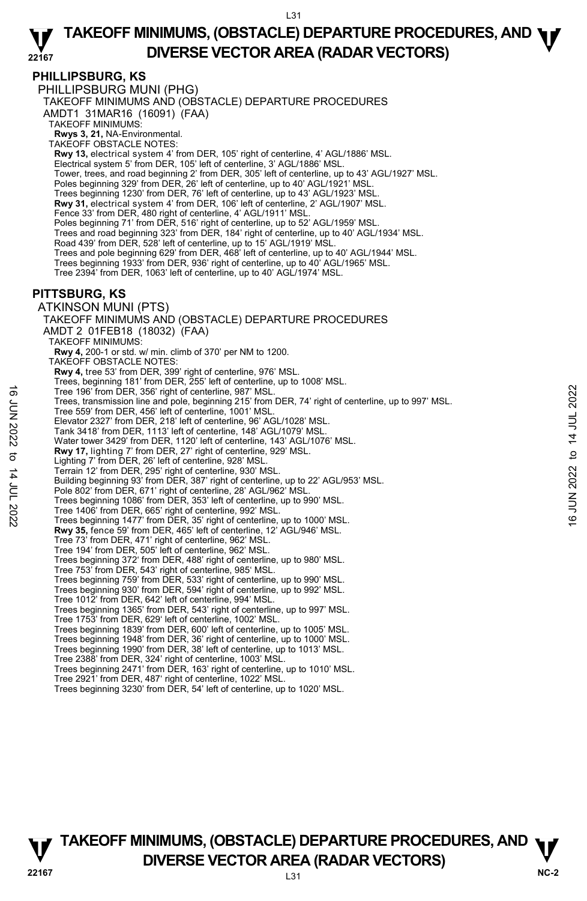#### **PHILLIPSBURG, KS**

PHILLIPSBURG MUNI (PHG) TAKEOFF MINIMUMS AND (OBSTACLE) DEPARTURE PROCEDURES AMDT1 31MAR16 (16091) (FAA) TAKEOFF MINIMUMS: **Rwys 3, 21,** NA-Environmental. TAKEOFF OBSTACLE NOTES: **Rwy 13,** electrical system 4' from DER, 105' right of centerline, 4' AGL/1886' MSL. Electrical system 5' from DER, 105' left of centerline, 3' AGL/1886' MSL. Tower, trees, and road beginning 2' from DER, 305' left of centerline, up to 43' AGL/1927' MSL.<br>Poles beginning 329' from DER, 26' left of centerline, up to 40' AGL/1921' MSL. Trees beginning 1230' from DER, 76' left of centerline, up to 43' AGL/1923' MSL. **Rwy 31,** electrical system 4' from DER, 106' left of centerline, 2' AGL/1907' MSL. Fence 33' from DER, 480 right of centerline, 4' AGL/1911' MSL. Poles beginning 71' from DER, 516' right of centerline, up to 52' AGL/1959' MSL. Trees and road beginning 323' from DER, 184' right of centerline, up to 40' AGL/1934' MSL. Road 439' from DER, 528' left of centerline, up to 15' AGL/1919' MSL. Trees and pole beginning 629' from DER, 468' left of centerline, up to 40' AGL/1944' MSL. Trees beginning 1933' from DER, 936' right of centerline, up to 40' AGL/1965' MSL. Tree 2394' from DER, 1063' left of centerline, up to 40' AGL/1974' MSL. **PITTSBURG, KS**  ATKINSON MUNI (PTS) TAKEOFF MINIMUMS AND (OBSTACLE) DEPARTURE PROCEDURES AMDT 2 01FEB18 (18032) (FAA) TAKEOFF MINIMUMS: **Rwy 4,** 200-1 or std. w/ min. climb of 370' per NM to 1200. TAKEOFF OBSTACLE NOTES: **Rwy 4,** tree 53' from DER, 399' right of centerline, 976' MSL. Trees, beginning 181' from DER, 255' left of centerline, up to 1008' MSL. Tree 196' from DER, 356' right of centerline, 987' MSL. Trees, transmission line and pole, beginning 215' from DER, 74' right of centerline, up to 997' MSL. Tree 559' from DER, 456' left of centerline, 1001' MSL. Elevator 2327' from DER, 218' left of centerline, 96' AGL/1028' MSL. Tank 3418' from DER, 1113' left of centerline, 148' AGL/1079' MSL. Water tower 3429' from DER, 1120' left of centerline, 143' AGL/1076' MSL. **Rwy 17,** lighting 7' from DER, 27' right of centerline, 929' MSL. Lighting 7' from DER, 26' left of centerline, 928' MSL. Terrain 12' from DER, 295' right of centerline, 930' MSL. Building beginning 93' from DER, 387' right of centerline, up to 22' AGL/953' MSL. Pole 802' from DER, 671' right of centerline, 28' AGL/962' MSL. Trees beginning 1086' from DER, 353' left of centerline, up to 990' MSL. Tree 1406' from DER, 665' right of centerline, 992' MSL. Trees beginning 1477' from DER, 35' right of centerline, up to 1000' MSL. **Rwy 35,** fence 59' from DER, 465' left of centerline, 12' AGL/946' MSL. Tree 73' from DER, 471' right of centerline, 962' MSL. Tree 194' from DER, 505' left of centerline, 962' MSL. Trees beginning 372' from DER, 488' right of centerline, up to 980' MSL. Tree 753' from DER, 543' right of centerline, 985' MSL. Trees beginning 759' from DER, 533' right of centerline, up to 990' MSL. Trees beginning 930' from DER, 594' right of centerline, up to 992' MSL. Tree 1012' from DER, 642' left of centerline, 994' MSL. Trees beginning 1365' from DER, 543' right of centerline, up to 997' MSL. Tree 1753' from DER, 629' left of centerline, 1002' MSL. Trees beginning 1839' from DER, 600' left of centerline, up to 1005' MSL. Trees beginning 1948' from DER, 36' right of centerline, up to 1000' MSL. Trees beginning 1990' from DER, 38' left of centerline, up to 1013' MSL. Tree 2388' from DER, 324' right of centerline, 1003' MSL. Trees beginning 2471' from DER, 163' right of centerline, up to 1010' MSL. Tree 2921' from DER, 487' right of centerline, 1022' MSL. Trees beginning 3230' from DER, 54' left of centerline, up to 1020' MSL. Tree 196" from DER, 356" right of centerline, 987" MSL.<br>
Tree 559" from DER, 456" left of centerline, 1001' MSL.<br>
Tree 559" from DER, 456" left of centerline, 1001' MSL.<br>
Elevator 2327" from DER, 218' left of centerline, 9

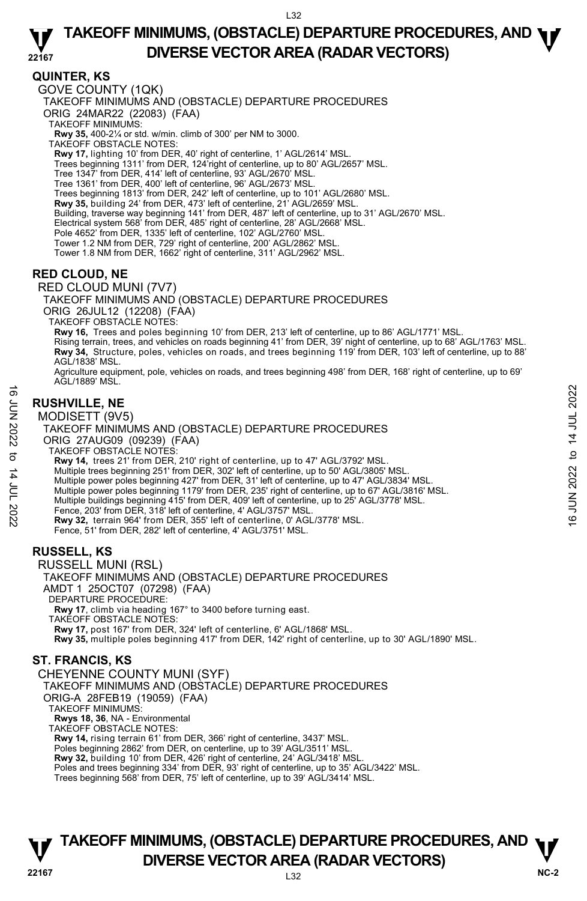### **QUINTER, KS**

GOVE COUNTY (1QK) TAKEOFF MINIMUMS AND (OBSTACLE) DEPARTURE PROCEDURES ORIG 24MAR22 (22083) (FAA) TAKEOFF MINIMUMS: **Rwy 35,** 400-2¼ or std. w/min. climb of 300' per NM to 3000. TAKEOFF OBSTACLE NOTES: Rwy 17, lighting 10' from DER, 40' right of centerline, 1' AGL/2614' MSL. Trees beginning 1311' from DER, 124'right of centerline, up to 80' AGL/2657' MSL. Tree 1347' from DER, 414' left of centerline, 93' AGL/2670' MSL. Tree 1361' from DER, 400' left of centerline, 96' AGL/2673' MSL. Trees beginning 1813' from DER, 242' left of centerline, up to 101' AGL/2680' MSL. **Rwy 35,** building 24' from DER, 473' left of centerline, 21' AGL/2659' MSL.<br>Building, traverse way beginning 141' from DER, 487' left of centerline, up to 31' AGL/2670' MSL. Electrical system 568' from DER, 485' right of centerline, 28' AGL/2668' MSL. Pole 4652' from DER, 1335' left of centerline, 102' AGL/2760' MSL. Tower 1.2 NM from DER, 729' right of centerline, 200' AGL/2862' MSL. Tower 1.8 NM from DER, 1662' right of centerline, 311' AGL/2962' MSL. **RED CLOUD, NE**  RED CLOUD MUNI (7V7) TAKEOFF MINIMUMS AND (OBSTACLE) DEPARTURE PROCEDURES ORIG 26JUL12 (12208) (FAA) TAKEOFF OBSTACLE NOTES:

**Rwy 16,** Trees and poles beginning 10' from DER, 213' left of centerline, up to 86' AGL/1771' MSL. Rising terrain, trees, and vehicles on roads beginning 41' from DER, 39' night of centerline, up to 68' AGL/1763' MSL.<br>**Rwy 34,** Structure, poles, vehicles on roads, and trees beginning 119' from DER, 103' left of centerl AGL/1838' MSL.

Agriculture equipment, pole, vehicles on roads, and trees beginning 498' from DER, 168' right of centerline, up to 69' AGL/1889' MSL.

### **RUSHVILLE, NE**

MODISETT (9V5)

TAKEOFF MINIMUMS AND (OBSTACLE) DEPARTURE PROCEDURES ORIG 27AUG09 (09239) (FAA) TAKEOFF OBSTACLE NOTES: **Rwy 14,** trees 21' from DER, 210' right of centerline, up to 47' AGL/3792' MSL. Multiple trees beginning 251' from DER, 302' left of centerline, up to 50' AGL/3805' MSL. Multiple power poles beginning 427' from DER, 31' left of centerline, up to 47' AGL/3834' MSL. Multiple power poles beginning 1179' from DER, 235' right of centerline, up to 67' AGL/3816' MSL. Multiple buildings beginning 415' from DER, 409' left of centerline, up to 25' AGL/3778' MSL. Fence, 203' from DER, 318' left of centerline, 4' AGL/3757' MSL. **Rwy 32,** terrain 964' from DER, 355' left of centerline, 0' AGL/3778' MSL. Fence, 51' from DER, 282' left of centerline, 4' AGL/3751' MSL. **RUSSELL, KS**  RUSSELL MUNI (RSL) TAKEOFF MINIMUMS AND (OBSTACLE) DEPARTURE PROCEDURES **EXECT AND EXECT (9V5)**<br> **EXECT (9V5)**<br>
TAKEOFF MINIMUMS AND (OBSTACLE) DEPARTURE PROCEDURES<br>
ORIG 27AUG09 (09239) (FAA)<br>
TAKEOFF MINIMUMS AND (OBSTACLE) DEPARTURE PROCEDURES<br>
ORIG 27AUG09 (09239) (FAA)<br>
TAKEOFF OBSTACLE

AMDT 1 25OCT07 (07298) (FAA) DEPARTURE PROCEDURE: **Rwy 17**, climb via heading 167° to 3400 before turning east. TAKEOFF OBSTACLE NOTES: **Rwy 17,** post 167' from DER, 324' left of centerline, 6' AGL/1868' MSL. **Rwy 35,** multiple poles beginning 417' from DER, 142' right of centerline, up to 30' AGL/1890' MSL.

#### **ST. FRANCIS, KS**

CHEYENNE COUNTY MUNI (SYF)

TAKEOFF MINIMUMS AND (OBSTACLE) DEPARTURE PROCEDURES

ORIG-A 28FEB19 (19059) (FAA)

TAKEOFF MINIMUMS:

**Rwys 18, 36**, NA - Environmental

TAKEOFF OBSTACLE NOTES:

**Rwy 14,** rising terrain 61' from DER, 366' right of centerline, 3437' MSL.

Poles beginning 2862' from DER, on centerline, up to 39' AGL/3511' MSL. **Rwy 32,** building 10' from DER, 426' right of centerline, 24' AGL/3418' MSL.

Poles and trees beginning 334' from DER, 93' right of centerline, up to 35' AGL/3422' MSL.

Trees beginning 568' from DER, 75' left of centerline, up to 39' AGL/3414' MSL.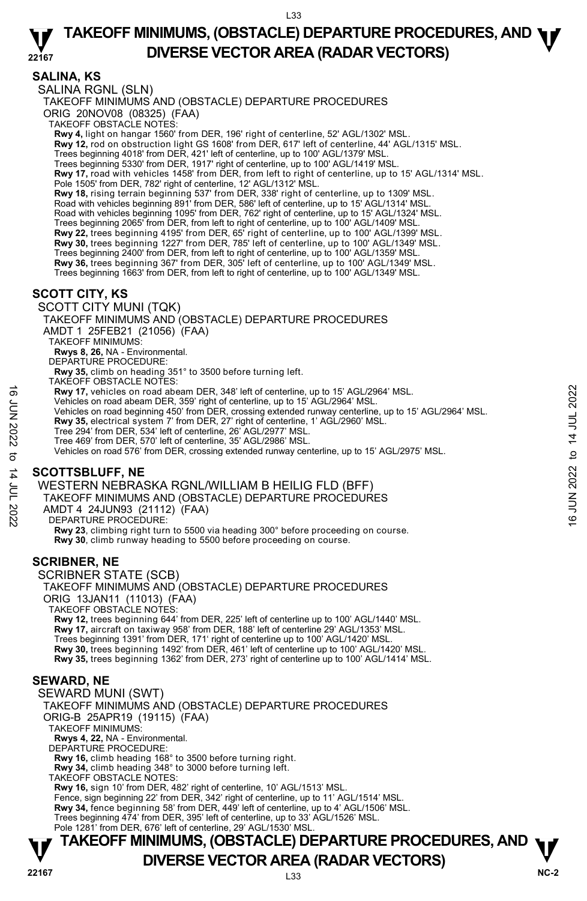L33

#### **22167 TAKEOFF MINIMUMS, (OBSTACLE) DEPARTURE PROCEDURES, AND <b>W**<br>DIVERSE VECTOR AREA (RADAR VECTORS) **DIVERSE VECTOR AREA (RADAR VECTORS)**

### **SALINA, KS**

SALINA RGNL (SLN)

TAKEOFF MINIMUMS AND (OBSTACLE) DEPARTURE PROCEDURES ORIG 20NOV08 (08325) (FAA)

TAKEOFF OBSTACLE NOTES:

**Rwy 4,** light on hangar 1560' from DER, 196' right of centerline, 52' AGL/1302' MSL.

**Rwy 12,** rod on obstruction light GS 1608' from DER, 617' left of centerline, 44' AGL/1315' MSL.

Trees beginning 4018' from DER, 421' left of centerline, up to 100' AGL/1379' MSL.

Trees beginning 5330' from DER, 1917' right of centerline, up to 100' AGL/1419' MSL.

**Rwy 17,** road with vehicles 1458' from DER, from left to right of centerline, up to 15' AGL/1314' MSL. Pole 1505' from DER, 782' right of centerline, 12' AGL/1312' MSL.

**Rwy 18,** rising terrain beginning 537' from DER, 338' right of centerline, up to 1309' MSL.

Road with vehicles beginning 891' from DER, 586' left of centerline, up to 15' AGL/1314' MSL. Road with vehicles beginning 1095' from DER, 762' right of centerline, up to 15' AGL/1324' MSL.

Trees beginning 2065' from DER, from left to right of centerline, up to 100' AGL/1409' MSL.

**Rwy 22,** trees beginning 4195' from DER, 65' right of centerline, up to 100' AGL/1399' MSL. **Rwy 30,** trees beginning 1227' from DER, 785' left of centerline, up to 100' AGL/1349' MSL.

Trees beginning 2400' from DER, from left to right of centerline, up to 100' AGL/1359' MSL.

**Rwy 36,** trees beginning 367' from DER, 305' left of centerline, up to 100' AGL/1349' MSL.

Trees beginning 1663' from DER, from left to right of centerline, up to 100' AGL/1349' MSL.

### **SCOTT CITY, KS**

SCOTT CITY MUNI (TQK)

TAKEOFF MINIMUMS AND (OBSTACLE) DEPARTURE PROCEDURES AMDT 1 25FEB21 (21056) (FAA) TAKEOFF MINIMUMS: **Rwys 8, 26,** NA - Environmental. DEPARTURE PROCEDURE: **Rwy 35,** climb on heading 351° to 3500 before turning left.

TAKEOFF OBSTACLE NOTES:

**Rwy 17,** vehicles on road abeam DER, 348' left of centerline, up to 15' AGL/2964' MSL.

- Vehicles on road abeam DER, 359' right of centerline, up to 15' AGL/2964' MSL.
- Vehicles on road beginning 450' from DER, crossing extended runway centerline, up to 15' AGL/2964' MSL. **EVALUATE:**<br>
Let the teles on road abeam DER, 348' left of centerline, up to 15' AGL/2964' MSL.<br>
Vehicles on road abeam DER, 359' right of centerline, up to 15' AGL/2964' MSL.<br>
The 294' from DER 534' left of centerline,

**Rwy 35,** electrical system 7' from DER, 27' right of centerline, 1' AGL/2960' MSL.

- Tree 294' from DER, 534' left of centerline, 26' AGL/2977' MSL.
- Tree 469' from DER, 570' left of centerline, 35' AGL/2986' MSL.
- Vehicles on road 576' from DER, crossing extended runway centerline, up to 15' AGL/2975' MSL.

### **SCOTTSBLUFF, NE**

WESTERN NEBRASKA RGNL/WILLIAM B HEILIG FLD (BFF)

TAKEOFF MINIMUMS AND (OBSTACLE) DEPARTURE PROCEDURES

AMDT 4 24JUN93 (21112) (FAA)

DEPARTURE PROCEDURE:

**Rwy 23**, climbing right turn to 5500 via heading 300° before proceeding on course. **Rwy 30**, climb runway heading to 5500 before proceeding on course.

### **SCRIBNER, NE**

SCRIBNER STATE (SCB) TAKEOFF MINIMUMS AND (OBSTACLE) DEPARTURE PROCEDURES ORIG 13JAN11 (11013) (FAA) TAKEOFF OBSTACLE NOTES: **Rwy 12,** trees beginning 644' from DER, 225' left of centerline up to 100' AGL/1440' MSL. **Rwy 17,** aircraft on taxiway 958' from DER, 188' left of centerline 29' AGL/1353' MSL. Trees beginning 1391' from DER, 171' right of centerline up to 100' AGL/1420' MSL.<br>**Rwy 30,** trees beginning 1492' from DER, 461' left of centerline up to 100' AGL/1420' MSL.

**Rwy 35,** trees beginning 1362' from DER, 273' right of centerline up to 100' AGL/1414' MSL.

### **SEWARD, NE**

SEWARD MUNI (SWT)

TAKEOFF MINIMUMS AND (OBSTACLE) DEPARTURE PROCEDURES ORIG-B 25APR19 (19115) (FAA)

TAKEOFF MINIMUMS:

**Rwys 4, 22,** NA - Environmental.

DEPARTURE PROCEDURE:

**Rwy 16,** climb heading 168° to 3500 before turning right. **Rwy 34,** climb heading 348° to 3000 before turning left.

TAKEOFF OBSTACLE NOTES:

**Rwy 16,** sign 10' from DER, 482' right of centerline, 10' AGL/1513' MSL. Fence, sign beginning 22' from DER, 342' right of centerline, up to 11' AGL/1514' MSL. **Rwy 34,** fence beginning 58' from DER, 449' left of centerline, up to 4' AGL/1506' MSL. Trees beginning 474' from DER, 395' left of centerline, up to 33' AGL/1526' MSL. Pole 1281' from DER, 676' left of centerline, 29' AGL/1530' MSL.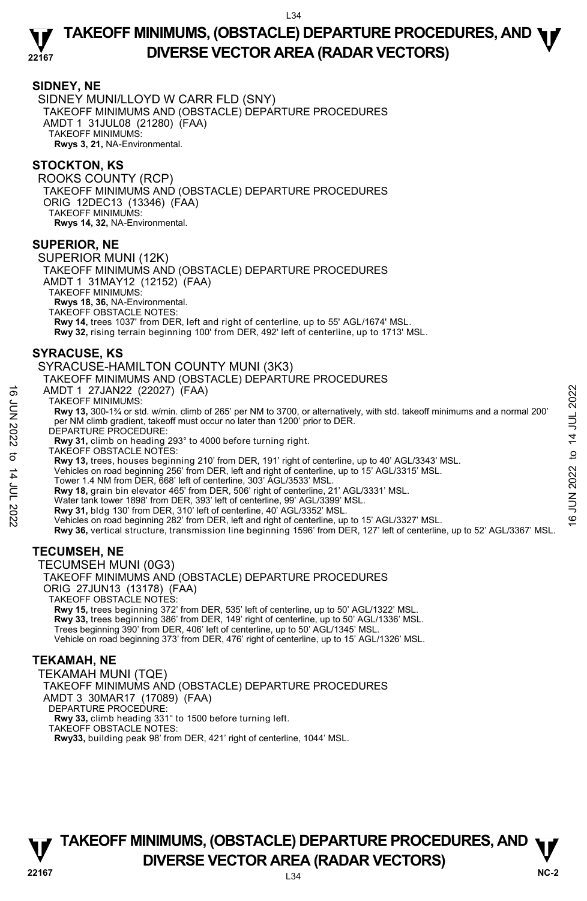### **SIDNEY, NE**

SIDNEY MUNI/LLOYD W CARR FLD (SNY) TAKEOFF MINIMUMS AND (OBSTACLE) DEPARTURE PROCEDURES AMDT 1 31JUL08 (21280) (FAA) TAKEOFF MINIMUMS: **Rwys 3, 21,** NA-Environmental.

### **STOCKTON, KS**

ROOKS COUNTY (RCP) TAKEOFF MINIMUMS AND (OBSTACLE) DEPARTURE PROCEDURES ORIG 12DEC13 (13346) (FAA) TAKEOFF MINIMUMS: **Rwys 14, 32,** NA-Environmental.

#### **SUPERIOR, NE**

SUPERIOR MUNI (12K) TAKEOFF MINIMUMS AND (OBSTACLE) DEPARTURE PROCEDURES AMDT 1 31MAY12 (12152) (FAA) TAKEOFF MINIMUMS: **Rwys 18, 36,** NA-Environmental. TAKEOFF OBSTACLE NOTES: **Rwy 14,** trees 1037' from DER, left and right of centerline, up to 55' AGL/1674' MSL. **Rwy 32,** rising terrain beginning 100' from DER, 492' left of centerline, up to 1713' MSL.

#### **SYRACUSE, KS**

#### SYRACUSE-HAMILTON COUNTY MUNI (3K3)

#### TAKEOFF MINIMUMS AND (OBSTACLE) DEPARTURE PROCEDURES

AMDT 1 27JAN22 (22027) (FAA)

TAKEOFF MINIMUMS:

**Rwy 13,** 300-1¾ or std. w/min. climb of 265' per NM to 3700, or alternatively, with std. takeoff minimums and a normal 200' per NM climb gradient, takeoff must occur no later than 1200' prior to DER. AMDT 1 27JAN22 (22027) (FAA)<br>
TAKEOFF MINIMUMS:<br>
TAWY 13, 300-1<sup>3</sup>/ or std. w/min. climb of 265' per NM to 3700, or alternatively, with std. takeoff minimums and a normal 200'<br>
per NM climb gradient, takeoff must occur

DEPARTURE PROCEDURE:

**Rwy 31,** climb on heading 293° to 4000 before turning right.

TAKEOFF OBSTACLE NOTES:

**Rwy 13,** trees, houses beginning 210' from DER, 191' right of centerline, up to 40' AGL/3343' MSL. Vehicles on road beginning 256' from DER, left and right of centerline, up to 15' AGL/3315' MSL. Tower 1.4 NM from DER, 668' left of centerline, 303' AGL/3533' MSL.

**Rwy 18,** grain bin elevator 465' from DER, 506' right of centerline, 21' AGL/3331' MSL.

Water tank tower 1898' from DER, 393' left of centerline, 99' AGL/3399' MSL.

**Rwy 31,** bldg 130' from DER, 310' left of centerline, 40' AGL/3352' MSL.

Vehicles on road beginning 282' from DER, left and right of centerline, up to 15' AGL/3327' MSL. **Rwy 36,** vertical structure, transmission line beginning 1596' from DER, 127' left of centerline, up to 52' AGL/3367' MSL.

### **TECUMSEH, NE**

TECUMSEH MUNI (0G3) TAKEOFF MINIMUMS AND (OBSTACLE) DEPARTURE PROCEDURES ORIG 27JUN13 (13178) (FAA) TAKEOFF OBSTACLE NOTES: **Rwy 15,** trees beginning 372' from DER, 535' left of centerline, up to 50' AGL/1322' MSL.<br>**Rwy 33,** trees beginning 386' from DER, 149' right of centerline, up to 50' AGL/1336' MSL. Trees beginning 390' from DER, 406' left of centerline, up to 50' AGL/1345' MSL. Vehicle on road beginning 373' from DER, 476' right of centerline, up to 15' AGL/1326' MSL. **TEKAMAH, NE** 

TEKAMAH MUNI (TQE) TAKEOFF MINIMUMS AND (OBSTACLE) DEPARTURE PROCEDURES AMDT 3 30MAR17 (17089) (FAA) DEPARTURE PROCEDURE: **Rwy 33,** climb heading 331° to 1500 before turning left. TAKEOFF OBSTACLE NOTES: **Rwy33,** building peak 98' from DER, 421' right of centerline, 1044' MSL.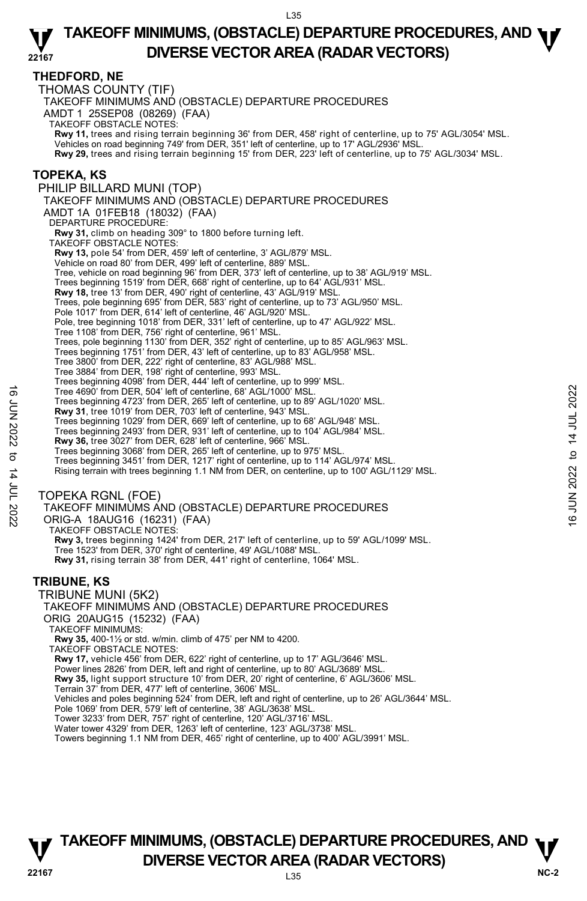### **THEDFORD, NE**

THOMAS COUNTY (TIF) TAKEOFF MINIMUMS AND (OBSTACLE) DEPARTURE PROCEDURES AMDT 1 25SEP08 (08269) (FAA) TAKEOFF OBSTACLE NOTES: **Rwy 11,** trees and rising terrain beginning 36' from DER, 458' right of centerline, up to 75' AGL/3054' MSL.<br>Vehicles on road beginning 749' from DER, 351' left of centerline, up to 17' AGL/2936' MSL. **Rwy 29,** trees and rising terrain beginning 15' from DER, 223' left of centerline, up to 75' AGL/3034' MSL. **TOPEKA, KS**  PHILIP BILLARD MUNI (TOP) TAKEOFF MINIMUMS AND (OBSTACLE) DEPARTURE PROCEDURES AMDT 1A 01FEB18 (18032) (FAA) DEPARTURE PROCEDURE: **Rwy 31,** climb on heading 309° to 1800 before turning left. TAKEOFF OBSTACLE NOTES: **Rwy 13,** pole 54' from DER, 459' left of centerline, 3' AGL/879' MSL. Vehicle on road 80' from DER, 499' left of centerline, 889' MSL. Tree, vehicle on road beginning 96' from DER, 373' left of centerline, up to 38' AGL/919' MSL. Trees beginning 1519' from DER, 668' right of centerline, up to 64' AGL/931' MSL. **Rwy 18,** tree 13' from DER, 490' right of centerline, 43' AGL/919' MSL. Trees, pole beginning 695' from DER, 583' right of centerline, up to 73' AGL/950' MSL. Pole 1017' from DER, 614' left of centerline, 46' AGL/920' MSL. Pole, tree beginning 1018' from DER, 331' left of centerline, up to 47' AGL/922' MSL. Tree 1108' from DER, 756' right of centerline, 961' MSL. Trees, pole beginning 1130' from DER, 352' right of centerline, up to 85' AGL/963' MSL. Trees beginning 1751' from DER, 43' left of centerline, up to 83' AGL/958' MSL. Tree 3800' from DER, 222' right of centerline, 83' AGL/988' MSL. Tree 3884' from DER, 198' right of centerline, 993' MSL. Trees beginning 4098' from DER, 444' left of centerline, up to 999' MSL. Tree 4690' from DER, 504' left of centerline, 68' AGL/1000' MSL. Trees beginning 4723' from DER, 265' left of centerline, up to 89' AGL/1020' MSL. **Rwy 31**, tree 1019' from DER, 703' left of centerline, 943' MSL. Trees beginning 1029' from DER, 669' left of centerline, up to 68' AGL/948' MSL. Trees beginning 2493' from DER, 931' left of centerline, up to 104' AGL/984' MSL. **Rwy 36,** tree 3027' from DER, 628' left of centerline, 966' MSL. Trees beginning 3068' from DER, 265' left of centerline, up to 975' MSL. Trees beginning 3451' from DER, 1217' right of centerline, up to 114' AGL/974' MSL. Rising terrain with trees beginning 1.1 NM from DER, on centerline, up to 100' AGL/1129' MSL. TOPEKA RGNL (FOE) TAKEOFF MINIMUMS AND (OBSTACLE) DEPARTURE PROCEDURES ORIG-A 18AUG16 (16231) (FAA) TAKEOFF OBSTACLE NOTES: **Rwy 3,** trees beginning 1424' from DER, 217' left of centerline, up to 59' AGL/1099' MSL.<br>Tree 1523' from DER, 370' right of centerline, 49' AGL/1088' MSL. **Rwy 31,** rising terrain 38' from DER, 441' right of centerline, 1064' MSL. **TRIBUNE, KS**  TRIBUNE MUNI (5K2) TAKEOFF MINIMUMS AND (OBSTACLE) DEPARTURE PROCEDURES ORIG 20AUG15 (15232) (FAA) TAKEOFF MINIMUMS: **Rwy 35,** 400-1½ or std. w/min. climb of 475' per NM to 4200. TAKEOFF OBSTACLE NOTES: **Rwy 17,** vehicle 456' from DER, 622' right of centerline, up to 17' AGL/3646' MSL. Power lines 2826' from DER, left and right of centerline, up to 80' AGL/3689' MSL. **Rwy 35,** light support structure 10' from DER, 20' right of centerline, 6' AGL/3606' MSL.<br>Terrain 37' from DER, 477' left of centerline, 3606' MSL. Vehicles and poles beginning 524' from DER, left and right of centerline, up to 26' AGL/3644' MSL. Pole 1069' from DER, 579' left of centerline, 38' AGL/3638' MSL. Tower 3233' from DER, 757' right of centerline, 120' AGL/3716' MSL. Water tower 4329' from DER, 1263' left of centerline, 123' AGL/3738' MSL. Towers beginning 1.1 NM from DER, 465' right of centerline, up to 400' AGL/3991' MSL. Tree 4690' from DER, 504' left of centerline, 68' AGL/1000' MSL.<br>
Trees beginning 4723' from DER, 265' left of centerline, 943' MSL.<br>
Trees beginning 1029' from DER, 603' left of centerline, 943' MSL.<br>
Trees beginning 249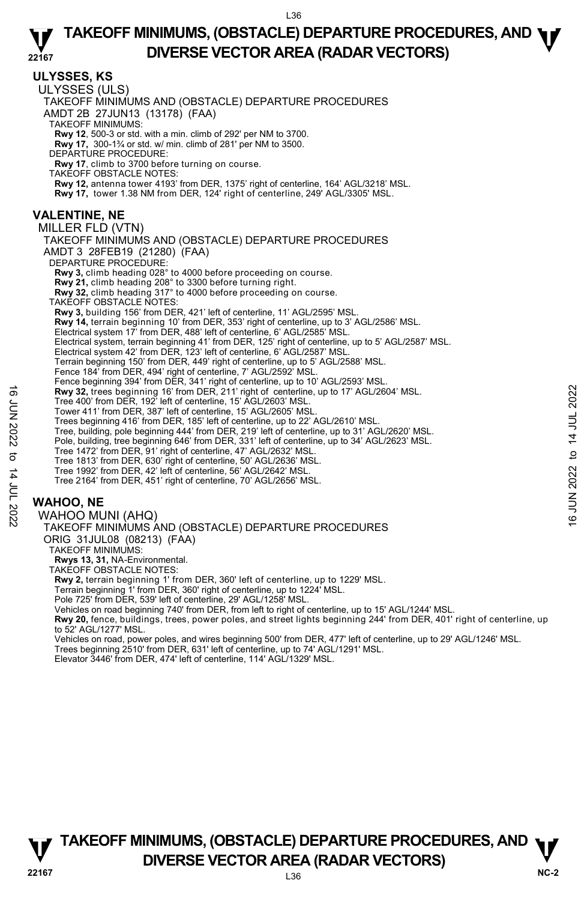|                        | 44 I O I                                                                                                                                                                                                                                                                                                                                                                                                                                                                                                                                                                                                                                                                                                                                                                                                                                                                                                                                                                                                                                                                                                                                                                                                                                                                                                                                                                                                                                                                                                                                                                                                                                                                                                                                                                                                                                                                                                |                                            |
|------------------------|---------------------------------------------------------------------------------------------------------------------------------------------------------------------------------------------------------------------------------------------------------------------------------------------------------------------------------------------------------------------------------------------------------------------------------------------------------------------------------------------------------------------------------------------------------------------------------------------------------------------------------------------------------------------------------------------------------------------------------------------------------------------------------------------------------------------------------------------------------------------------------------------------------------------------------------------------------------------------------------------------------------------------------------------------------------------------------------------------------------------------------------------------------------------------------------------------------------------------------------------------------------------------------------------------------------------------------------------------------------------------------------------------------------------------------------------------------------------------------------------------------------------------------------------------------------------------------------------------------------------------------------------------------------------------------------------------------------------------------------------------------------------------------------------------------------------------------------------------------------------------------------------------------|--------------------------------------------|
|                        | <b>ULYSSES, KS</b><br>ULYSSES (ULS)<br>TAKEOFF MINIMUMS AND (OBSTACLE) DEPARTURE PROCEDURES<br>AMDT 2B 27JUN13 (13178) (FAA)<br><b>TAKEOFF MINIMUMS:</b><br><b>Rwy 12,</b> 500-3 or std. with a min. climb of 292' per NM to 3700.<br><b>Rwy 17, 300-1%</b> or std. w/ min. climb of 281' per NM to 3500.<br>DEPARTURE PROCEDURE:<br>Rwy 17, climb to 3700 before turning on course.<br><b>TAKEOFF OBSTACLE NOTES:</b><br>Rwy 12, antenna tower 4193' from DER, 1375' right of centerline, 164' AGL/3218' MSL.<br>Rwy 17, tower 1.38 NM from DER, 124' right of centerline, 249' AGL/3305' MSL.                                                                                                                                                                                                                                                                                                                                                                                                                                                                                                                                                                                                                                                                                                                                                                                                                                                                                                                                                                                                                                                                                                                                                                                                                                                                                                         |                                            |
| <b>6 JUN 2022</b><br>ರ | VALENTINE, NE<br>MILLER FLD (VTN)<br>TAKEOFF MINIMUMS AND (OBSTACLE) DEPARTURE PROCEDURES<br>AMDT 3 28FEB19 (21280) (FAA)<br>DEPARTURE PROCEDURE:<br><b>Rwy 3,</b> climb heading 028° to 4000 before proceeding on course.<br><b>Rwy 21,</b> climb heading 208° to 3300 before turning right.<br>Rwy 32, climb heading 317° to 4000 before proceeding on course.<br>TAKEOFF OBSTACLE NOTES:<br>Rwy 3, building 156' from DER, 421' left of centerline, 11' AGL/2595' MSL.<br>Rwy 14, terrain beginning 10' from DER, 353' right of centerline, up to 3' AGL/2586' MSL.<br>Electrical system 17' from DER, 488' left of centerline, 6' AGL/2585' MSL.<br>Electrical system, terrain beginning 41' from DER, 125' right of centerline, up to 5' AGL/2587' MSL.<br>Electrical system 42' from DER, 123' left of centerline, 6' AGL/2587' MSL.<br>Terrain beginning 150' from DER, 449' right of centerline, up to 5' AGL/2588' MSL.<br>Fence 184' from DER, 494' right of centerline, 7' AGL/2592' MSL.<br>Fence beginning 394' from DER, 341' right of centerline, up to 10' AGL/2593' MSL.<br>Rwy 32, trees beginning 16' from DER, 211' right of centerline, up to 17' AGL/2604' MSL.<br>Tree 400' from DER, 192' left of centerline, 15' AGL/2603' MSL.<br>Tower 411' from DER, 387' left of centerline, 15' AGL/2605' MSL.<br>Trees beginning 416' from DER, 185' left of centerline, up to 22' AGL/2610' MSL.<br>Tree, building, pole beginning 444' from DER, 219' left of centerline, up to 31' AGL/2620' MSL.<br>Pole, building, tree beginning 646' from DER, 331' left of centerline, up to 34' AGL/2623' MSL.<br>Tree 1472' from DER, 91' right of centerline, 47' AGL/2632' MSL.<br>Tree 1813' from DER, 630' right of centerline, 50' AGL/2636' MSL.<br>Tree 1992' from DER, 42' left of centerline, 56' AGL/2642' MSL.<br>Tree 2164' from DER, 451' right of centerline, 70' AGL/2656' MSL. | 2022<br>14 JUL<br>$\mathbf{a}$<br>JUN 2022 |
| 14 JUL 2022            | <b>WAHOO, NE</b><br>WAHOO MUNI (AHQ)<br>TAKEOFF MINIMUMS AND (OBSTACLE) DEPARTURE PROCEDURES<br>ORIG 31JUL08 (08213) (FAA)<br><b>TAKEOFF MINIMUMS:</b><br>Rwys 13, 31, NA-Environmental.<br><b>TAKEOFF OBSTACLE NOTES:</b><br>Rwy 2, terrain beginning 1' from DER, 360' left of centerline, up to 1229' MSL.<br>Terrain beginning 1' from DER, 360' right of centerline, up to 1224' MSL.<br>Pole 725' from DER, 539' left of centerline, 29' AGL/1258' MSL.<br>Vehicles on road beginning 740' from DER, from left to right of centerline, up to 15' AGL/1244' MSL.<br>Rwy 20, fence, buildings, trees, power poles, and street lights beginning 244' from DER, 401' right of centerline, up<br>to 52' AGL/1277' MSL.<br>Vehicles on road, power poles, and wires beginning 500' from DER, 477' left of centerline, up to 29' AGL/1246' MSL.<br>$D$ $C$ 24! $A$ $A$<br>. 741 A                                                                                                                                                                                                                                                                                                                                                                                                                                                                                                                                                                                                                                                                                                                                                                                                                                                                                                                                                                                                                        | $\overline{6}$                             |

Trees beginning 2510' from DER, 631' left of centerline, up to 74' AGL/1291' MSL. Elevator 3446' from DER, 474' left of centerline, 114' AGL/1329' MSL.

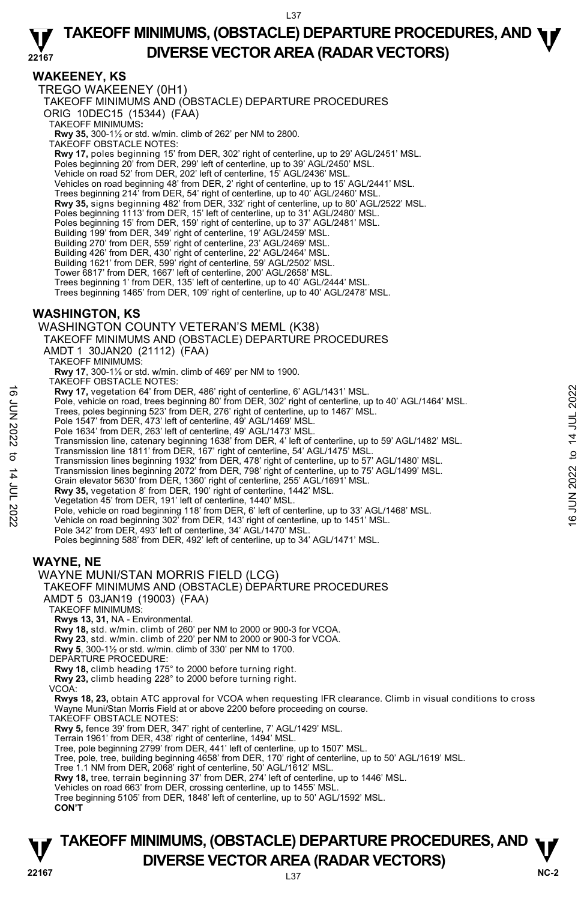L37

#### **22167 TAKEOFF MINIMUMS, (OBSTACLE) DEPARTURE PROCEDURES, AND <b>W**<br>DIVERSE VECTOR AREA (RADAR VECTORS) **DIVERSE VECTOR AREA (RADAR VECTORS)**

### **WAKEENEY, KS**

TREGO WAKEENEY (0H1) TAKEOFF MINIMUMS AND (OBSTACLE) DEPARTURE PROCEDURES ORIG 10DEC15 (15344) (FAA) TAKEOFF MINIMUMS**: Rwy 35,** 300-1½ or std. w/min. climb of 262' per NM to 2800. TAKEOFF OBSTACLE NOTES: **Rwy 17,** poles beginning 15' from DER, 302' right of centerline, up to 29' AGL/2451' MSL. Poles beginning 20' from DER, 299' left of centerline, up to 39' AGL/2450' MSL. Vehicle on road 52' from DER, 202' left of centerline, 15' AGL/2436' MSL.<br>Vehicles on road beginning 48' from DER, 2' right of centerline, up to 15' AGL/2441' MSL. Trees beginning 214' from DER, 54' right of centerline, up to 40' AGL/2460' MSL. **Rwy 35,** signs beginning 482' from DER, 332' right of centerline, up to 80' AGL/2522' MSL.<br>Poles beginning 1113' from DER, 15' left of centerline, up to 31' AGL/2480' MSL. Poles beginning 15' from DER, 159' right of centerline, up to 37' AGL/2481' MSL. Building 199' from DER, 349' right of centerline, 19' AGL/2459' MSL. Building 270' from DER, 559' right of centerline, 23' AGL/2469' MSL. Building 426' from DER, 430' right of centerline, 22' AGL/2464' MSL. Building 1621' from DER, 599' right of centerline, 59' AGL/2502' MSL. Tower 6817' from DER, 1667' left of centerline, 200' AGL/2658' MSL. Trees beginning 1' from DER, 135' left of centerline, up to 40' AGL/2444' MSL. Trees beginning 1465' from DER, 109' right of centerline, up to 40' AGL/2478' MSL. **WASHINGTON, KS**  WASHINGTON COUNTY VETERAN'S MEML (K38) TAKEOFF MINIMUMS AND (OBSTACLE) DEPARTURE PROCEDURES AMDT 1 30JAN20 (21112) (FAA) TAKEOFF MINIMUMS: **Rwy 17**, 300-1⅓ or std. w/min. climb of 469' per NM to 1900.<br>TAKEOFF OBSTACLE NOTES: **Rwy 17,** vegetation 64' from DER, 486' right of centerline, 6' AGL/1431' MSL. Pole, vehicle on road, trees beginning 80' from DER, 302' right of centerline, up to 40' AGL/1464' MSL.<br>Trees, poles beginning 523' from DER, 276' right of centerline, up to 1467' MSL. Pole 1547' from DER, 473' left of centerline, 49' AGL/1469' MSL. Pole 1634' from DER, 263' left of centerline, 49' AGL/1473' MSL. Transmission line, catenary beginning 1638' from DER, 4' left of centerline, up to 59' AGL/1482' MSL.<br>Transmission line 1811' from DER, 167' right of centerline, 54' AGL/1475' MSL.<br>Transmission lines beginning 1932' from D Transmission lines beginning 2072' from DER, 798' right of centerline, up to 75' AGL/1499' MSL.<br>Grain elevator 5630' from DER, 1360' right of centerline, 255' AGL/1691' MSL. **Rwy 35,** vegetation 8' from DER, 190' right of centerline, 1442' MSL. Vegetation 45' from DER, 191' left of centerline, 1440' MSL. Pole, vehicle on road beginning 118' from DER, 6' left of centerline, up to 33' AGL/1468' MSL.<br>Vehicle on road beginning 302' from DER, 143' right of centerline, up to 1451' MSL. Pole 342' from DER, 493' left of centerline, 34' AGL/1470' MSL. Poles beginning 588' from DER, 492' left of centerline, up to 34' AGL/1471' MSL. **WAYNE, NE**  WAYNE MUNI/STAN MORRIS FIELD (LCG) TAKEOFF MINIMUMS AND (OBSTACLE) DEPARTURE PROCEDURES AMDT 5 03JAN19 (19003) (FAA) TAKEOFF MINIMUMS: **Rwys 13, 31,** NA - Environmental. **Rwy 18,** std. w/min. climb of 260' per NM to 2000 or 900-3 for VCOA. **Rwy 23**, std. w/min. climb of 220' per NM to 2000 or 900-3 for VCOA. **Rwy 5**, 300-1½ or std. w/min. climb of 330' per NM to 1700. DEPARTURE PROCEDURE:<br>Rwy 18, climb heading 175° to 2000 before turning right. **Rwy 18,** climb heading 175° to 2000 before turning right. **Rwy 23,** climb heading 228° to 2000 before turning right. VCOA: **Rwys 18, 23,** obtain ATC approval for VCOA when requesting IFR clearance. Climb in visual conditions to cross Wayne Muni/Stan Morris Field at or above 2200 before proceeding on course. TAKEOFF OBSTACLE NOTES: **Rwy 5,** fence 39' from DER, 347' right of centerline, 7' AGL/1429' MSL. Terrain 1961' from DER, 438' right of centerline, 1494' MSL. Tree, pole beginning 2799' from DER, 441' left of centerline, up to 1507' MSL. Tree, pole, tree, building beginning 4658' from DER, 170' right of centerline, up to 50' AGL/1619' MSL. Tree 1.1 NM from DER, 2068' right of centerline, 50' AGL/1612' MSL. **Rwy 18,** tree, terrain beginning 37' from DER, 274' left of centerline, up to 1446' MSL.<br>Vehicles on road 663' from DER, crossing centerline, up to 1455' MSL. Tree beginning 5105' from DER, 1848' left of centerline, up to 50' AGL/1592' MSL. **CON'T Rwy 17,** vegetation 64' from DER, 486' right of centerline, 6' AGL/1431' MSL.<br>
Free, poles beginning 523' from DER, 2022 right of centerline, up to 40' AGL/1464' MSL.<br>
Trees, poles beginning 523' from DER, 2022 right of